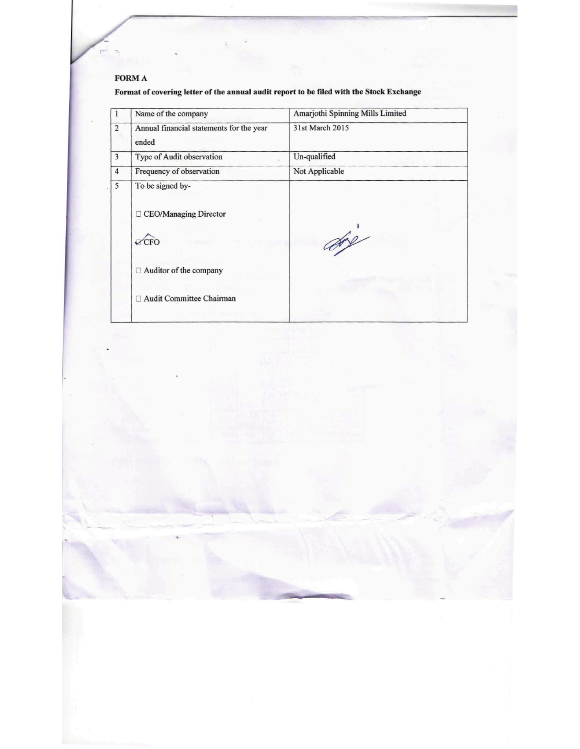# FORM A

 $\overline{T}$ 

Format of covering letter of the annual audit report to be filed with the Stock Exchange

|                | Name of the company                               | Amarjothi Spinning Mills Limited |
|----------------|---------------------------------------------------|----------------------------------|
| $\overline{2}$ | Annual financial statements for the year<br>ended | 31st March 2015                  |
| 3              | Type of Audit observation                         | Un-qualified                     |
| $\overline{4}$ | Frequency of observation                          | Not Applicable                   |
| 5              | To be signed by-                                  |                                  |
|                | □ CEO/Managing Director                           |                                  |
|                | $\sqrt{CFO}$                                      | $\frac{1}{2}$                    |
|                | □ Auditor of the company                          |                                  |
|                | Audit Committee Chairman                          |                                  |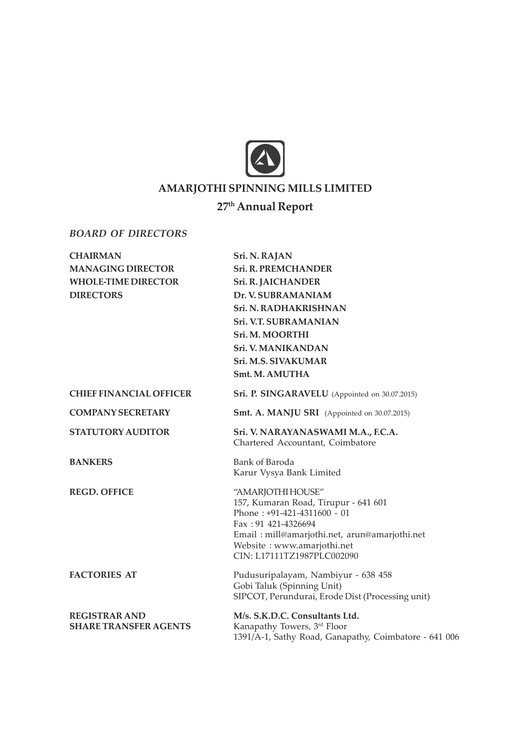

# AMARJOTHI SPINNING MILLS LIMITED

# 27<sup>th</sup> Annual Report

# BOARD OF DIRECTORS

| <b>CHAIRMAN</b>                                      | Sri. N. RAJAN                                                                                                                                                                                                                  |
|------------------------------------------------------|--------------------------------------------------------------------------------------------------------------------------------------------------------------------------------------------------------------------------------|
| <b>MANAGING DIRECTOR</b>                             | <b>Sri. R. PREMCHANDER</b>                                                                                                                                                                                                     |
| <b>WHOLE-TIME DIRECTOR</b>                           | <b>Sri. R. JAICHANDER</b>                                                                                                                                                                                                      |
| <b>DIRECTORS</b>                                     | Dr. V. SUBRAMANIAM                                                                                                                                                                                                             |
|                                                      | Sri. N. RADHAKRISHNAN                                                                                                                                                                                                          |
|                                                      | Sri. V.T. SUBRAMANIAN                                                                                                                                                                                                          |
|                                                      | Sri. M. MOORTHI                                                                                                                                                                                                                |
|                                                      | <b>Sri. V. MANIKANDAN</b>                                                                                                                                                                                                      |
|                                                      | Sri. M.S. SIVAKUMAR                                                                                                                                                                                                            |
|                                                      | Smt. M. AMUTHA                                                                                                                                                                                                                 |
| <b>CHIEF FINANCIAL OFFICER</b>                       | Sri. P. SINGARAVELU (Appointed on 30.07.2015)                                                                                                                                                                                  |
| <b>COMPANY SECRETARY</b>                             | <b>Smt. A. MANJU SRI</b> (Appointed on 30.07.2015)                                                                                                                                                                             |
| <b>STATUTORY AUDITOR</b>                             | Sri. V. NARAYANASWAMI M.A., F.C.A.<br>Chartered Accountant, Coimbatore                                                                                                                                                         |
| <b>BANKERS</b>                                       | Bank of Baroda<br>Karur Vysya Bank Limited                                                                                                                                                                                     |
| <b>REGD. OFFICE</b>                                  | "AMARJOTHI HOUSE"<br>157, Kumaran Road, Tirupur - 641 601<br>Phone: $+91-421-4311600 - 01$<br>Fax: 91 421-4326694<br>Email: mill@amarjothi.net, arun@amarjothi.net<br>Website: www.amarjothi.net<br>CIN: L17111TZ1987PLC002090 |
| <b>FACTORIES AT</b>                                  | Pudusuripalayam, Nambiyur - 638 458<br>Gobi Taluk (Spinning Unit)<br>SIPCOT, Perundurai, Erode Dist (Processing unit)                                                                                                          |
| <b>REGISTRAR AND</b><br><b>SHARE TRANSFER AGENTS</b> | M/s. S.K.D.C. Consultants Ltd.<br>Kanapathy Towers, 3rd Floor<br>1391/A-1, Sathy Road, Ganapathy, Coimbatore - 641 006                                                                                                         |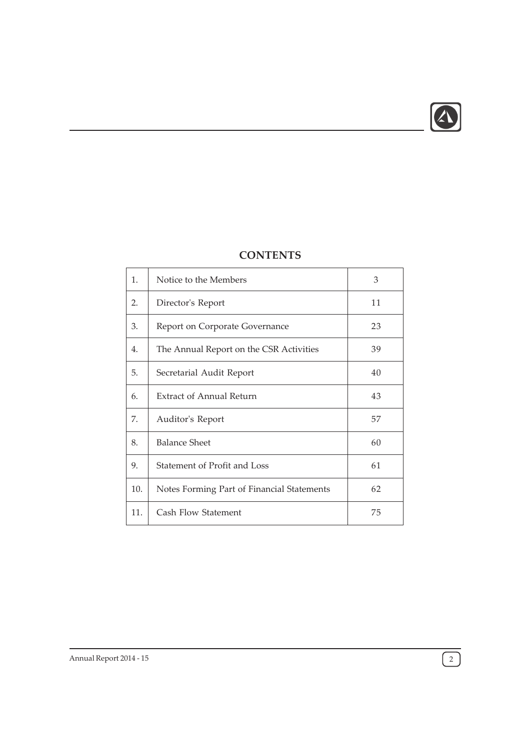

| 1.               | Notice to the Members                      | 3  |
|------------------|--------------------------------------------|----|
| 2.               | Director's Report                          | 11 |
| 3.               | Report on Corporate Governance             | 23 |
| $\overline{4}$ . | The Annual Report on the CSR Activities    | 39 |
| 5.               | Secretarial Audit Report                   | 40 |
| 6.               | Extract of Annual Return                   | 43 |
| 7.               | Auditor's Report                           | 57 |
| 8.               | <b>Balance Sheet</b>                       | 60 |
| 9.               | Statement of Profit and Loss               | 61 |
| 10.              | Notes Forming Part of Financial Statements | 62 |
| 11.              | Cash Flow Statement                        | 75 |
|                  |                                            |    |

# **CONTENTS**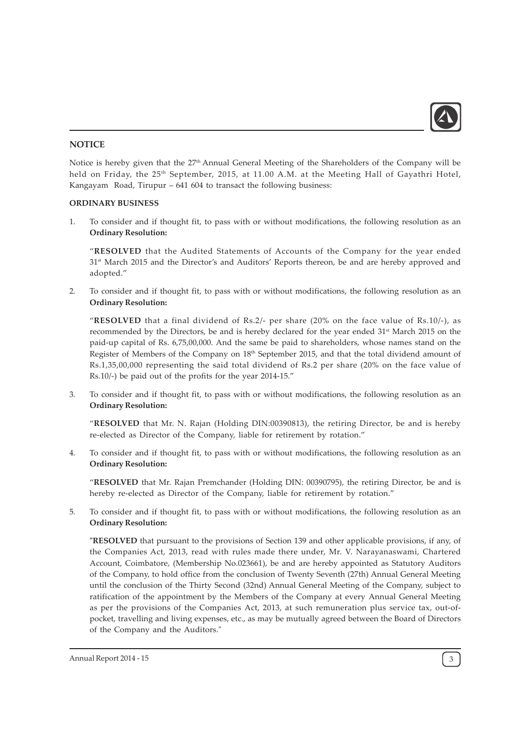

# **NOTICE**

Notice is hereby given that the 27<sup>th</sup> Annual General Meeting of the Shareholders of the Company will be held on Friday, the 25<sup>th</sup> September, 2015, at 11.00 A.M. at the Meeting Hall of Gayathri Hotel, Kangayam Road, Tirupur – 641 604 to transact the following business:

# ORDINARY BUSINESS

1. To consider and if thought fit, to pass with or without modifications, the following resolution as an Ordinary Resolution:

"RESOLVED that the Audited Statements of Accounts of the Company for the year ended 31<sup>st</sup> March 2015 and the Director's and Auditors' Reports thereon, be and are hereby approved and adopted."

2. To consider and if thought fit, to pass with or without modifications, the following resolution as an Ordinary Resolution:

"RESOLVED that a final dividend of Rs.2/- per share (20% on the face value of Rs.10/-), as recommended by the Directors, be and is hereby declared for the year ended  $31<sup>st</sup>$  March 2015 on the paid-up capital of Rs. 6,75,00,000. And the same be paid to shareholders, whose names stand on the Register of Members of the Company on 18th September 2015, and that the total dividend amount of Rs.1,35,00,000 representing the said total dividend of Rs.2 per share (20% on the face value of Rs.10/-) be paid out of the profits for the year 2014-15."

3. To consider and if thought fit, to pass with or without modifications, the following resolution as an Ordinary Resolution:

"RESOLVED that Mr. N. Rajan (Holding DIN:00390813), the retiring Director, be and is hereby re-elected as Director of the Company, liable for retirement by rotation."

4. To consider and if thought fit, to pass with or without modifications, the following resolution as an Ordinary Resolution:

"RESOLVED that Mr. Rajan Premchander (Holding DIN: 00390795), the retiring Director, be and is hereby re-elected as Director of the Company, liable for retirement by rotation."

5. To consider and if thought fit, to pass with or without modifications, the following resolution as an Ordinary Resolution:

"RESOLVED that pursuant to the provisions of Section 139 and other applicable provisions, if any, of the Companies Act, 2013, read with rules made there under, Mr. V. Narayanaswami, Chartered Account, Coimbatore, (Membership No.023661), be and are hereby appointed as Statutory Auditors of the Company, to hold office from the conclusion of Twenty Seventh (27th) Annual General Meeting until the conclusion of the Thirty Second (32nd) Annual General Meeting of the Company, subject to ratification of the appointment by the Members of the Company at every Annual General Meeting as per the provisions of the Companies Act, 2013, at such remuneration plus service tax, out-ofpocket, travelling and living expenses, etc., as may be mutually agreed between the Board of Directors of the Company and the Auditors."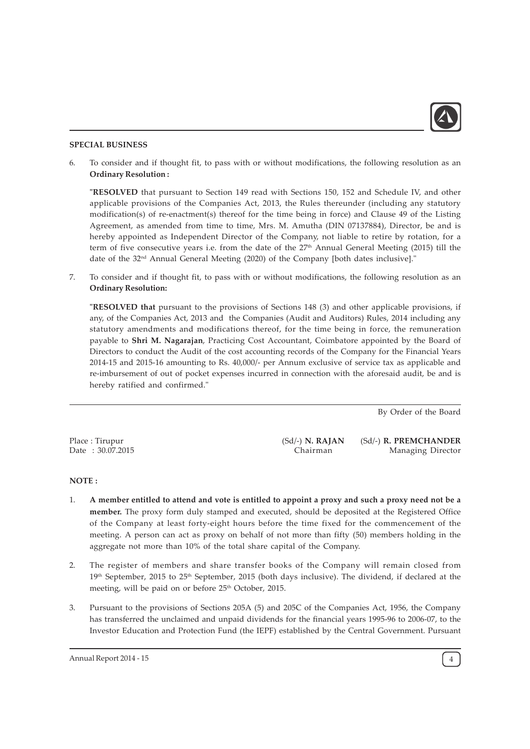

# SPECIAL BUSINESS

6. To consider and if thought fit, to pass with or without modifications, the following resolution as an Ordinary Resolution :

"RESOLVED that pursuant to Section 149 read with Sections 150, 152 and Schedule IV, and other applicable provisions of the Companies Act, 2013, the Rules thereunder (including any statutory modification(s) of re-enactment(s) thereof for the time being in force) and Clause 49 of the Listing Agreement, as amended from time to time, Mrs. M. Amutha (DIN 07137884), Director, be and is hereby appointed as Independent Director of the Company, not liable to retire by rotation, for a term of five consecutive years i.e. from the date of the 27<sup>th</sup> Annual General Meeting (2015) till the date of the 32<sup>nd</sup> Annual General Meeting (2020) of the Company [both dates inclusive]."

7. To consider and if thought fit, to pass with or without modifications, the following resolution as an Ordinary Resolution:

"RESOLVED that pursuant to the provisions of Sections 148 (3) and other applicable provisions, if any, of the Companies Act, 2013 and the Companies (Audit and Auditors) Rules, 2014 including any statutory amendments and modifications thereof, for the time being in force, the remuneration payable to Shri M. Nagarajan, Practicing Cost Accountant, Coimbatore appointed by the Board of Directors to conduct the Audit of the cost accounting records of the Company for the Financial Years 2014-15 and 2015-16 amounting to Rs. 40,000/- per Annum exclusive of service tax as applicable and re-imbursement of out of pocket expenses incurred in connection with the aforesaid audit, be and is hereby ratified and confirmed."

By Order of the Board

Place : Tirupur Date : 30.07.2015 (Sd/-) N. RAJAN Chairman

(Sd/-) R. PREMCHANDER Managing Director

### NOTE :

- 1. A member entitled to attend and vote is entitled to appoint a proxy and such a proxy need not be a member. The proxy form duly stamped and executed, should be deposited at the Registered Office of the Company at least forty-eight hours before the time fixed for the commencement of the meeting. A person can act as proxy on behalf of not more than fifty (50) members holding in the aggregate not more than 10% of the total share capital of the Company.
- 2. The register of members and share transfer books of the Company will remain closed from 19<sup>th</sup> September, 2015 to 25<sup>th</sup> September, 2015 (both days inclusive). The dividend, if declared at the meeting, will be paid on or before 25<sup>th</sup> October, 2015.
- 3. Pursuant to the provisions of Sections 205A (5) and 205C of the Companies Act, 1956, the Company has transferred the unclaimed and unpaid dividends for the financial years 1995-96 to 2006-07, to the Investor Education and Protection Fund (the IEPF) established by the Central Government. Pursuant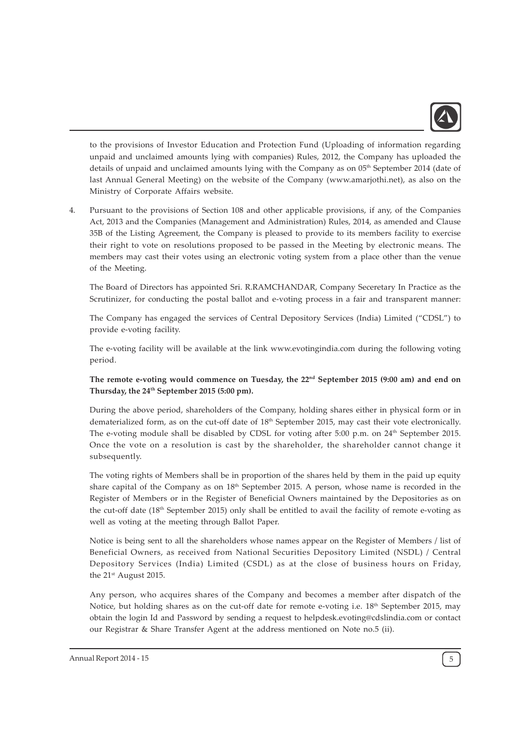

to the provisions of Investor Education and Protection Fund (Uploading of information regarding unpaid and unclaimed amounts lying with companies) Rules, 2012, the Company has uploaded the details of unpaid and unclaimed amounts lying with the Company as on 05<sup>th</sup> September 2014 (date of last Annual General Meeting) on the website of the Company (www.amarjothi.net), as also on the Ministry of Corporate Affairs website.

4. Pursuant to the provisions of Section 108 and other applicable provisions, if any, of the Companies Act, 2013 and the Companies (Management and Administration) Rules, 2014, as amended and Clause 35B of the Listing Agreement, the Company is pleased to provide to its members facility to exercise their right to vote on resolutions proposed to be passed in the Meeting by electronic means. The members may cast their votes using an electronic voting system from a place other than the venue of the Meeting.

The Board of Directors has appointed Sri. R.RAMCHANDAR, Company Seceretary In Practice as the Scrutinizer, for conducting the postal ballot and e-voting process in a fair and transparent manner:

The Company has engaged the services of Central Depository Services (India) Limited ("CDSL") to provide e-voting facility.

The e-voting facility will be available at the link www.evotingindia.com during the following voting period.

# The remote e-voting would commence on Tuesday, the 22<sup>nd</sup> September 2015 (9:00 am) and end on Thursday, the 24<sup>th</sup> September 2015 (5:00 pm).

During the above period, shareholders of the Company, holding shares either in physical form or in dematerialized form, as on the cut-off date of  $18<sup>th</sup>$  September 2015, may cast their vote electronically. The e-voting module shall be disabled by CDSL for voting after 5:00 p.m. on 24th September 2015. Once the vote on a resolution is cast by the shareholder, the shareholder cannot change it subsequently.

The voting rights of Members shall be in proportion of the shares held by them in the paid up equity share capital of the Company as on  $18<sup>th</sup>$  September 2015. A person, whose name is recorded in the Register of Members or in the Register of Beneficial Owners maintained by the Depositories as on the cut-off date (18<sup>th</sup> September 2015) only shall be entitled to avail the facility of remote e-voting as well as voting at the meeting through Ballot Paper.

Notice is being sent to all the shareholders whose names appear on the Register of Members / list of Beneficial Owners, as received from National Securities Depository Limited (NSDL) / Central Depository Services (India) Limited (CSDL) as at the close of business hours on Friday, the 21<sup>st</sup> August 2015.

Any person, who acquires shares of the Company and becomes a member after dispatch of the Notice, but holding shares as on the cut-off date for remote e-voting i.e. 18<sup>th</sup> September 2015, may obtain the login Id and Password by sending a request to helpdesk.evoting@cdslindia.com or contact our Registrar & Share Transfer Agent at the address mentioned on Note no.5 (ii).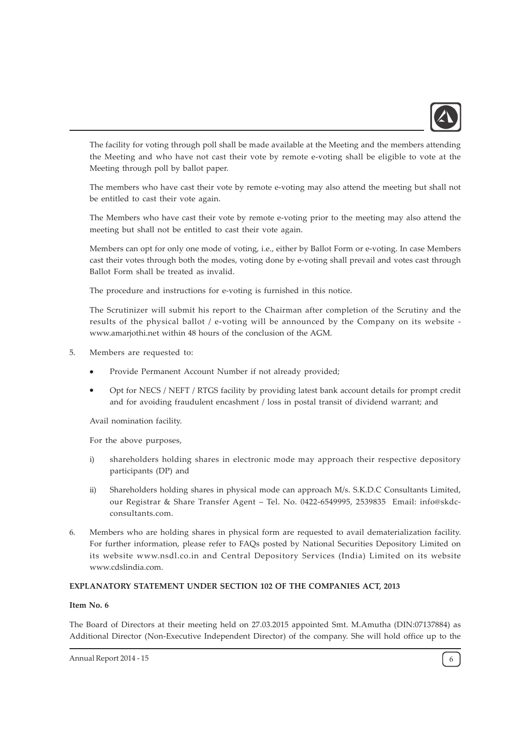

The facility for voting through poll shall be made available at the Meeting and the members attending the Meeting and who have not cast their vote by remote e-voting shall be eligible to vote at the Meeting through poll by ballot paper.

The members who have cast their vote by remote e-voting may also attend the meeting but shall not be entitled to cast their vote again.

The Members who have cast their vote by remote e-voting prior to the meeting may also attend the meeting but shall not be entitled to cast their vote again.

Members can opt for only one mode of voting, i.e., either by Ballot Form or e-voting. In case Members cast their votes through both the modes, voting done by e-voting shall prevail and votes cast through Ballot Form shall be treated as invalid.

The procedure and instructions for e-voting is furnished in this notice.

The Scrutinizer will submit his report to the Chairman after completion of the Scrutiny and the results of the physical ballot / e-voting will be announced by the Company on its website www.amarjothi.net within 48 hours of the conclusion of the AGM.

- 5. Members are requested to:
	- Provide Permanent Account Number if not already provided;
	- · Opt for NECS / NEFT / RTGS facility by providing latest bank account details for prompt credit and for avoiding fraudulent encashment / loss in postal transit of dividend warrant; and

Avail nomination facility.

For the above purposes,

- i) shareholders holding shares in electronic mode may approach their respective depository participants (DP) and
- ii) Shareholders holding shares in physical mode can approach M/s. S.K.D.C Consultants Limited, our Registrar & Share Transfer Agent – Tel. No. 0422-6549995, 2539835 Email: info@skdcconsultants.com.
- 6. Members who are holding shares in physical form are requested to avail dematerialization facility. For further information, please refer to FAQs posted by National Securities Depository Limited on its website www.nsdl.co.in and Central Depository Services (India) Limited on its website www.cdslindia.com.

#### EXPLANATORY STATEMENT UNDER SECTION 102 OF THE COMPANIES ACT, 2013

#### Item No. 6

The Board of Directors at their meeting held on 27.03.2015 appointed Smt. M.Amutha (DIN:07137884) as Additional Director (Non-Executive Independent Director) of the company. She will hold office up to the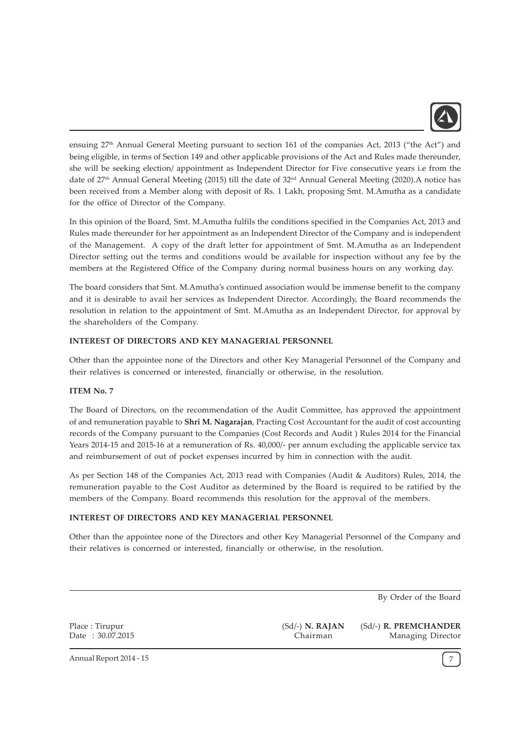

ensuing 27<sup>th</sup> Annual General Meeting pursuant to section 161 of the companies Act, 2013 ("the Act") and being eligible, in terms of Section 149 and other applicable provisions of the Act and Rules made thereunder, she will be seeking election/ appointment as Independent Director for Five consecutive years i.e from the date of 27th Annual General Meeting (2015) till the date of 32nd Annual General Meeting (2020).A notice has been received from a Member along with deposit of Rs. 1 Lakh, proposing Smt. M.Amutha as a candidate for the office of Director of the Company.

In this opinion of the Board, Smt. M.Amutha fulfils the conditions specified in the Companies Act, 2013 and Rules made thereunder for her appointment as an Independent Director of the Company and is independent of the Management. A copy of the draft letter for appointment of Smt. M.Amutha as an Independent Director setting out the terms and conditions would be available for inspection without any fee by the members at the Registered Office of the Company during normal business hours on any working day.

The board considers that Smt. M.Amutha's continued association would be immense benefit to the company and it is desirable to avail her services as Independent Director. Accordingly, the Board recommends the resolution in relation to the appointment of Smt. M.Amutha as an Independent Director, for approval by the shareholders of the Company.

# INTEREST OF DIRECTORS AND KEY MANAGERIAL PERSONNEL

Other than the appointee none of the Directors and other Key Managerial Personnel of the Company and their relatives is concerned or interested, financially or otherwise, in the resolution.

#### ITEM No. 7

The Board of Directors, on the recommendation of the Audit Committee, has approved the appointment of and remuneration payable to Shri M. Nagarajan, Practing Cost Accountant for the audit of cost accounting records of the Company pursuant to the Companies (Cost Records and Audit ) Rules 2014 for the Financial Years 2014-15 and 2015-16 at a remuneration of Rs. 40,000/- per annum excluding the applicable service tax and reimbursement of out of pocket expenses incurred by him in connection with the audit.

As per Section 148 of the Companies Act, 2013 read with Companies (Audit & Auditors) Rules, 2014, the remuneration payable to the Cost Auditor as determined by the Board is required to be ratified by the members of the Company. Board recommends this resolution for the approval of the members.

#### INTEREST OF DIRECTORS AND KEY MANAGERIAL PERSONNEL

Other than the appointee none of the Directors and other Key Managerial Personnel of the Company and their relatives is concerned or interested, financially or otherwise, in the resolution.

By Order of the Board

Place : Tirupur Date : 30.07.2015 (Sd/-) N. RAJAN Chairman

(Sd/-) R. PREMCHANDER Managing Director

Annual Report 2014 - 15 7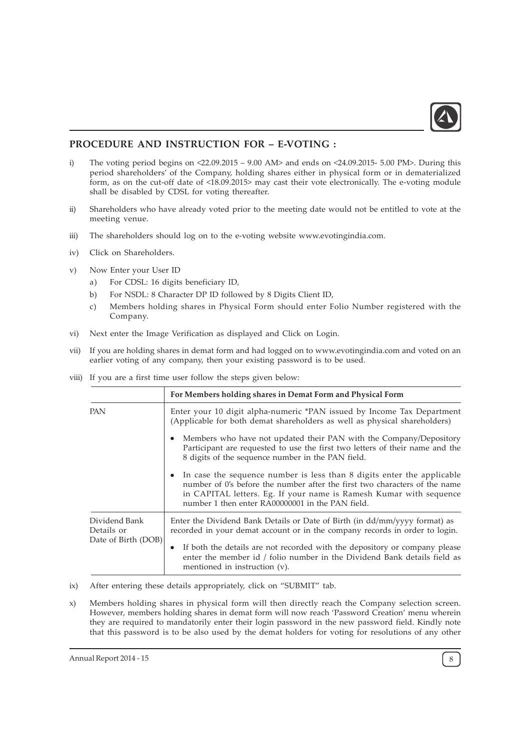

# PROCEDURE AND INSTRUCTION FOR – E-VOTING :

- i) The voting period begins on <22.09.2015 9.00 AM> and ends on <24.09.2015- 5.00 PM>. During this period shareholders' of the Company, holding shares either in physical form or in dematerialized form, as on the cut-off date of <18.09.2015> may cast their vote electronically. The e-voting module shall be disabled by CDSL for voting thereafter.
- ii) Shareholders who have already voted prior to the meeting date would not be entitled to vote at the meeting venue.
- iii) The shareholders should log on to the e-voting website www.evotingindia.com.
- iv) Click on Shareholders.
- v) Now Enter your User ID
	- a) For CDSL: 16 digits beneficiary ID,
	- b) For NSDL: 8 Character DP ID followed by 8 Digits Client ID,
	- c) Members holding shares in Physical Form should enter Folio Number registered with the Company.
- vi) Next enter the Image Verification as displayed and Click on Login.
- vii) If you are holding shares in demat form and had logged on to www.evotingindia.com and voted on an earlier voting of any company, then your existing password is to be used.
- viii) If you are a first time user follow the steps given below:

|                             | For Members holding shares in Demat Form and Physical Form                                                                                                                                                                                                                     |
|-----------------------------|--------------------------------------------------------------------------------------------------------------------------------------------------------------------------------------------------------------------------------------------------------------------------------|
| <b>PAN</b>                  | Enter your 10 digit alpha-numeric *PAN issued by Income Tax Department<br>(Applicable for both demat shareholders as well as physical shareholders)                                                                                                                            |
|                             | Members who have not updated their PAN with the Company/Depository<br>Participant are requested to use the first two letters of their name and the<br>8 digits of the sequence number in the PAN field.                                                                        |
|                             | In case the sequence number is less than 8 digits enter the applicable<br>number of 0's before the number after the first two characters of the name<br>in CAPITAL letters. Eg. If your name is Ramesh Kumar with sequence<br>number 1 then enter RA00000001 in the PAN field. |
| Dividend Bank<br>Details or | Enter the Dividend Bank Details or Date of Birth (in dd/mm/yyyy format) as<br>recorded in your demat account or in the company records in order to login.                                                                                                                      |
| Date of Birth (DOB)         | If both the details are not recorded with the depository or company please<br>enter the member id / folio number in the Dividend Bank details field as<br>mentioned in instruction (v).                                                                                        |

- ix) After entering these details appropriately, click on "SUBMIT" tab.
- x) Members holding shares in physical form will then directly reach the Company selection screen. However, members holding shares in demat form will now reach 'Password Creation' menu wherein they are required to mandatorily enter their login password in the new password field. Kindly note that this password is to be also used by the demat holders for voting for resolutions of any other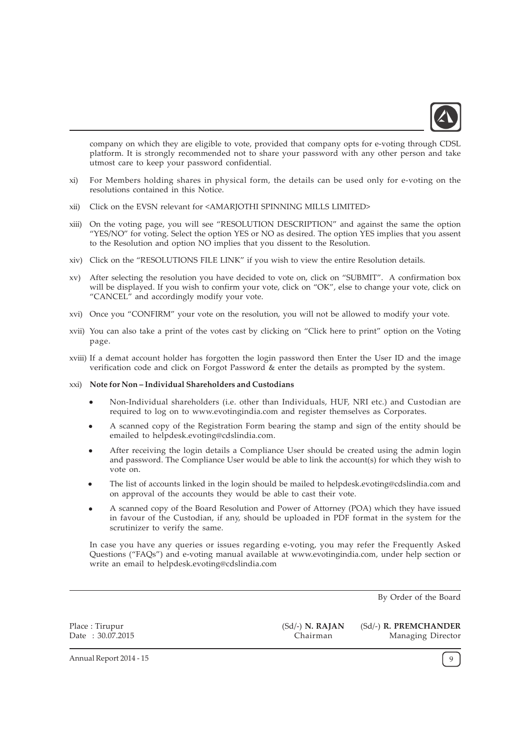

company on which they are eligible to vote, provided that company opts for e-voting through CDSL platform. It is strongly recommended not to share your password with any other person and take utmost care to keep your password confidential.

- xi) For Members holding shares in physical form, the details can be used only for e-voting on the resolutions contained in this Notice.
- xii) Click on the EVSN relevant for <AMARJOTHI SPINNING MILLS LIMITED>
- xiii) On the voting page, you will see "RESOLUTION DESCRIPTION" and against the same the option "YES/NO" for voting. Select the option YES or NO as desired. The option YES implies that you assent to the Resolution and option NO implies that you dissent to the Resolution.
- xiv) Click on the "RESOLUTIONS FILE LINK" if you wish to view the entire Resolution details.
- xv) After selecting the resolution you have decided to vote on, click on "SUBMIT". A confirmation box will be displayed. If you wish to confirm your vote, click on "OK", else to change your vote, click on "CANCEL" and accordingly modify your vote.
- xvi) Once you "CONFIRM" your vote on the resolution, you will not be allowed to modify your vote.
- xvii) You can also take a print of the votes cast by clicking on "Click here to print" option on the Voting page.
- xviii) If a demat account holder has forgotten the login password then Enter the User ID and the image verification code and click on Forgot Password & enter the details as prompted by the system.

#### xxi) Note for Non – Individual Shareholders and Custodians

- · Non-Individual shareholders (i.e. other than Individuals, HUF, NRI etc.) and Custodian are required to log on to www.evotingindia.com and register themselves as Corporates.
- · A scanned copy of the Registration Form bearing the stamp and sign of the entity should be emailed to helpdesk.evoting@cdslindia.com.
- After receiving the login details a Compliance User should be created using the admin login and password. The Compliance User would be able to link the account(s) for which they wish to vote on.
- · The list of accounts linked in the login should be mailed to helpdesk.evoting@cdslindia.com and on approval of the accounts they would be able to cast their vote.
- · A scanned copy of the Board Resolution and Power of Attorney (POA) which they have issued in favour of the Custodian, if any, should be uploaded in PDF format in the system for the scrutinizer to verify the same.

In case you have any queries or issues regarding e-voting, you may refer the Frequently Asked Questions ("FAQs") and e-voting manual available at www.evotingindia.com, under help section or write an email to helpdesk.evoting@cdslindia.com

By Order of the Board

Place : Tirupur Date : 30.07.2015 (Sd/-) N. RAJAN Chairman

(Sd/-) R. PREMCHANDER Managing Director

Annual Report 2014 - 15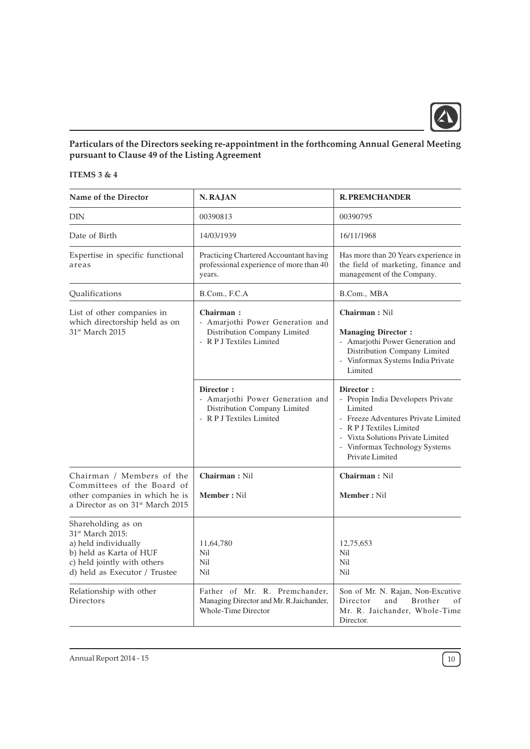

# Particulars of the Directors seeking re-appointment in the forthcoming Annual General Meeting pursuant to Clause 49 of the Listing Agreement

# ITEMS 3 & 4

| Name of the Director                                                                                                                                                                                          | N. RAJAN                                                                                                                                 | <b>R. PREMCHANDER</b>                                                                                                                                                                                                  |
|---------------------------------------------------------------------------------------------------------------------------------------------------------------------------------------------------------------|------------------------------------------------------------------------------------------------------------------------------------------|------------------------------------------------------------------------------------------------------------------------------------------------------------------------------------------------------------------------|
| <b>DIN</b>                                                                                                                                                                                                    | 00390813                                                                                                                                 | 00390795                                                                                                                                                                                                               |
| Date of Birth                                                                                                                                                                                                 | 14/03/1939                                                                                                                               | 16/11/1968                                                                                                                                                                                                             |
| Expertise in specific functional<br>areas                                                                                                                                                                     | Practicing Chartered Accountant having<br>professional experience of more than 40<br>years.                                              | Has more than 20 Years experience in<br>the field of marketing, finance and<br>management of the Company.                                                                                                              |
| Qualifications                                                                                                                                                                                                | B.Com., F.C.A                                                                                                                            | B.Com., MBA                                                                                                                                                                                                            |
| List of other companies in                                                                                                                                                                                    | Chairman:                                                                                                                                | Chairman: Nil                                                                                                                                                                                                          |
| which directorship held as on<br>31 <sup>st</sup> March 2015                                                                                                                                                  | - Amarjothi Power Generation and<br>Distribution Company Limited<br>- R P J Textiles Limited                                             | <b>Managing Director:</b><br>- Amarjothi Power Generation and<br>Distribution Company Limited<br>- Vinformax Systems India Private<br>Limited                                                                          |
|                                                                                                                                                                                                               | Director:<br>- Amarjothi Power Generation and<br>Distribution Company Limited<br>- R P J Textiles Limited                                | Director:<br>- Propin India Developers Private<br>Limited<br>- Freeze Adventures Private Limited<br>- R P J Textiles Limited<br>- Vixta Solutions Private Limited<br>- Vinformax Technology Systems<br>Private Limited |
| Chairman / Members of the                                                                                                                                                                                     | Chairman: Nil                                                                                                                            | Chairman: Nil                                                                                                                                                                                                          |
| Committees of the Board of<br>other companies in which he is<br>a Director as on 31 <sup>st</sup> March 2015                                                                                                  | <b>Member: Nil</b>                                                                                                                       | <b>Member: Nil</b>                                                                                                                                                                                                     |
| Shareholding as on<br>31 <sup>st</sup> March 2015:<br>a) held individually<br>b) held as Karta of HUF<br>c) held jointly with others<br>d) held as Executor / Trustee<br>Relationship with other<br>Directors | 11,64,780<br>Nil<br>Nil<br>Nil<br>Father of Mr. R. Premchander,<br>Managing Director and Mr. R.Jaichander,<br><b>Whole-Time Director</b> | 12,75,653<br>Nil<br>Nil<br>Nil<br>Son of Mr. N. Rajan, Non-Excutive<br>Director<br>Brother<br>and<br>οf<br>Mr. R. Jaichander, Whole-Time<br>Director.                                                                  |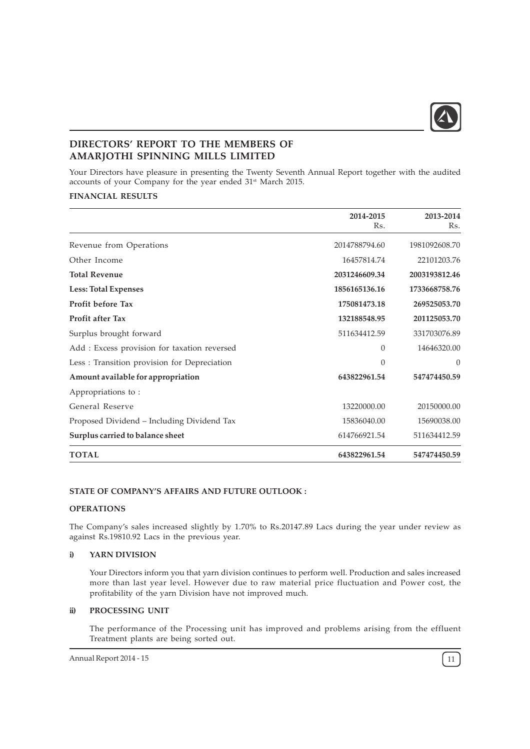

# DIRECTORS' REPORT TO THE MEMBERS OF AMARJOTHI SPINNING MILLS LIMITED

Your Directors have pleasure in presenting the Twenty Seventh Annual Report together with the audited accounts of your Company for the year ended 31<sup>st</sup> March 2015.

# FINANCIAL RESULTS

|                                             | 2014-2015<br>Rs. | 2013-2014<br>Rs. |
|---------------------------------------------|------------------|------------------|
| Revenue from Operations                     | 2014788794.60    | 1981092608.70    |
| Other Income                                | 16457814.74      | 22101203.76      |
| <b>Total Revenue</b>                        | 2031246609.34    | 2003193812.46    |
| <b>Less: Total Expenses</b>                 | 1856165136.16    | 1733668758.76    |
| <b>Profit before Tax</b>                    | 175081473.18     | 269525053.70     |
| <b>Profit after Tax</b>                     | 132188548.95     | 201125053.70     |
| Surplus brought forward                     | 511634412.59     | 331703076.89     |
| Add: Excess provision for taxation reversed | $\Omega$         | 14646320.00      |
| Less: Transition provision for Depreciation | $\theta$         | $\Omega$         |
| Amount available for appropriation          | 643822961.54     | 547474450.59     |
| Appropriations to:                          |                  |                  |
| General Reserve                             | 13220000.00      | 20150000.00      |
| Proposed Dividend - Including Dividend Tax  | 15836040.00      | 15690038.00      |
| Surplus carried to balance sheet            | 614766921.54     | 511634412.59     |
| <b>TOTAL</b>                                | 643822961.54     | 547474450.59     |

# STATE OF COMPANY'S AFFAIRS AND FUTURE OUTLOOK :

# **OPERATIONS**

The Company's sales increased slightly by 1.70% to Rs.20147.89 Lacs during the year under review as against Rs.19810.92 Lacs in the previous year.

# i) YARN DIVISION

Your Directors inform you that yarn division continues to perform well. Production and sales increased more than last year level. However due to raw material price fluctuation and Power cost, the profitability of the yarn Division have not improved much.

# ii) PROCESSING UNIT

The performance of the Processing unit has improved and problems arising from the effluent Treatment plants are being sorted out.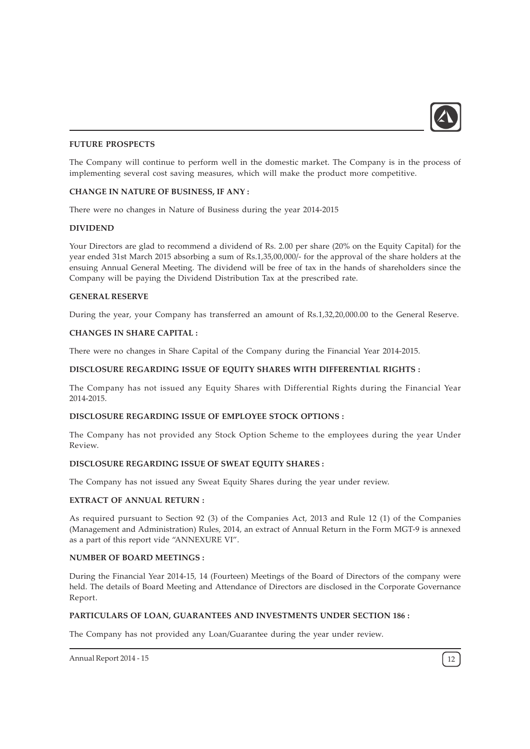

# FUTURE PROSPECTS

The Company will continue to perform well in the domestic market. The Company is in the process of implementing several cost saving measures, which will make the product more competitive.

# CHANGE IN NATURE OF BUSINESS, IF ANY :

There were no changes in Nature of Business during the year 2014-2015

# DIVIDEND

Your Directors are glad to recommend a dividend of Rs. 2.00 per share (20% on the Equity Capital) for the year ended 31st March 2015 absorbing a sum of Rs.1,35,00,000/- for the approval of the share holders at the ensuing Annual General Meeting. The dividend will be free of tax in the hands of shareholders since the Company will be paying the Dividend Distribution Tax at the prescribed rate.

# GENERAL RESERVE

During the year, your Company has transferred an amount of Rs.1,32,20,000.00 to the General Reserve.

#### CHANGES IN SHARE CAPITAL :

There were no changes in Share Capital of the Company during the Financial Year 2014-2015.

# DISCLOSURE REGARDING ISSUE OF EQUITY SHARES WITH DIFFERENTIAL RIGHTS :

The Company has not issued any Equity Shares with Differential Rights during the Financial Year 2014-2015.

## DISCLOSURE REGARDING ISSUE OF EMPLOYEE STOCK OPTIONS :

The Company has not provided any Stock Option Scheme to the employees during the year Under Review.

# DISCLOSURE REGARDING ISSUE OF SWEAT EQUITY SHARES :

The Company has not issued any Sweat Equity Shares during the year under review.

# EXTRACT OF ANNUAL RETURN :

As required pursuant to Section 92 (3) of the Companies Act, 2013 and Rule 12 (1) of the Companies (Management and Administration) Rules, 2014, an extract of Annual Return in the Form MGT-9 is annexed as a part of this report vide "ANNEXURE VI".

#### NUMBER OF BOARD MEETINGS :

During the Financial Year 2014-15, 14 (Fourteen) Meetings of the Board of Directors of the company were held. The details of Board Meeting and Attendance of Directors are disclosed in the Corporate Governance Report.

# PARTICULARS OF LOAN, GUARANTEES AND INVESTMENTS UNDER SECTION 186 :

The Company has not provided any Loan/Guarantee during the year under review.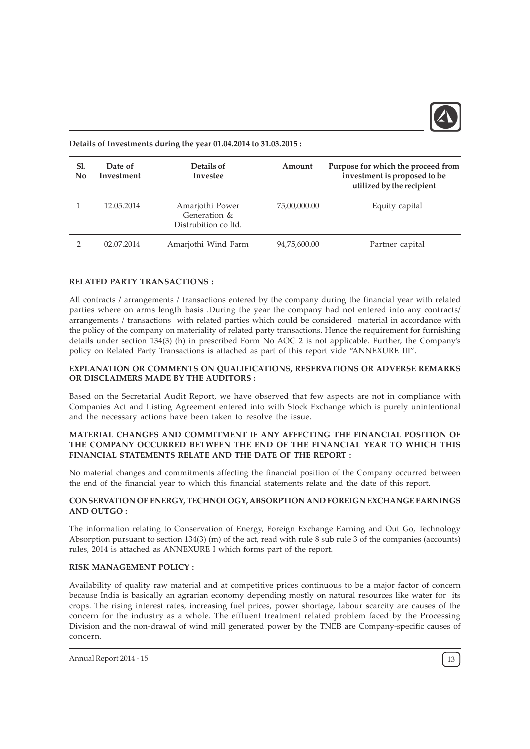

Details of Investments during the year 01.04.2014 to 31.03.2015 :

| Sl.<br>$\mathbf{N}\mathbf{0}$ | Date of<br>Investment | Details of<br>Investee                                  | Amount       | Purpose for which the proceed from<br>investment is proposed to be<br>utilized by the recipient |
|-------------------------------|-----------------------|---------------------------------------------------------|--------------|-------------------------------------------------------------------------------------------------|
|                               | 12.05.2014            | Amarjothi Power<br>Generation &<br>Distrubition co Itd. | 75,00,000.00 | Equity capital                                                                                  |
|                               | 02.07.2014            | Amarjothi Wind Farm                                     | 94,75,600.00 | Partner capital                                                                                 |

#### RELATED PARTY TRANSACTIONS :

All contracts / arrangements / transactions entered by the company during the financial year with related parties where on arms length basis .During the year the company had not entered into any contracts/ arrangements / transactions with related parties which could be considered material in accordance with the policy of the company on materiality of related party transactions. Hence the requirement for furnishing details under section 134(3) (h) in prescribed Form No AOC 2 is not applicable. Further, the Company's policy on Related Party Transactions is attached as part of this report vide "ANNEXURE III".

# EXPLANATION OR COMMENTS ON QUALIFICATIONS, RESERVATIONS OR ADVERSE REMARKS OR DISCLAIMERS MADE BY THE AUDITORS :

Based on the Secretarial Audit Report, we have observed that few aspects are not in compliance with Companies Act and Listing Agreement entered into with Stock Exchange which is purely unintentional and the necessary actions have been taken to resolve the issue.

# MATERIAL CHANGES AND COMMITMENT IF ANY AFFECTING THE FINANCIAL POSITION OF THE COMPANY OCCURRED BETWEEN THE END OF THE FINANCIAL YEAR TO WHICH THIS FINANCIAL STATEMENTS RELATE AND THE DATE OF THE REPORT :

No material changes and commitments affecting the financial position of the Company occurred between the end of the financial year to which this financial statements relate and the date of this report.

# CONSERVATION OF ENERGY, TECHNOLOGY, ABSORPTION AND FOREIGN EXCHANGE EARNINGS AND OUTGO :

The information relating to Conservation of Energy, Foreign Exchange Earning and Out Go, Technology Absorption pursuant to section 134(3) (m) of the act, read with rule 8 sub rule 3 of the companies (accounts) rules, 2014 is attached as ANNEXURE I which forms part of the report.

#### RISK MANAGEMENT POLICY :

Availability of quality raw material and at competitive prices continuous to be a major factor of concern because India is basically an agrarian economy depending mostly on natural resources like water for its crops. The rising interest rates, increasing fuel prices, power shortage, labour scarcity are causes of the concern for the industry as a whole. The effluent treatment related problem faced by the Processing Division and the non-drawal of wind mill generated power by the TNEB are Company-specific causes of concern.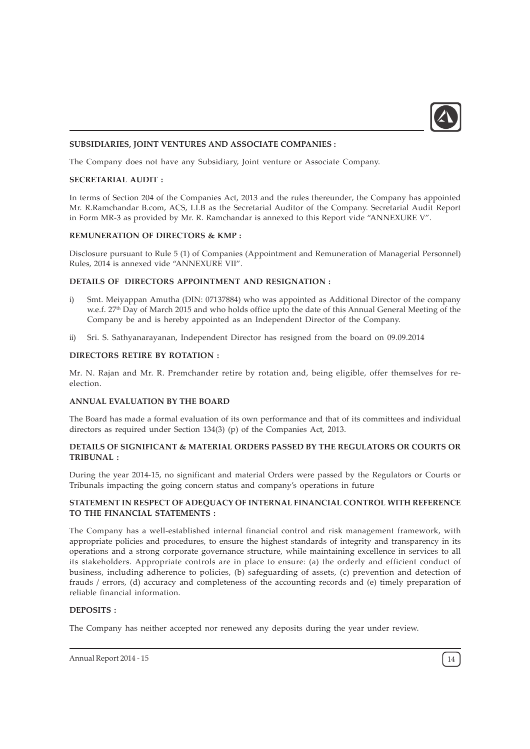

# SUBSIDIARIES, JOINT VENTURES AND ASSOCIATE COMPANIES :

The Company does not have any Subsidiary, Joint venture or Associate Company.

#### SECRETARIAL AUDIT :

In terms of Section 204 of the Companies Act, 2013 and the rules thereunder, the Company has appointed Mr. R.Ramchandar B.com, ACS, LLB as the Secretarial Auditor of the Company. Secretarial Audit Report in Form MR-3 as provided by Mr. R. Ramchandar is annexed to this Report vide "ANNEXURE V".

# REMUNERATION OF DIRECTORS & KMP :

Disclosure pursuant to Rule 5 (1) of Companies (Appointment and Remuneration of Managerial Personnel) Rules, 2014 is annexed vide "ANNEXURE VII".

#### DETAILS OF DIRECTORS APPOINTMENT AND RESIGNATION :

- i) Smt. Meiyappan Amutha (DIN: 07137884) who was appointed as Additional Director of the company w.e.f. 27<sup>th</sup> Day of March 2015 and who holds office upto the date of this Annual General Meeting of the Company be and is hereby appointed as an Independent Director of the Company.
- ii) Sri. S. Sathyanarayanan, Independent Director has resigned from the board on 09.09.2014

# DIRECTORS RETIRE BY ROTATION :

Mr. N. Rajan and Mr. R. Premchander retire by rotation and, being eligible, offer themselves for reelection.

#### ANNUAL EVALUATION BY THE BOARD

The Board has made a formal evaluation of its own performance and that of its committees and individual directors as required under Section 134(3) (p) of the Companies Act, 2013.

# DETAILS OF SIGNIFICANT & MATERIAL ORDERS PASSED BY THE REGULATORS OR COURTS OR TRIBUNAL :

During the year 2014-15, no significant and material Orders were passed by the Regulators or Courts or Tribunals impacting the going concern status and company's operations in future

# STATEMENT IN RESPECT OF ADEQUACY OF INTERNAL FINANCIAL CONTROL WITH REFERENCE TO THE FINANCIAL STATEMENTS :

The Company has a well-established internal financial control and risk management framework, with appropriate policies and procedures, to ensure the highest standards of integrity and transparency in its operations and a strong corporate governance structure, while maintaining excellence in services to all its stakeholders. Appropriate controls are in place to ensure: (a) the orderly and efficient conduct of business, including adherence to policies, (b) safeguarding of assets, (c) prevention and detection of frauds / errors, (d) accuracy and completeness of the accounting records and (e) timely preparation of reliable financial information.

# DEPOSITS :

The Company has neither accepted nor renewed any deposits during the year under review.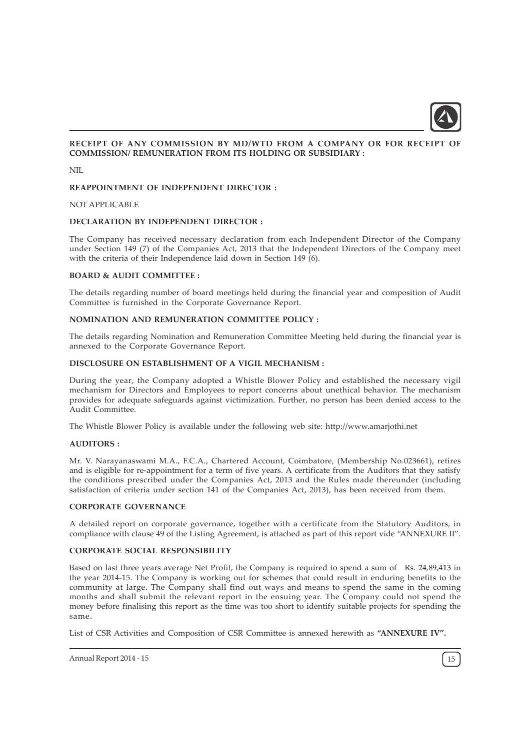

# RECEIPT OF ANY COMMISSION BY MD/WTD FROM A COMPANY OR FOR RECEIPT OF COMMISSION/ REMUNERATION FROM ITS HOLDING OR SUBSIDIARY :

NIL

# REAPPOINTMENT OF INDEPENDENT DIRECTOR :

#### NOT APPLICABLE

#### DECLARATION BY INDEPENDENT DIRECTOR :

The Company has received necessary declaration from each Independent Director of the Company under Section 149 (7) of the Companies Act, 2013 that the Independent Directors of the Company meet with the criteria of their Independence laid down in Section 149 (6).

#### BOARD & AUDIT COMMITTEE :

The details regarding number of board meetings held during the financial year and composition of Audit Committee is furnished in the Corporate Governance Report.

#### NOMINATION AND REMUNERATION COMMITTEE POLICY :

The details regarding Nomination and Remuneration Committee Meeting held during the financial year is annexed to the Corporate Governance Report.

#### DISCLOSURE ON ESTABLISHMENT OF A VIGIL MECHANISM :

During the year, the Company adopted a Whistle Blower Policy and established the necessary vigil mechanism for Directors and Employees to report concerns about unethical behavior. The mechanism provides for adequate safeguards against victimization. Further, no person has been denied access to the Audit Committee.

The Whistle Blower Policy is available under the following web site: http://www.amarjothi.net

# AUDITORS :

Mr. V. Narayanaswami M.A., F.C.A., Chartered Account, Coimbatore, (Membership No.023661), retires and is eligible for re-appointment for a term of five years. A certificate from the Auditors that they satisfy the conditions prescribed under the Companies Act, 2013 and the Rules made thereunder (including satisfaction of criteria under section 141 of the Companies Act, 2013), has been received from them.

#### CORPORATE GOVERNANCE

A detailed report on corporate governance, together with a certificate from the Statutory Auditors, in compliance with clause 49 of the Listing Agreement, is attached as part of this report vide "ANNEXURE II".

# CORPORATE SOCIAL RESPONSIBILITY

Based on last three years average Net Profit, the Company is required to spend a sum of Rs. 24,89,413 in the year 2014-15. The Company is working out for schemes that could result in enduring benefits to the community at large. The Company shall find out ways and means to spend the same in the coming months and shall submit the relevant report in the ensuing year. The Company could not spend the money before finalising this report as the time was too short to identify suitable projects for spending the same.

List of CSR Activities and Composition of CSR Committee is annexed herewith as "ANNEXURE IV".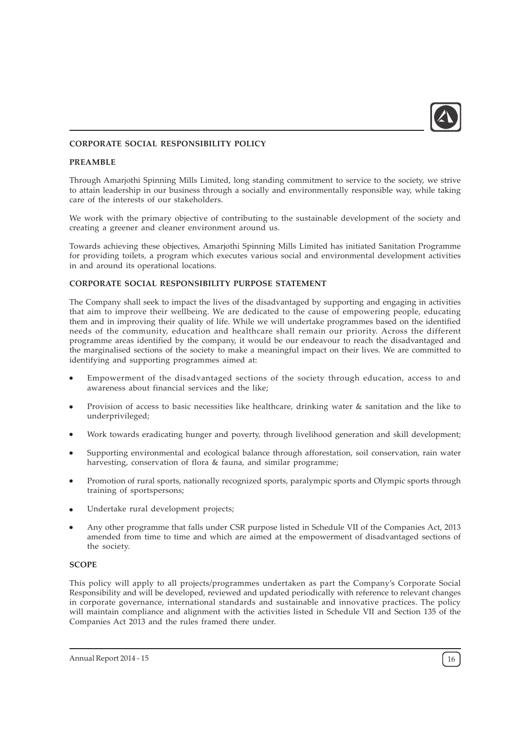

# CORPORATE SOCIAL RESPONSIBILITY POLICY

#### PREAMBLE

Through Amarjothi Spinning Mills Limited, long standing commitment to service to the society, we strive to attain leadership in our business through a socially and environmentally responsible way, while taking care of the interests of our stakeholders.

We work with the primary objective of contributing to the sustainable development of the society and creating a greener and cleaner environment around us.

Towards achieving these objectives, Amarjothi Spinning Mills Limited has initiated Sanitation Programme for providing toilets, a program which executes various social and environmental development activities in and around its operational locations.

#### CORPORATE SOCIAL RESPONSIBILITY PURPOSE STATEMENT

The Company shall seek to impact the lives of the disadvantaged by supporting and engaging in activities that aim to improve their wellbeing. We are dedicated to the cause of empowering people, educating them and in improving their quality of life. While we will undertake programmes based on the identified needs of the community, education and healthcare shall remain our priority. Across the different programme areas identified by the company, it would be our endeavour to reach the disadvantaged and the marginalised sections of the society to make a meaningful impact on their lives. We are committed to identifying and supporting programmes aimed at:

- Empowerment of the disadvantaged sections of the society through education, access to and awareness about financial services and the like;
- Provision of access to basic necessities like healthcare, drinking water & sanitation and the like to underprivileged;
- Work towards eradicating hunger and poverty, through livelihood generation and skill development;
- Supporting environmental and ecological balance through afforestation, soil conservation, rain water harvesting, conservation of flora & fauna, and similar programme;
- Promotion of rural sports, nationally recognized sports, paralympic sports and Olympic sports through training of sportspersons;
- Undertake rural development projects;
- Any other programme that falls under CSR purpose listed in Schedule VII of the Companies Act, 2013 amended from time to time and which are aimed at the empowerment of disadvantaged sections of the society.

# **SCOPE**

This policy will apply to all projects/programmes undertaken as part the Company's Corporate Social Responsibility and will be developed, reviewed and updated periodically with reference to relevant changes in corporate governance, international standards and sustainable and innovative practices. The policy will maintain compliance and alignment with the activities listed in Schedule VII and Section 135 of the Companies Act 2013 and the rules framed there under.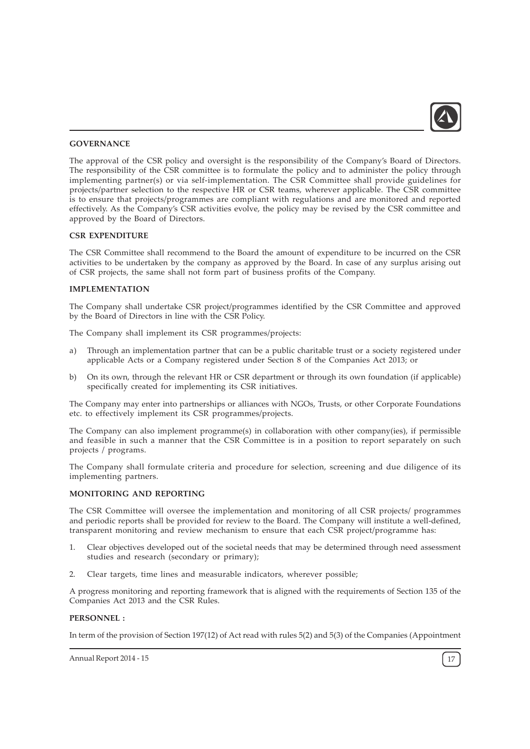

#### **GOVERNANCE**

The approval of the CSR policy and oversight is the responsibility of the Company's Board of Directors. The responsibility of the CSR committee is to formulate the policy and to administer the policy through implementing partner(s) or via self-implementation. The CSR Committee shall provide guidelines for projects/partner selection to the respective HR or CSR teams, wherever applicable. The CSR committee is to ensure that projects/programmes are compliant with regulations and are monitored and reported effectively. As the Company's CSR activities evolve, the policy may be revised by the CSR committee and approved by the Board of Directors.

# CSR EXPENDITURE

The CSR Committee shall recommend to the Board the amount of expenditure to be incurred on the CSR activities to be undertaken by the company as approved by the Board. In case of any surplus arising out of CSR projects, the same shall not form part of business profits of the Company.

# IMPLEMENTATION

The Company shall undertake CSR project/programmes identified by the CSR Committee and approved by the Board of Directors in line with the CSR Policy.

The Company shall implement its CSR programmes/projects:

- a) Through an implementation partner that can be a public charitable trust or a society registered under applicable Acts or a Company registered under Section 8 of the Companies Act 2013; or
- b) On its own, through the relevant HR or CSR department or through its own foundation (if applicable) specifically created for implementing its CSR initiatives.

The Company may enter into partnerships or alliances with NGOs, Trusts, or other Corporate Foundations etc. to effectively implement its CSR programmes/projects.

The Company can also implement programme(s) in collaboration with other company(ies), if permissible and feasible in such a manner that the CSR Committee is in a position to report separately on such projects / programs.

The Company shall formulate criteria and procedure for selection, screening and due diligence of its implementing partners.

#### MONITORING AND REPORTING

The CSR Committee will oversee the implementation and monitoring of all CSR projects/ programmes and periodic reports shall be provided for review to the Board. The Company will institute a well-defined, transparent monitoring and review mechanism to ensure that each CSR project/programme has:

- 1. Clear objectives developed out of the societal needs that may be determined through need assessment studies and research (secondary or primary);
- 2. Clear targets, time lines and measurable indicators, wherever possible;

A progress monitoring and reporting framework that is aligned with the requirements of Section 135 of the Companies Act 2013 and the CSR Rules.

#### PERSONNEL :

In term of the provision of Section 197(12) of Act read with rules 5(2) and 5(3) of the Companies (Appointment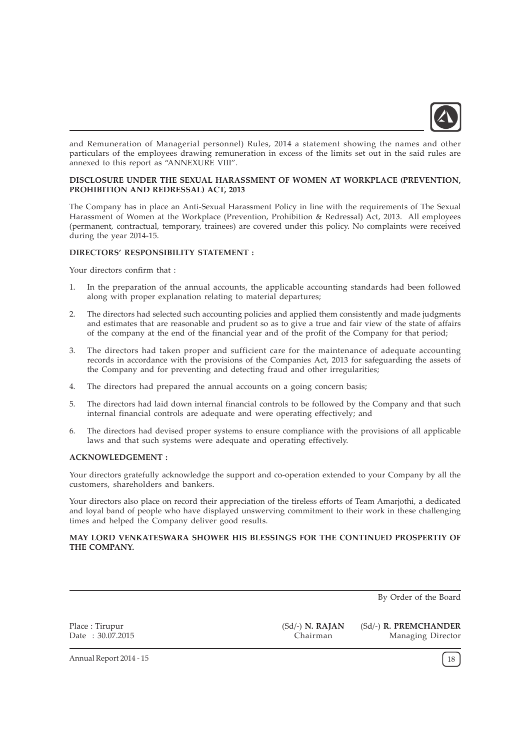

and Remuneration of Managerial personnel) Rules, 2014 a statement showing the names and other particulars of the employees drawing remuneration in excess of the limits set out in the said rules are annexed to this report as "ANNEXURE VIII".

# DISCLOSURE UNDER THE SEXUAL HARASSMENT OF WOMEN AT WORKPLACE (PREVENTION, PROHIBITION AND REDRESSAL) ACT, 2013

The Company has in place an Anti-Sexual Harassment Policy in line with the requirements of The Sexual Harassment of Women at the Workplace (Prevention, Prohibition & Redressal) Act, 2013. All employees (permanent, contractual, temporary, trainees) are covered under this policy. No complaints were received during the year 2014-15.

# DIRECTORS' RESPONSIBILITY STATEMENT :

Your directors confirm that :

- 1. In the preparation of the annual accounts, the applicable accounting standards had been followed along with proper explanation relating to material departures;
- 2. The directors had selected such accounting policies and applied them consistently and made judgments and estimates that are reasonable and prudent so as to give a true and fair view of the state of affairs of the company at the end of the financial year and of the profit of the Company for that period;
- 3. The directors had taken proper and sufficient care for the maintenance of adequate accounting records in accordance with the provisions of the Companies Act, 2013 for safeguarding the assets of the Company and for preventing and detecting fraud and other irregularities;
- 4. The directors had prepared the annual accounts on a going concern basis;
- 5. The directors had laid down internal financial controls to be followed by the Company and that such internal financial controls are adequate and were operating effectively; and
- 6. The directors had devised proper systems to ensure compliance with the provisions of all applicable laws and that such systems were adequate and operating effectively.

#### ACKNOWLEDGEMENT :

Your directors gratefully acknowledge the support and co-operation extended to your Company by all the customers, shareholders and bankers.

Your directors also place on record their appreciation of the tireless efforts of Team Amarjothi, a dedicated and loyal band of people who have displayed unswerving commitment to their work in these challenging times and helped the Company deliver good results.

# MAY LORD VENKATESWARA SHOWER HIS BLESSINGS FOR THE CONTINUED PROSPERTIY OF THE COMPANY.

By Order of the Board

Place : Tirupur Date : 30.07.2015 (Sd/-) N. RAJAN Chairman

(Sd/-) R. PREMCHANDER Managing Director

Annual Report 2014 - 15 18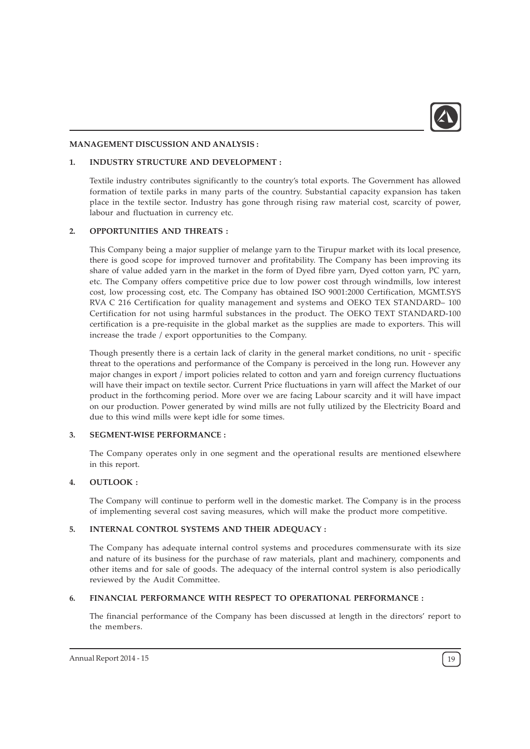

#### MANAGEMENT DISCUSSION AND ANALYSIS :

# 1. INDUSTRY STRUCTURE AND DEVELOPMENT :

Textile industry contributes significantly to the country's total exports. The Government has allowed formation of textile parks in many parts of the country. Substantial capacity expansion has taken place in the textile sector. Industry has gone through rising raw material cost, scarcity of power, labour and fluctuation in currency etc.

# 2. OPPORTUNITIES AND THREATS :

This Company being a major supplier of melange yarn to the Tirupur market with its local presence, there is good scope for improved turnover and profitability. The Company has been improving its share of value added yarn in the market in the form of Dyed fibre yarn, Dyed cotton yarn, PC yarn, etc. The Company offers competitive price due to low power cost through windmills, low interest cost, low processing cost, etc. The Company has obtained ISO 9001:2000 Certification, MGMT.SYS RVA C 216 Certification for quality management and systems and OEKO TEX STANDARD– 100 Certification for not using harmful substances in the product. The OEKO TEXT STANDARD-100 certification is a pre-requisite in the global market as the supplies are made to exporters. This will increase the trade / export opportunities to the Company.

Though presently there is a certain lack of clarity in the general market conditions, no unit - specific threat to the operations and performance of the Company is perceived in the long run. However any major changes in export / import policies related to cotton and yarn and foreign currency fluctuations will have their impact on textile sector. Current Price fluctuations in yarn will affect the Market of our product in the forthcoming period. More over we are facing Labour scarcity and it will have impact on our production. Power generated by wind mills are not fully utilized by the Electricity Board and due to this wind mills were kept idle for some times.

# 3. SEGMENT-WISE PERFORMANCE :

The Company operates only in one segment and the operational results are mentioned elsewhere in this report.

# 4. OUTLOOK :

The Company will continue to perform well in the domestic market. The Company is in the process of implementing several cost saving measures, which will make the product more competitive.

# 5. INTERNAL CONTROL SYSTEMS AND THEIR ADEQUACY :

The Company has adequate internal control systems and procedures commensurate with its size and nature of its business for the purchase of raw materials, plant and machinery, components and other items and for sale of goods. The adequacy of the internal control system is also periodically reviewed by the Audit Committee.

# 6. FINANCIAL PERFORMANCE WITH RESPECT TO OPERATIONAL PERFORMANCE :

The financial performance of the Company has been discussed at length in the directors' report to the members.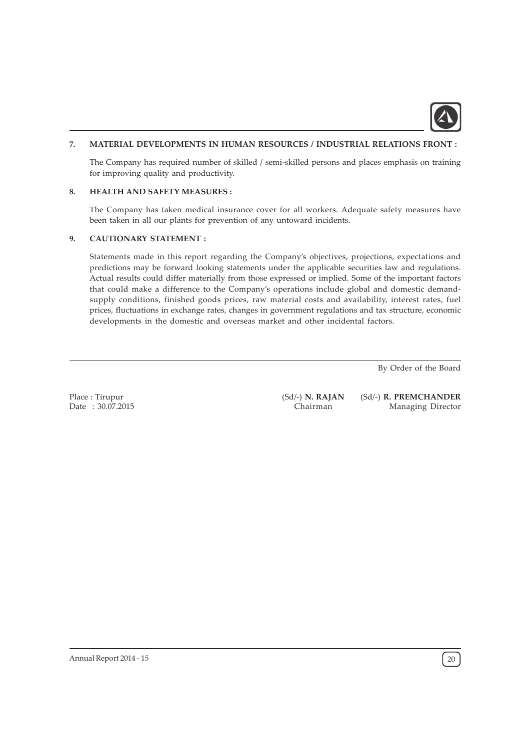

# 7. MATERIAL DEVELOPMENTS IN HUMAN RESOURCES / INDUSTRIAL RELATIONS FRONT :

The Company has required number of skilled / semi-skilled persons and places emphasis on training for improving quality and productivity.

# 8. HEALTH AND SAFETY MEASURES :

The Company has taken medical insurance cover for all workers. Adequate safety measures have been taken in all our plants for prevention of any untoward incidents.

# 9. CAUTIONARY STATEMENT :

Statements made in this report regarding the Company's objectives, projections, expectations and predictions may be forward looking statements under the applicable securities law and regulations. Actual results could differ materially from those expressed or implied. Some of the important factors that could make a difference to the Company's operations include global and domestic demandsupply conditions, finished goods prices, raw material costs and availability, interest rates, fuel prices, fluctuations in exchange rates, changes in government regulations and tax structure, economic developments in the domestic and overseas market and other incidental factors.

By Order of the Board

Place : Tirupur Date : 30.07.2015 (Sd/-) N. RAJAN Chairman

(Sd/-) R. PREMCHANDER Managing Director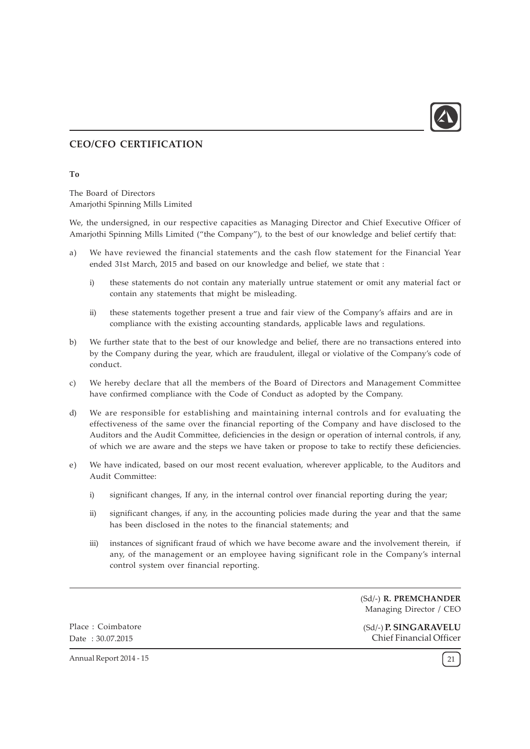

# CEO/CFO CERTIFICATION

#### To

The Board of Directors Amarjothi Spinning Mills Limited

We, the undersigned, in our respective capacities as Managing Director and Chief Executive Officer of Amarjothi Spinning Mills Limited ("the Company"), to the best of our knowledge and belief certify that:

- a) We have reviewed the financial statements and the cash flow statement for the Financial Year ended 31st March, 2015 and based on our knowledge and belief, we state that :
	- i) these statements do not contain any materially untrue statement or omit any material fact or contain any statements that might be misleading.
	- ii) these statements together present a true and fair view of the Company's affairs and are in compliance with the existing accounting standards, applicable laws and regulations.
- b) We further state that to the best of our knowledge and belief, there are no transactions entered into by the Company during the year, which are fraudulent, illegal or violative of the Company's code of conduct.
- c) We hereby declare that all the members of the Board of Directors and Management Committee have confirmed compliance with the Code of Conduct as adopted by the Company.
- d) We are responsible for establishing and maintaining internal controls and for evaluating the effectiveness of the same over the financial reporting of the Company and have disclosed to the Auditors and the Audit Committee, deficiencies in the design or operation of internal controls, if any, of which we are aware and the steps we have taken or propose to take to rectify these deficiencies.
- e) We have indicated, based on our most recent evaluation, wherever applicable, to the Auditors and Audit Committee:
	- i) significant changes, If any, in the internal control over financial reporting during the year;
	- ii) significant changes, if any, in the accounting policies made during the year and that the same has been disclosed in the notes to the financial statements; and
	- iii) instances of significant fraud of which we have become aware and the involvement therein, if any, of the management or an employee having significant role in the Company's internal control system over financial reporting.

(Sd/-) R. PREMCHANDER Managing Director / CEO

Place : Coimbatore Date : 30.07.2015

(Sd/-) P. SINGARAVELU Chief Financial Officer

Annual Report 2014 - 15 21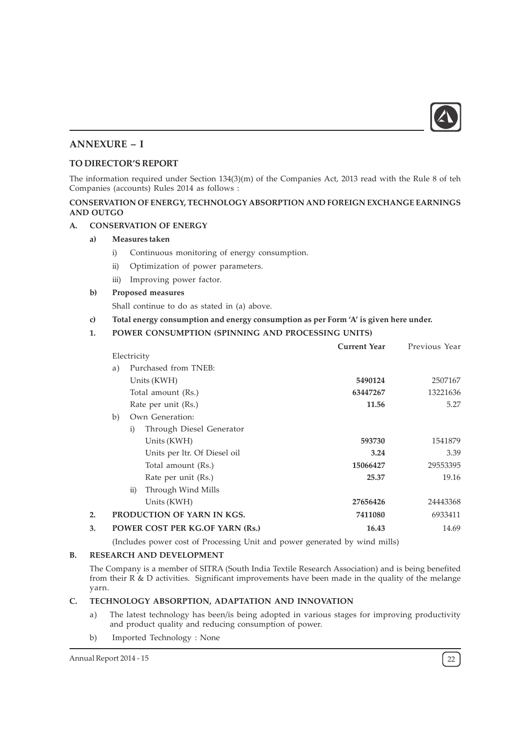

# ANNEXURE – I

# TO DIRECTOR'S REPORT

The information required under Section 134(3)(m) of the Companies Act, 2013 read with the Rule 8 of teh Companies (accounts) Rules 2014 as follows :

# CONSERVATION OF ENERGY, TECHNOLOGY ABSORPTION AND FOREIGN EXCHANGE EARNINGS AND OUTGO

# A. CONSERVATION OF ENERGY

# a) Measures taken

- i) Continuous monitoring of energy consumption.
- ii) Optimization of power parameters.
- iii) Improving power factor.

# b) Proposed measures

Shall continue to do as stated in (a) above.

- c) Total energy consumption and energy consumption as per Form 'A' is given here under.
- 1. POWER CONSUMPTION (SPINNING AND PROCESSING UNITS)

|    |                      |                                 | <b>Current Year</b> | Previous Year |
|----|----------------------|---------------------------------|---------------------|---------------|
|    | Electricity          |                                 |                     |               |
| a) | Purchased from TNEB: |                                 |                     |               |
|    |                      | Units (KWH)                     | 5490124             | 2507167       |
|    |                      | Total amount (Rs.)              | 63447267            | 13221636      |
|    |                      | Rate per unit (Rs.)             | 11.56               | 5.27          |
| b) |                      | Own Generation:                 |                     |               |
|    | i)                   | Through Diesel Generator        |                     |               |
|    |                      | Units (KWH)                     | 593730              | 1541879       |
|    |                      | Units per ltr. Of Diesel oil    | 3.24                | 3.39          |
|    |                      | Total amount (Rs.)              | 15066427            | 29553395      |
|    |                      | Rate per unit (Rs.)             | 25.37               | 19.16         |
|    | $\rm ii)$            | Through Wind Mills              |                     |               |
|    |                      | Units (KWH)                     | 27656426            | 24443368      |
|    |                      | PRODUCTION OF YARN IN KGS.      | 7411080             | 6933411       |
|    |                      | POWER COST PER KG.OF YARN (Rs.) | 16.43               | 14.69         |
|    |                      |                                 |                     |               |

(Includes power cost of Processing Unit and power generated by wind mills)

# B. RESEARCH AND DEVELOPMENT

The Company is a member of SITRA (South India Textile Research Association) and is being benefited from their R & D activities. Significant improvements have been made in the quality of the melange yarn.

# C. TECHNOLOGY ABSORPTION, ADAPTATION AND INNOVATION

- a) The latest technology has been/is being adopted in various stages for improving productivity and product quality and reducing consumption of power.
- b) Imported Technology : None

Annual Report 2014 - 15 22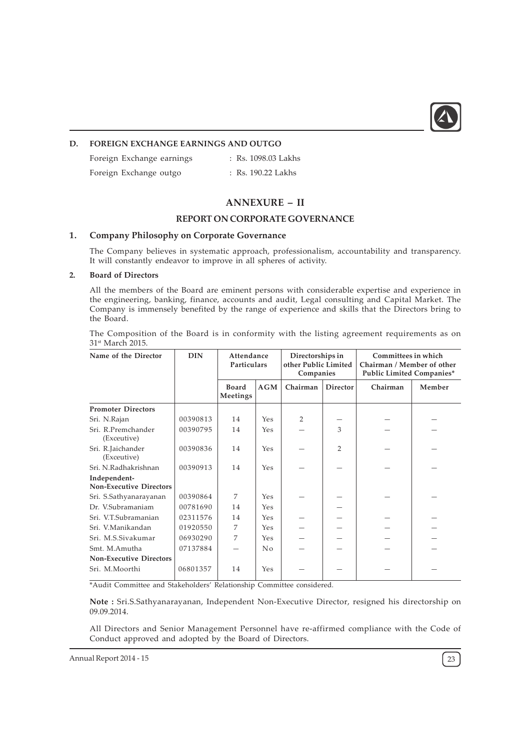

# D. FOREIGN EXCHANGE EARNINGS AND OUTGO

Foreign Exchange earnings : Rs. 1098.03 Lakhs

Foreign Exchange outgo : Rs. 190.22 Lakhs

# ANNEXURE – II

# REPORT ON CORPORATE GOVERNANCE

# 1. Company Philosophy on Corporate Governance

The Company believes in systematic approach, professionalism, accountability and transparency. It will constantly endeavor to improve in all spheres of activity.

# 2. Board of Directors

All the members of the Board are eminent persons with considerable expertise and experience in the engineering, banking, finance, accounts and audit, Legal consulting and Capital Market. The Company is immensely benefited by the range of experience and skills that the Directors bring to the Board.

The Composition of the Board is in conformity with the listing agreement requirements as on 31<sup>st</sup> March 2015.

| Name of the Director                           | <b>DIN</b> | Attendance<br><b>Particulars</b> |     | Directorships in<br>other Public Limited<br>Companies |                 | Committees in which<br>Chairman / Member of other<br>Public Limited Companies* |        |
|------------------------------------------------|------------|----------------------------------|-----|-------------------------------------------------------|-----------------|--------------------------------------------------------------------------------|--------|
|                                                |            | <b>Board</b><br>Meetings         | AGM | Chairman                                              | <b>Director</b> | Chairman                                                                       | Member |
| <b>Promoter Directors</b>                      |            |                                  |     |                                                       |                 |                                                                                |        |
| Sri. N.Rajan                                   | 00390813   | 14                               | Yes | $\mathcal{P}$                                         |                 |                                                                                |        |
| Sri. R.Premchander<br>(Exceutive)              | 00390795   | 14                               | Yes |                                                       | 3               |                                                                                |        |
| Sri. R.Jaichander<br>(Exceutive)               | 00390836   | 14                               | Yes |                                                       | $\overline{2}$  |                                                                                |        |
| Sri, N.Radhakrishnan                           | 00390913   | 14                               | Yes |                                                       |                 |                                                                                |        |
| Independent-<br><b>Non-Executive Directors</b> |            |                                  |     |                                                       |                 |                                                                                |        |
| Sri. S.Sathyanarayanan                         | 00390864   | 7                                | Yes |                                                       |                 |                                                                                |        |
| Dr. V.Subramaniam                              | 00781690   | 14                               | Yes |                                                       |                 |                                                                                |        |
| Sri. V.T.Subramanian                           | 02311576   | 14                               | Yes |                                                       |                 |                                                                                |        |
| Sri. V.Manikandan                              | 01920550   | 7                                | Yes |                                                       |                 |                                                                                |        |
| Sri. M.S.Sivakumar                             | 06930290   | 7                                | Yes |                                                       |                 |                                                                                |        |
| Smt. M.Amutha                                  | 07137884   |                                  | No  |                                                       |                 |                                                                                |        |
| <b>Non-Executive Directors</b>                 |            |                                  |     |                                                       |                 |                                                                                |        |
| Sri. M.Moorthi                                 | 06801357   | 14                               | Yes |                                                       |                 |                                                                                |        |

\*Audit Committee and Stakeholders' Relationship Committee considered.

Note : Sri.S.Sathyanarayanan, Independent Non-Executive Director, resigned his directorship on 09.09.2014.

All Directors and Senior Management Personnel have re-affirmed compliance with the Code of Conduct approved and adopted by the Board of Directors.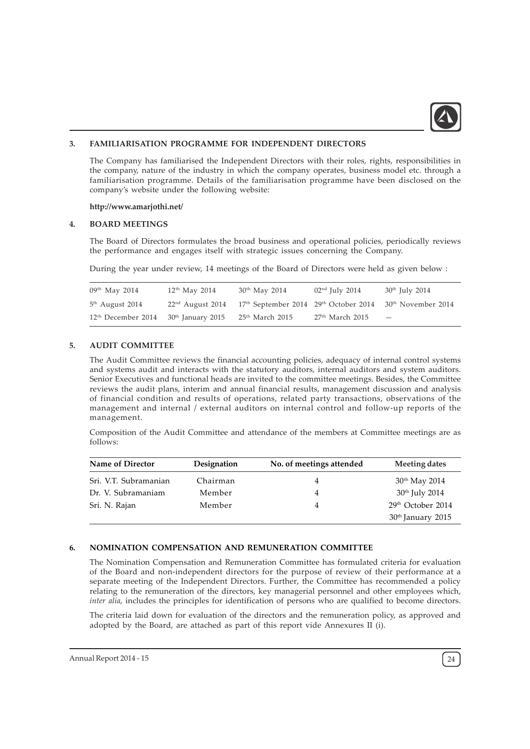

# 3. FAMILIARISATION PROGRAMME FOR INDEPENDENT DIRECTORS

The Company has familiarised the Independent Directors with their roles, rights, responsibilities in the company, nature of the industry in which the company operates, business model etc. through a familiarisation programme. Details of the familiarisation programme have been disclosed on the company's website under the following website:

#### http://www.amarjothi.net/

#### 4. BOARD MEETINGS

The Board of Directors formulates the broad business and operational policies, periodically reviews the performance and engages itself with strategic issues concerning the Company.

During the year under review, 14 meetings of the Board of Directors were held as given below :

| $09th$ May 2014                | $12th$ May 2014    | $30th$ May 2014                                     | $02nd$ July 2014  | $30th$ July 2014                |
|--------------------------------|--------------------|-----------------------------------------------------|-------------------|---------------------------------|
| $5th$ August 2014              | $22nd$ August 2014 | $17th$ September 2014 29 <sup>th</sup> October 2014 |                   | 30 <sup>th</sup> November 2014  |
| 12 <sup>th</sup> December 2014 | 30th January 2015  | $25th$ March 2015                                   | $27th$ March 2015 | $\hspace{0.1mm}-\hspace{0.1mm}$ |

# 5. AUDIT COMMITTEE

The Audit Committee reviews the financial accounting policies, adequacy of internal control systems and systems audit and interacts with the statutory auditors, internal auditors and system auditors. Senior Executives and functional heads are invited to the committee meetings. Besides, the Committee reviews the audit plans, interim and annual financial results, management discussion and analysis of financial condition and results of operations, related party transactions, observations of the management and internal / external auditors on internal control and follow-up reports of the management.

Composition of the Audit Committee and attendance of the members at Committee meetings are as follows:

| Name of Director      | Designation | No. of meetings attended | Meeting dates                 |
|-----------------------|-------------|--------------------------|-------------------------------|
| Sri. V.T. Subramanian | Chairman    | 4                        | 30 <sup>th</sup> May 2014     |
| Dr. V. Subramaniam    | Member      | 4                        | $30th$ July 2014              |
| Sri. N. Rajan         | Member      | 4                        | 29 <sup>th</sup> October 2014 |
|                       |             |                          | 30 <sup>th</sup> January 2015 |

#### 6. NOMINATION COMPENSATION AND REMUNERATION COMMITTEE

The Nomination Compensation and Remuneration Committee has formulated criteria for evaluation of the Board and non-independent directors for the purpose of review of their performance at a separate meeting of the Independent Directors. Further, the Committee has recommended a policy relating to the remuneration of the directors, key managerial personnel and other employees which, inter alia, includes the principles for identification of persons who are qualified to become directors.

The criteria laid down for evaluation of the directors and the remuneration policy, as approved and adopted by the Board, are attached as part of this report vide Annexures II (i).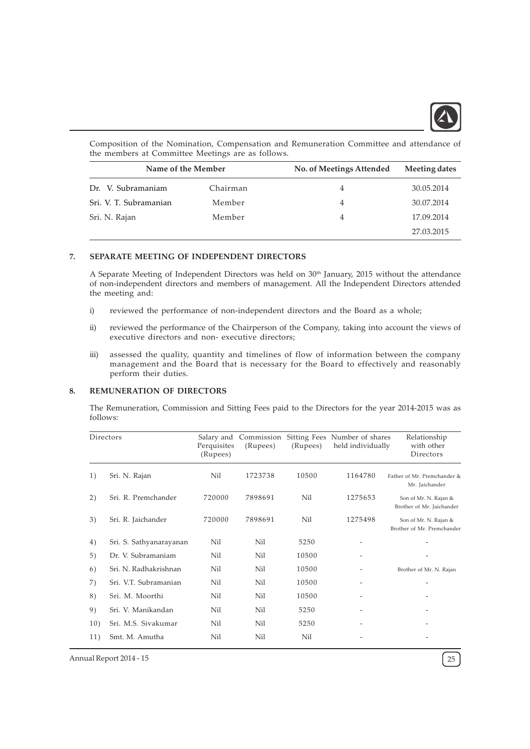

Composition of the Nomination, Compensation and Remuneration Committee and attendance of the members at Committee Meetings are as follows.

| Name of the Member     |          | No. of Meetings Attended | Meeting dates |  |
|------------------------|----------|--------------------------|---------------|--|
| Dr. V. Subramaniam     | Chairman | 4                        | 30.05.2014    |  |
| Sri. V. T. Subramanian | Member   | 4                        | 30.07.2014    |  |
| Sri. N. Rajan          | Member   | 4                        | 17.09.2014    |  |
|                        |          |                          | 27.03.2015    |  |

#### 7. SEPARATE MEETING OF INDEPENDENT DIRECTORS

A Separate Meeting of Independent Directors was held on 30<sup>th</sup> January, 2015 without the attendance of non-independent directors and members of management. All the Independent Directors attended the meeting and:

- i) reviewed the performance of non-independent directors and the Board as a whole;
- ii) reviewed the performance of the Chairperson of the Company, taking into account the views of executive directors and non- executive directors;
- iii) assessed the quality, quantity and timelines of flow of information between the company management and the Board that is necessary for the Board to effectively and reasonably perform their duties.

# 8. REMUNERATION OF DIRECTORS

The Remuneration, Commission and Sitting Fees paid to the Directors for the year 2014-2015 was as follows:

| Directors |                         | Perquisites<br>(Rupees) | Salary and Commission<br>(Rupees) | (Rupees) | Sitting Fees Number of shares<br>held individually | Relationship<br>with other<br>Directors             |
|-----------|-------------------------|-------------------------|-----------------------------------|----------|----------------------------------------------------|-----------------------------------------------------|
| 1)        | Sri. N. Rajan           | Nil                     | 1723738                           | 10500    | 1164780                                            | Father of Mr. Premchander &<br>Mr. Jaichander       |
| 2)        | Sri. R. Premchander     | 720000                  | 7898691                           | Nil      | 1275653                                            | Son of Mr. N. Rajan &<br>Brother of Mr. Jaichander  |
| 3)        | Sri. R. Jaichander      | 720000                  | 7898691                           | Nil      | 1275498                                            | Son of Mr. N. Rajan &<br>Brother of Mr. Premchander |
| 4)        | Sri. S. Sathyanarayanan | Nil                     | Nil                               | 5250     |                                                    |                                                     |
| 5)        | Dr. V. Subramaniam      | Nil                     | Nil                               | 10500    |                                                    |                                                     |
| 6)        | Sri. N. Radhakrishnan   | Nil                     | Nil                               | 10500    |                                                    | Brother of Mr. N. Rajan                             |
| 7)        | Sri. V.T. Subramanian   | Nil                     | Nil                               | 10500    |                                                    |                                                     |
| 8)        | Sri. M. Moorthi         | Nil                     | Nil                               | 10500    |                                                    |                                                     |
| 9)        | Sri. V. Manikandan      | Nil                     | Nil                               | 5250     |                                                    |                                                     |
| 10)       | Sri. M.S. Sivakumar     | Nil                     | Nil                               | 5250     |                                                    |                                                     |
| 11)       | Smt. M. Amutha          | Nil                     | Nil                               | Nil      |                                                    |                                                     |

Annual Report 2014 - 15 25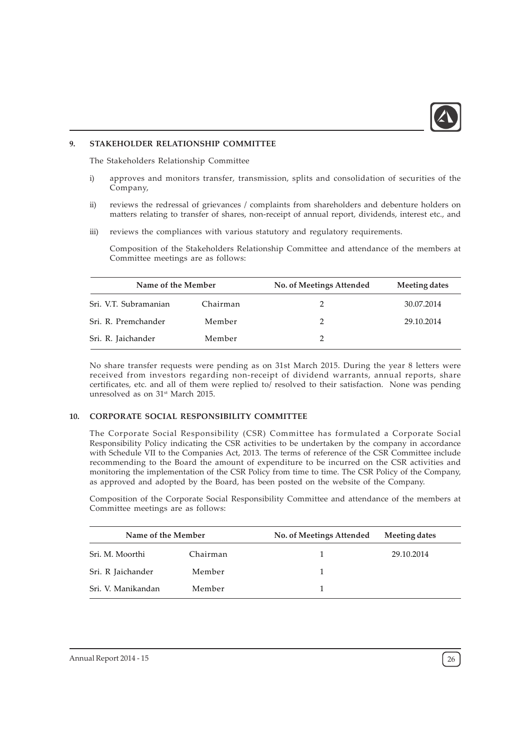

# 9. STAKEHOLDER RELATIONSHIP COMMITTEE

The Stakeholders Relationship Committee

- i) approves and monitors transfer, transmission, splits and consolidation of securities of the Company,
- ii) reviews the redressal of grievances / complaints from shareholders and debenture holders on matters relating to transfer of shares, non-receipt of annual report, dividends, interest etc., and
- iii) reviews the compliances with various statutory and regulatory requirements.

Composition of the Stakeholders Relationship Committee and attendance of the members at Committee meetings are as follows:

| Name of the Member    |          | No. of Meetings Attended | Meeting dates |  |
|-----------------------|----------|--------------------------|---------------|--|
| Sri. V.T. Subramanian | Chairman |                          | 30.07.2014    |  |
| Sri. R. Premchander   | Member   |                          | 29.10.2014    |  |
| Sri. R. Jaichander    | Member   |                          |               |  |

No share transfer requests were pending as on 31st March 2015. During the year 8 letters were received from investors regarding non-receipt of dividend warrants, annual reports, share certificates, etc. and all of them were replied to/ resolved to their satisfaction. None was pending unresolved as on 31<sup>st</sup> March 2015.

# 10. CORPORATE SOCIAL RESPONSIBILITY COMMITTEE

The Corporate Social Responsibility (CSR) Committee has formulated a Corporate Social Responsibility Policy indicating the CSR activities to be undertaken by the company in accordance with Schedule VII to the Companies Act, 2013. The terms of reference of the CSR Committee include recommending to the Board the amount of expenditure to be incurred on the CSR activities and monitoring the implementation of the CSR Policy from time to time. The CSR Policy of the Company, as approved and adopted by the Board, has been posted on the website of the Company.

Composition of the Corporate Social Responsibility Committee and attendance of the members at Committee meetings are as follows:

| Name of the Member |          | No. of Meetings Attended | Meeting dates |  |
|--------------------|----------|--------------------------|---------------|--|
| Sri, M. Moorthi    | Chairman |                          | 29.10.2014    |  |
| Sri. R Jaichander  | Member   |                          |               |  |
| Sri. V. Manikandan | Member   |                          |               |  |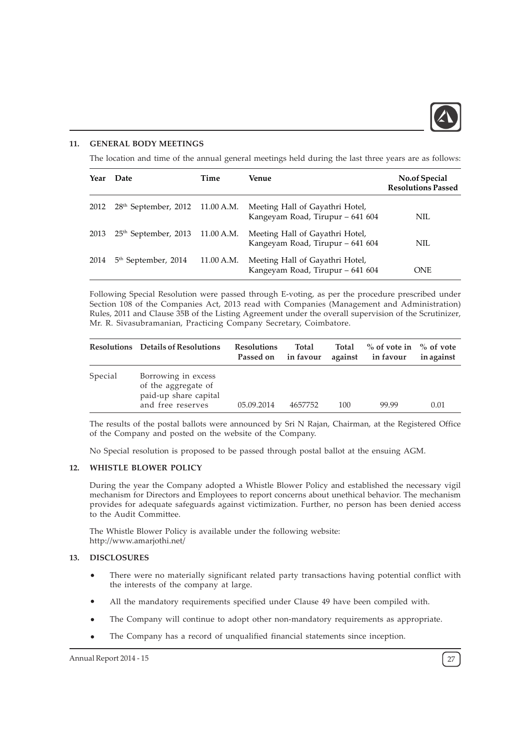

# 11. GENERAL BODY MEETINGS

The location and time of the annual general meetings held during the last three years are as follows:

| Year | Date                                        | Time       | Venue                                                               | <b>No.of Special</b><br><b>Resolutions Passed</b> |
|------|---------------------------------------------|------------|---------------------------------------------------------------------|---------------------------------------------------|
| 2012 | 28 <sup>th</sup> September, 2012 11.00 A.M. |            | Meeting Hall of Gayathri Hotel,<br>Kangeyam Road, Tirupur - 641 604 | NIL                                               |
| 2013 | $25th$ September, 2013 11.00 A.M.           |            | Meeting Hall of Gayathri Hotel,<br>Kangeyam Road, Tirupur - 641 604 | NIL                                               |
| 2014 | 5 <sup>th</sup> September, 2014             | 11.00 A.M. | Meeting Hall of Gayathri Hotel,<br>Kangeyam Road, Tirupur - 641 604 | <b>ONE</b>                                        |

Following Special Resolution were passed through E-voting, as per the procedure prescribed under Section 108 of the Companies Act, 2013 read with Companies (Management and Administration) Rules, 2011 and Clause 35B of the Listing Agreement under the overall supervision of the Scrutinizer, Mr. R. Sivasubramanian, Practicing Company Secretary, Coimbatore.

|         | <b>Resolutions</b> Details of Resolutions                                                | <b>Resolutions</b><br>Passed on | Total<br>in favour | Total | $\%$ of vote in $\%$ of vote<br>against in favour | in against |
|---------|------------------------------------------------------------------------------------------|---------------------------------|--------------------|-------|---------------------------------------------------|------------|
| Special | Borrowing in excess<br>of the aggregate of<br>paid-up share capital<br>and free reserves | 05.09.2014                      | 4657752            | 100   | 99.99                                             | 0.01       |

The results of the postal ballots were announced by Sri N Rajan, Chairman, at the Registered Office of the Company and posted on the website of the Company.

No Special resolution is proposed to be passed through postal ballot at the ensuing AGM.

#### 12. WHISTLE BLOWER POLICY

During the year the Company adopted a Whistle Blower Policy and established the necessary vigil mechanism for Directors and Employees to report concerns about unethical behavior. The mechanism provides for adequate safeguards against victimization. Further, no person has been denied access to the Audit Committee.

The Whistle Blower Policy is available under the following website: http://www.amarjothi.net/

#### 13. DISCLOSURES

- There were no materially significant related party transactions having potential conflict with the interests of the company at large.
- $\bullet$ All the mandatory requirements specified under Clause 49 have been compiled with.
- The Company will continue to adopt other non-mandatory requirements as appropriate.
- The Company has a record of unqualified financial statements since inception.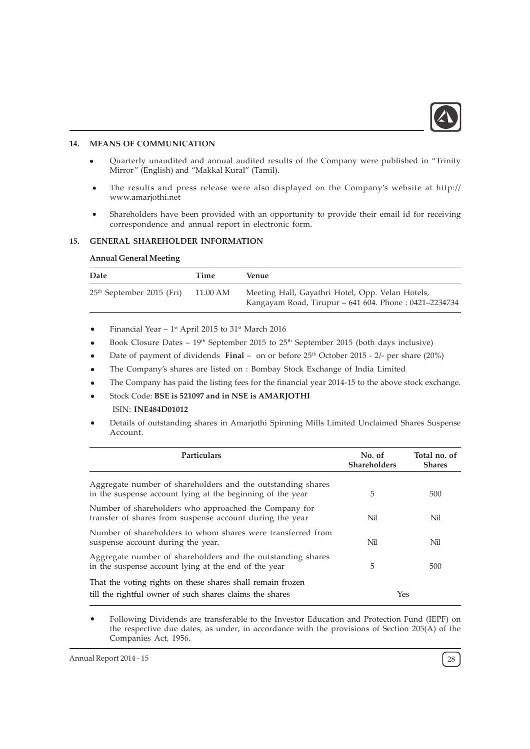

# 14. MEANS OF COMMUNICATION

- Quarterly unaudited and annual audited results of the Company were published in "Trinity Mirror" (English) and "Makkal Kural" (Tamil).
- The results and press release were also displayed on the Company's website at http:// www.amarjothi.net
- Shareholders have been provided with an opportunity to provide their email id for receiving correspondence and annual report in electronic form.

#### 15. GENERAL SHAREHOLDER INFORMATION

#### Annual General Meeting

| Date                        | Time     | Venue                                                                                                     |
|-----------------------------|----------|-----------------------------------------------------------------------------------------------------------|
| $25th$ September 2015 (Fri) | 11.00 AM | Meeting Hall, Gayathri Hotel, Opp. Velan Hotels,<br>Kangayam Road, Tirupur – 641 604. Phone: 0421–2234734 |

- Financial Year  $1<sup>st</sup>$  April 2015 to 31<sup>st</sup> March 2016
- Book Closure Dates  $19<sup>th</sup>$  September 2015 to 25<sup>th</sup> September 2015 (both days inclusive)
- Date of payment of dividends Final on or before  $25<sup>th</sup>$  October 2015 2/- per share (20%)
- The Company's shares are listed on : Bombay Stock Exchange of India Limited
- The Company has paid the listing fees for the financial year 2014-15 to the above stock exchange.
- Stock Code: BSE is 521097 and in NSE is AMARJOTHI ISIN: INE484D01012
- Details of outstanding shares in Amarjothi Spinning Mills Limited Unclaimed Shares Suspense Account.

| Particulars                                                                                                               | No. of<br><b>Shareholders</b> | Total no. of<br><b>Shares</b> |
|---------------------------------------------------------------------------------------------------------------------------|-------------------------------|-------------------------------|
| Aggregate number of shareholders and the outstanding shares<br>in the suspense account lying at the beginning of the year | 5                             | 500                           |
| Number of shareholders who approached the Company for<br>transfer of shares from suspense account during the year         | Nil                           | Nil                           |
| Number of shareholders to whom shares were transferred from<br>suspense account during the year.                          | Nil                           | Nil                           |
| Aggregate number of shareholders and the outstanding shares<br>in the suspense account lying at the end of the year       | 5                             | 500                           |
| That the voting rights on these shares shall remain frozen<br>till the rightful owner of such shares claims the shares    | Yes                           |                               |

Following Dividends are transferable to the Investor Education and Protection Fund (IEPF) on the respective due dates, as under, in accordance with the provisions of Section 205(A) of the Companies Act, 1956.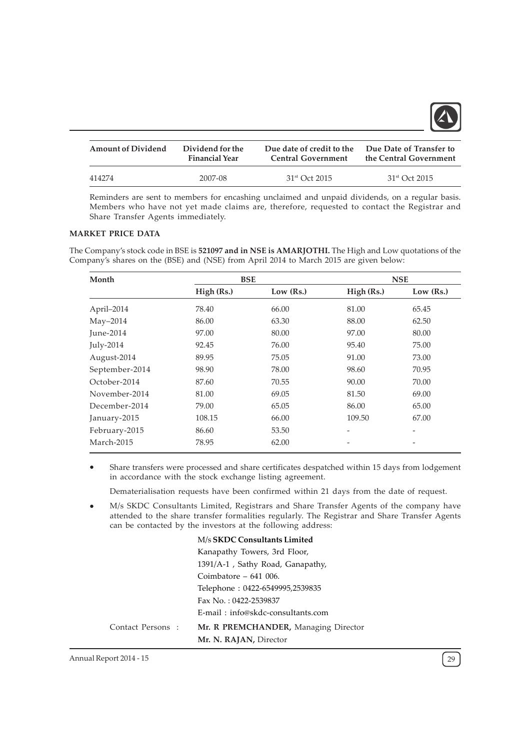

| <b>Amount of Dividend</b> | Dividend for the      | Due date of credit to the | Due Date of Transfer to   |
|---------------------------|-----------------------|---------------------------|---------------------------|
|                           | <b>Financial Year</b> | <b>Central Government</b> | the Central Government    |
| 414274                    | 2007-08               | $31st$ Oct 2015           | 31 <sup>st</sup> Oct 2015 |

Reminders are sent to members for encashing unclaimed and unpaid dividends, on a regular basis. Members who have not yet made claims are, therefore, requested to contact the Registrar and Share Transfer Agents immediately.

# MARKET PRICE DATA

The Company's stock code in BSE is 521097 and in NSE is AMARJOTHI. The High and Low quotations of the Company's shares on the (BSE) and (NSE) from April 2014 to March 2015 are given below:

| Month          | <b>BSE</b> |           |            | <b>NSE</b>               |
|----------------|------------|-----------|------------|--------------------------|
|                | High (Rs.) | Low (Rs.) | High (Rs.) | Low $(Rs.)$              |
| April-2014     | 78.40      | 66.00     | 81.00      | 65.45                    |
| $May-2014$     | 86.00      | 63.30     | 88.00      | 62.50                    |
| June-2014      | 97.00      | 80.00     | 97.00      | 80.00                    |
| July-2014      | 92.45      | 76.00     | 95.40      | 75.00                    |
| August-2014    | 89.95      | 75.05     | 91.00      | 73.00                    |
| September-2014 | 98.90      | 78.00     | 98.60      | 70.95                    |
| October-2014   | 87.60      | 70.55     | 90.00      | 70.00                    |
| November-2014  | 81.00      | 69.05     | 81.50      | 69.00                    |
| December-2014  | 79.00      | 65.05     | 86.00      | 65.00                    |
| January-2015   | 108.15     | 66.00     | 109.50     | 67.00                    |
| February-2015  | 86.60      | 53.50     |            | $\overline{\phantom{0}}$ |
| March-2015     | 78.95      | 62.00     |            |                          |

Share transfers were processed and share certificates despatched within 15 days from lodgement in accordance with the stock exchange listing agreement.

Dematerialisation requests have been confirmed within 21 days from the date of request.

M/s SKDC Consultants Limited, Registrars and Share Transfer Agents of the company have attended to the share transfer formalities regularly. The Registrar and Share Transfer Agents can be contacted by the investors at the following address:

#### M/s SKDC Consultants Limited

|                   | Kanapathy Towers, 3rd Floor,         |
|-------------------|--------------------------------------|
|                   | 1391/A-1, Sathy Road, Ganapathy,     |
|                   | Coimbatore $-641$ 006.               |
|                   | Telephone: 0422-6549995,2539835      |
|                   | Fax No.: 0422-2539837                |
|                   | E-mail: info@skdc-consultants.com    |
| Contact Persons : | Mr. R PREMCHANDER, Managing Director |
|                   | Mr. N. RAJAN, Director               |

Annual Report 2014 - 15 29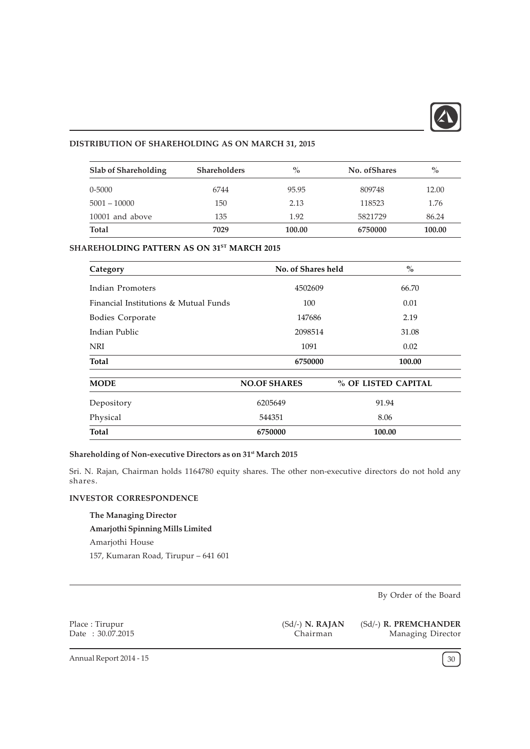

# DISTRIBUTION OF SHAREHOLDING AS ON MARCH 31, 2015

| Slab of Shareholding | <b>Shareholders</b> | $\%$   | No. of Shares | $\%$   |
|----------------------|---------------------|--------|---------------|--------|
| $0 - 5000$           | 6744                | 95.95  | 809748        | 12.00  |
| $5001 - 10000$       | 150                 | 2.13   | 118523        | 1.76   |
| 10001 and above      | 135                 | 1.92   | 5821729       | 86.24  |
| Total                | 7029                | 100.00 | 6750000       | 100.00 |

# SHAREHOLDING PATTERN AS ON 31ST MARCH 2015

| Category                              | No. of Shares held  | $\%$                |
|---------------------------------------|---------------------|---------------------|
| Indian Promoters                      | 4502609             | 66.70               |
| Financial Institutions & Mutual Funds | 100                 | 0.01                |
| Bodies Corporate                      | 147686              | 2.19                |
| Indian Public                         | 2098514             | 31.08               |
| NRI                                   | 1091                | 0.02                |
| Total                                 | 6750000             | 100.00              |
| <b>MODE</b>                           | <b>NO.OF SHARES</b> | % OF LISTED CAPITAL |
| Depository                            | 6205649             | 91.94               |
| Physical                              | 544351              | 8.06                |
| Total                                 | 6750000             | 100.00              |

# Shareholding of Non-executive Directors as on 31<sup>st</sup> March 2015

Sri. N. Rajan, Chairman holds 1164780 equity shares. The other non-executive directors do not hold any shares.

# INVESTOR CORRESPONDENCE

The Managing Director Amarjothi Spinning Mills Limited Amarjothi House 157, Kumaran Road, Tirupur – 641 601

By Order of the Board

Place : Tirupur Date : 30.07.2015 (Sd/-) N. RAJAN Chairman

(Sd/-) R. PREMCHANDER Managing Director

Annual Report 2014 - 15  $\left(30\right)$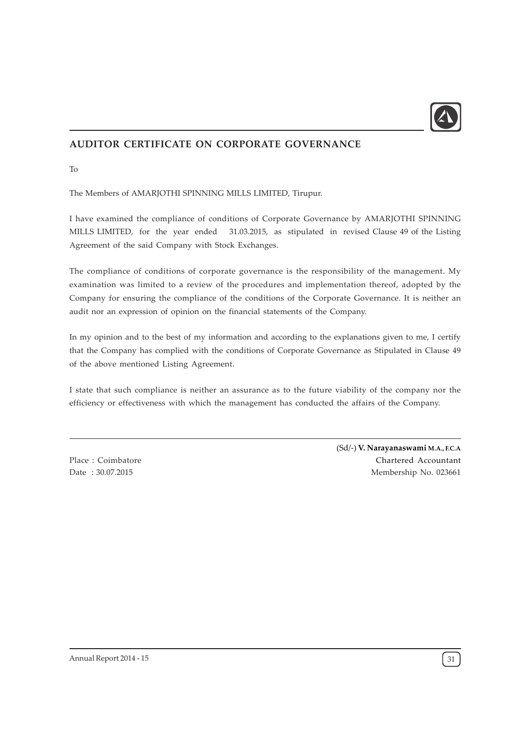

# AUDITOR CERTIFICATE ON CORPORATE GOVERNANCE

To

The Members of AMARJOTHI SPINNING MILLS LIMITED, Tirupur.

I have examined the compliance of conditions of Corporate Governance by AMARJOTHI SPINNING MILLS LIMITED, for the year ended 31.03.2015, as stipulated in revised Clause 49 of the Listing Agreement of the said Company with Stock Exchanges.

The compliance of conditions of corporate governance is the responsibility of the management. My examination was limited to a review of the procedures and implementation thereof, adopted by the Company for ensuring the compliance of the conditions of the Corporate Governance. It is neither an audit nor an expression of opinion on the financial statements of the Company.

In my opinion and to the best of my information and according to the explanations given to me, I certify that the Company has complied with the conditions of Corporate Governance as Stipulated in Clause 49 of the above mentioned Listing Agreement.

I state that such compliance is neither an assurance as to the future viability of the company nor the efficiency or effectiveness with which the management has conducted the affairs of the Company.

Place : Coimbatore Date : 30.07.2015

(Sd/-) V. Narayanaswami M.A., F.C.A Chartered Accountant Membership No. 023661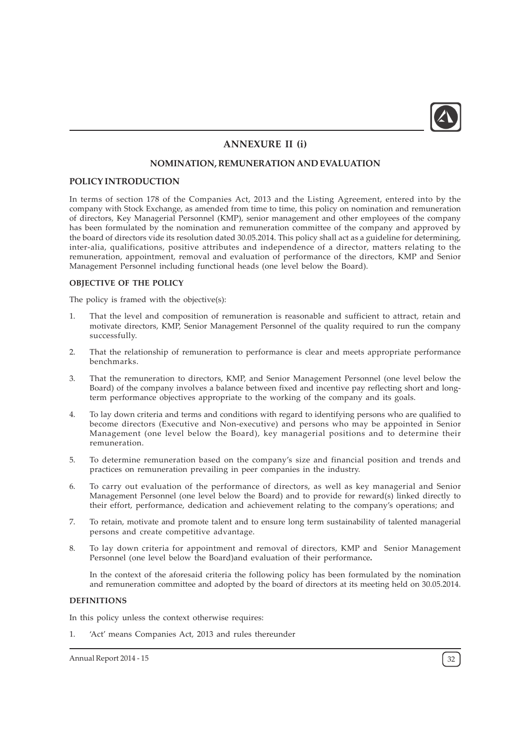

# ANNEXURE II (i)

# NOMINATION, REMUNERATION AND EVALUATION

### POLICY INTRODUCTION

In terms of section 178 of the Companies Act, 2013 and the Listing Agreement, entered into by the company with Stock Exchange, as amended from time to time, this policy on nomination and remuneration of directors, Key Managerial Personnel (KMP), senior management and other employees of the company has been formulated by the nomination and remuneration committee of the company and approved by the board of directors vide its resolution dated 30.05.2014. This policy shall act as a guideline for determining, inter-alia, qualifications, positive attributes and independence of a director, matters relating to the remuneration, appointment, removal and evaluation of performance of the directors, KMP and Senior Management Personnel including functional heads (one level below the Board).

# OBJECTIVE OF THE POLICY

The policy is framed with the objective(s):

- 1. That the level and composition of remuneration is reasonable and sufficient to attract, retain and motivate directors, KMP, Senior Management Personnel of the quality required to run the company successfully.
- 2. That the relationship of remuneration to performance is clear and meets appropriate performance benchmarks.
- 3. That the remuneration to directors, KMP, and Senior Management Personnel (one level below the Board) of the company involves a balance between fixed and incentive pay reflecting short and longterm performance objectives appropriate to the working of the company and its goals.
- 4. To lay down criteria and terms and conditions with regard to identifying persons who are qualified to become directors (Executive and Non-executive) and persons who may be appointed in Senior Management (one level below the Board), key managerial positions and to determine their remuneration.
- 5. To determine remuneration based on the company's size and financial position and trends and practices on remuneration prevailing in peer companies in the industry.
- 6. To carry out evaluation of the performance of directors, as well as key managerial and Senior Management Personnel (one level below the Board) and to provide for reward(s) linked directly to their effort, performance, dedication and achievement relating to the company's operations; and
- 7. To retain, motivate and promote talent and to ensure long term sustainability of talented managerial persons and create competitive advantage.
- 8. To lay down criteria for appointment and removal of directors, KMP and Senior Management Personnel (one level below the Board)and evaluation of their performance.

In the context of the aforesaid criteria the following policy has been formulated by the nomination and remuneration committee and adopted by the board of directors at its meeting held on 30.05.2014.

#### DEFINITIONS

In this policy unless the context otherwise requires:

1. 'Act' means Companies Act, 2013 and rules thereunder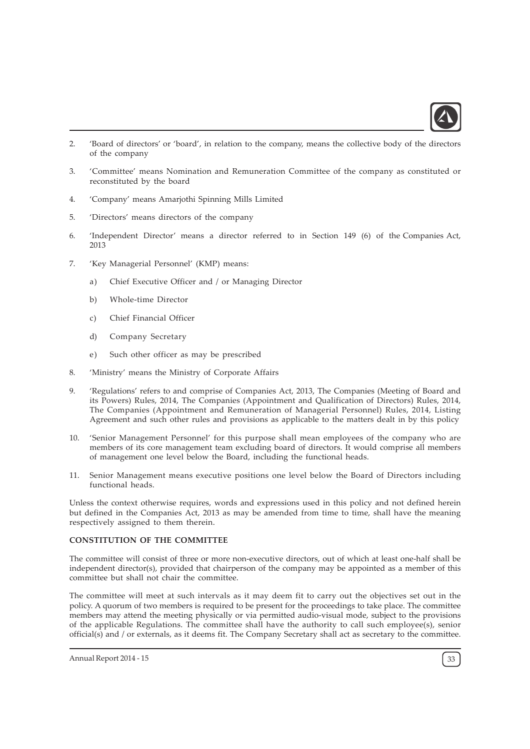

- 2. 'Board of directors' or 'board', in relation to the company, means the collective body of the directors of the company
- 3. 'Committee' means Nomination and Remuneration Committee of the company as constituted or reconstituted by the board
- 4. 'Company' means Amarjothi Spinning Mills Limited
- 5. 'Directors' means directors of the company
- 6. 'Independent Director' means a director referred to in Section 149 (6) of the Companies Act, 2013
- 7. 'Key Managerial Personnel' (KMP) means:
	- a) Chief Executive Officer and / or Managing Director
	- b) Whole-time Director
	- c) Chief Financial Officer
	- d) Company Secretary
	- e) Such other officer as may be prescribed
- 8. 'Ministry' means the Ministry of Corporate Affairs
- 9. 'Regulations' refers to and comprise of Companies Act, 2013, The Companies (Meeting of Board and its Powers) Rules, 2014, The Companies (Appointment and Qualification of Directors) Rules, 2014, The Companies (Appointment and Remuneration of Managerial Personnel) Rules, 2014, Listing Agreement and such other rules and provisions as applicable to the matters dealt in by this policy
- 10. 'Senior Management Personnel' for this purpose shall mean employees of the company who are members of its core management team excluding board of directors. It would comprise all members of management one level below the Board, including the functional heads.
- 11. Senior Management means executive positions one level below the Board of Directors including functional heads.

Unless the context otherwise requires, words and expressions used in this policy and not defined herein but defined in the Companies Act, 2013 as may be amended from time to time, shall have the meaning respectively assigned to them therein.

# CONSTITUTION OF THE COMMITTEE

The committee will consist of three or more non-executive directors, out of which at least one-half shall be independent director(s), provided that chairperson of the company may be appointed as a member of this committee but shall not chair the committee.

The committee will meet at such intervals as it may deem fit to carry out the objectives set out in the policy. A quorum of two members is required to be present for the proceedings to take place. The committee members may attend the meeting physically or via permitted audio-visual mode, subject to the provisions of the applicable Regulations. The committee shall have the authority to call such employee(s), senior official(s) and / or externals, as it deems fit. The Company Secretary shall act as secretary to the committee.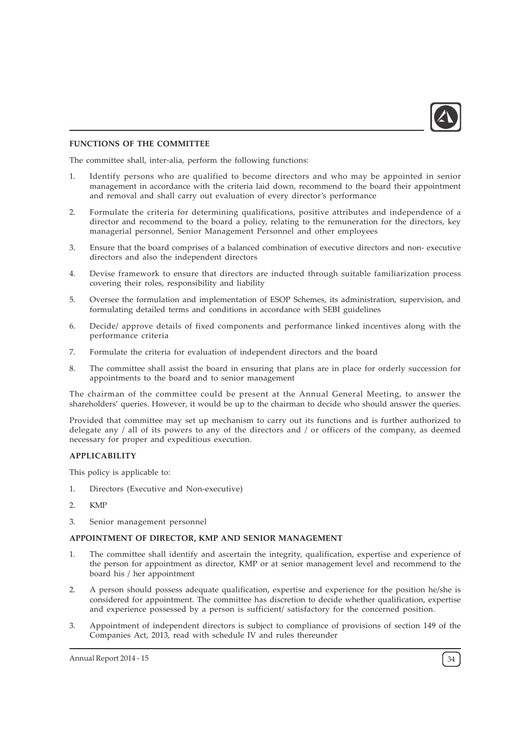

# FUNCTIONS OF THE COMMITTEE

The committee shall, inter-alia, perform the following functions:

- 1. Identify persons who are qualified to become directors and who may be appointed in senior management in accordance with the criteria laid down, recommend to the board their appointment and removal and shall carry out evaluation of every director's performance
- 2. Formulate the criteria for determining qualifications, positive attributes and independence of a director and recommend to the board a policy, relating to the remuneration for the directors, key managerial personnel, Senior Management Personnel and other employees
- 3. Ensure that the board comprises of a balanced combination of executive directors and non- executive directors and also the independent directors
- 4. Devise framework to ensure that directors are inducted through suitable familiarization process covering their roles, responsibility and liability
- 5. Oversee the formulation and implementation of ESOP Schemes, its administration, supervision, and formulating detailed terms and conditions in accordance with SEBI guidelines
- 6. Decide/ approve details of fixed components and performance linked incentives along with the performance criteria
- 7. Formulate the criteria for evaluation of independent directors and the board
- 8. The committee shall assist the board in ensuring that plans are in place for orderly succession for appointments to the board and to senior management

The chairman of the committee could be present at the Annual General Meeting, to answer the shareholders' queries. However, it would be up to the chairman to decide who should answer the queries.

Provided that committee may set up mechanism to carry out its functions and is further authorized to delegate any / all of its powers to any of the directors and / or officers of the company, as deemed necessary for proper and expeditious execution.

# APPLICABILITY

This policy is applicable to:

- 1. Directors (Executive and Non-executive)
- 2. KMP
- 3. Senior management personnel

#### APPOINTMENT OF DIRECTOR, KMP AND SENIOR MANAGEMENT

- The committee shall identify and ascertain the integrity, qualification, expertise and experience of the person for appointment as director, KMP or at senior management level and recommend to the board his / her appointment
- 2. A person should possess adequate qualification, expertise and experience for the position he/she is considered for appointment. The committee has discretion to decide whether qualification, expertise and experience possessed by a person is sufficient/ satisfactory for the concerned position.
- 3. Appointment of independent directors is subject to compliance of provisions of section 149 of the Companies Act, 2013, read with schedule IV and rules thereunder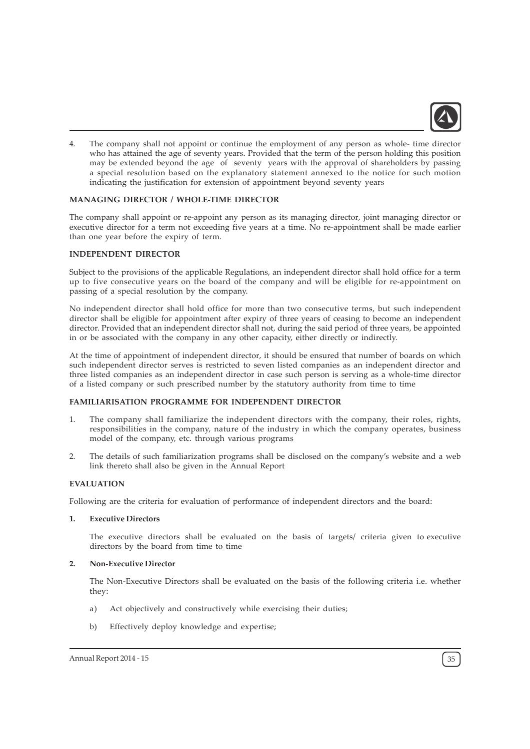

4. The company shall not appoint or continue the employment of any person as whole- time director who has attained the age of seventy years. Provided that the term of the person holding this position may be extended beyond the age of seventy years with the approval of shareholders by passing a special resolution based on the explanatory statement annexed to the notice for such motion indicating the justification for extension of appointment beyond seventy years

# MANAGING DIRECTOR / WHOLE-TIME DIRECTOR

The company shall appoint or re-appoint any person as its managing director, joint managing director or executive director for a term not exceeding five years at a time. No re-appointment shall be made earlier than one year before the expiry of term.

#### INDEPENDENT DIRECTOR

Subject to the provisions of the applicable Regulations, an independent director shall hold office for a term up to five consecutive years on the board of the company and will be eligible for re-appointment on passing of a special resolution by the company.

No independent director shall hold office for more than two consecutive terms, but such independent director shall be eligible for appointment after expiry of three years of ceasing to become an independent director. Provided that an independent director shall not, during the said period of three years, be appointed in or be associated with the company in any other capacity, either directly or indirectly.

At the time of appointment of independent director, it should be ensured that number of boards on which such independent director serves is restricted to seven listed companies as an independent director and three listed companies as an independent director in case such person is serving as a whole-time director of a listed company or such prescribed number by the statutory authority from time to time

# FAMILIARISATION PROGRAMME FOR INDEPENDENT DIRECTOR

- 1. The company shall familiarize the independent directors with the company, their roles, rights, responsibilities in the company, nature of the industry in which the company operates, business model of the company, etc. through various programs
- 2. The details of such familiarization programs shall be disclosed on the company's website and a web link thereto shall also be given in the Annual Report

#### EVALUATION

Following are the criteria for evaluation of performance of independent directors and the board:

#### 1. Executive Directors

The executive directors shall be evaluated on the basis of targets/ criteria given to executive directors by the board from time to time

#### 2. Non-Executive Director

The Non-Executive Directors shall be evaluated on the basis of the following criteria i.e. whether they:

- a) Act objectively and constructively while exercising their duties;
- b) Effectively deploy knowledge and expertise;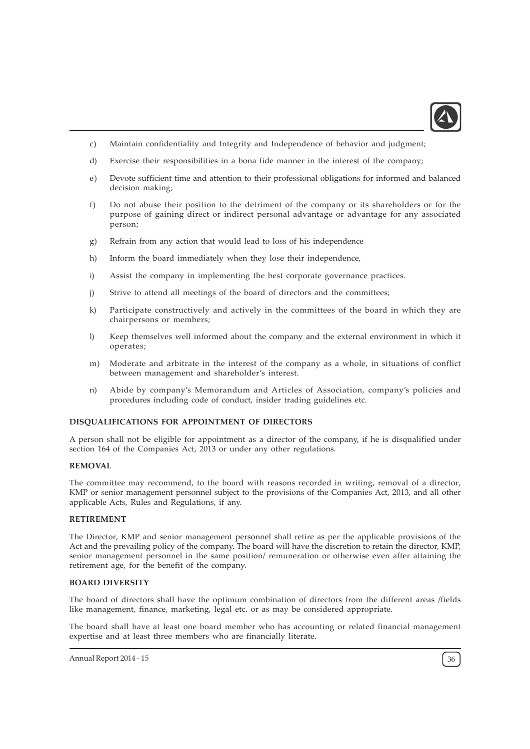

- c) Maintain confidentiality and Integrity and Independence of behavior and judgment;
- d) Exercise their responsibilities in a bona fide manner in the interest of the company;
- e) Devote sufficient time and attention to their professional obligations for informed and balanced decision making;
- f) Do not abuse their position to the detriment of the company or its shareholders or for the purpose of gaining direct or indirect personal advantage or advantage for any associated person;
- g) Refrain from any action that would lead to loss of his independence
- h) Inform the board immediately when they lose their independence,
- i) Assist the company in implementing the best corporate governance practices.
- j) Strive to attend all meetings of the board of directors and the committees;
- k) Participate constructively and actively in the committees of the board in which they are chairpersons or members;
- l) Keep themselves well informed about the company and the external environment in which it operates;
- m) Moderate and arbitrate in the interest of the company as a whole, in situations of conflict between management and shareholder's interest.
- n) Abide by company's Memorandum and Articles of Association, company's policies and procedures including code of conduct, insider trading guidelines etc.

#### DISQUALIFICATIONS FOR APPOINTMENT OF DIRECTORS

A person shall not be eligible for appointment as a director of the company, if he is disqualified under section 164 of the Companies Act, 2013 or under any other regulations.

#### REMOVAL

The committee may recommend, to the board with reasons recorded in writing, removal of a director, KMP or senior management personnel subject to the provisions of the Companies Act, 2013, and all other applicable Acts, Rules and Regulations, if any.

### RETIREMENT

The Director, KMP and senior management personnel shall retire as per the applicable provisions of the Act and the prevailing policy of the company. The board will have the discretion to retain the director, KMP, senior management personnel in the same position/ remuneration or otherwise even after attaining the retirement age, for the benefit of the company.

### BOARD DIVERSITY

The board of directors shall have the optimum combination of directors from the different areas /fields like management, finance, marketing, legal etc. or as may be considered appropriate.

The board shall have at least one board member who has accounting or related financial management expertise and at least three members who are financially literate.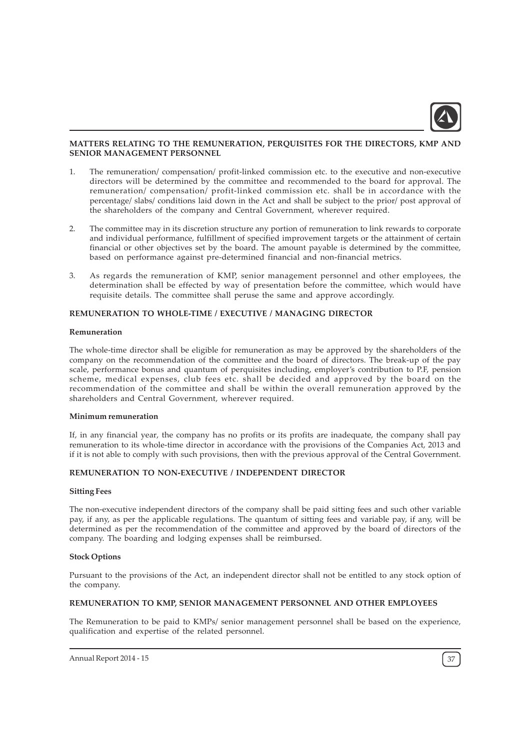

### MATTERS RELATING TO THE REMUNERATION, PERQUISITES FOR THE DIRECTORS, KMP AND SENIOR MANAGEMENT PERSONNEL

- 1. The remuneration/ compensation/ profit-linked commission etc. to the executive and non-executive directors will be determined by the committee and recommended to the board for approval. The remuneration/ compensation/ profit-linked commission etc. shall be in accordance with the percentage/ slabs/ conditions laid down in the Act and shall be subject to the prior/ post approval of the shareholders of the company and Central Government, wherever required.
- 2. The committee may in its discretion structure any portion of remuneration to link rewards to corporate and individual performance, fulfillment of specified improvement targets or the attainment of certain financial or other objectives set by the board. The amount payable is determined by the committee, based on performance against pre-determined financial and non-financial metrics.
- 3. As regards the remuneration of KMP, senior management personnel and other employees, the determination shall be effected by way of presentation before the committee, which would have requisite details. The committee shall peruse the same and approve accordingly.

### REMUNERATION TO WHOLE-TIME / EXECUTIVE / MANAGING DIRECTOR

#### Remuneration

The whole-time director shall be eligible for remuneration as may be approved by the shareholders of the company on the recommendation of the committee and the board of directors. The break-up of the pay scale, performance bonus and quantum of perquisites including, employer's contribution to P.F, pension scheme, medical expenses, club fees etc. shall be decided and approved by the board on the recommendation of the committee and shall be within the overall remuneration approved by the shareholders and Central Government, wherever required.

#### Minimum remuneration

If, in any financial year, the company has no profits or its profits are inadequate, the company shall pay remuneration to its whole-time director in accordance with the provisions of the Companies Act, 2013 and if it is not able to comply with such provisions, then with the previous approval of the Central Government.

### REMUNERATION TO NON-EXECUTIVE / INDEPENDENT DIRECTOR

#### Sitting Fees

The non-executive independent directors of the company shall be paid sitting fees and such other variable pay, if any, as per the applicable regulations. The quantum of sitting fees and variable pay, if any, will be determined as per the recommendation of the committee and approved by the board of directors of the company. The boarding and lodging expenses shall be reimbursed.

#### Stock Options

Pursuant to the provisions of the Act, an independent director shall not be entitled to any stock option of the company.

#### REMUNERATION TO KMP, SENIOR MANAGEMENT PERSONNEL AND OTHER EMPLOYEES

The Remuneration to be paid to KMPs/ senior management personnel shall be based on the experience, qualification and expertise of the related personnel.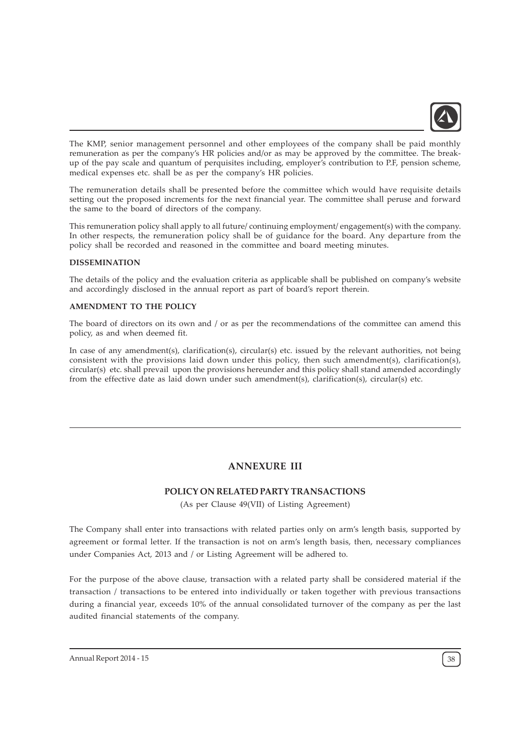

The KMP, senior management personnel and other employees of the company shall be paid monthly remuneration as per the company's HR policies and/or as may be approved by the committee. The breakup of the pay scale and quantum of perquisites including, employer's contribution to P.F, pension scheme, medical expenses etc. shall be as per the company's HR policies.

The remuneration details shall be presented before the committee which would have requisite details setting out the proposed increments for the next financial year. The committee shall peruse and forward the same to the board of directors of the company.

This remuneration policy shall apply to all future/ continuing employment/ engagement(s) with the company. In other respects, the remuneration policy shall be of guidance for the board. Any departure from the policy shall be recorded and reasoned in the committee and board meeting minutes.

### DISSEMINATION

The details of the policy and the evaluation criteria as applicable shall be published on company's website and accordingly disclosed in the annual report as part of board's report therein.

### AMENDMENT TO THE POLICY

The board of directors on its own and / or as per the recommendations of the committee can amend this policy, as and when deemed fit.

In case of any amendment(s), clarification(s), circular(s) etc. issued by the relevant authorities, not being consistent with the provisions laid down under this policy, then such amendment(s), clarification(s), circular(s) etc. shall prevail upon the provisions hereunder and this policy shall stand amended accordingly from the effective date as laid down under such amendment(s), clarification(s), circular(s) etc.

# ANNEXURE III

# POLICY ON RELATED PARTY TRANSACTIONS

(As per Clause 49(VII) of Listing Agreement)

The Company shall enter into transactions with related parties only on arm's length basis, supported by agreement or formal letter. If the transaction is not on arm's length basis, then, necessary compliances under Companies Act, 2013 and / or Listing Agreement will be adhered to.

For the purpose of the above clause, transaction with a related party shall be considered material if the transaction / transactions to be entered into individually or taken together with previous transactions during a financial year, exceeds 10% of the annual consolidated turnover of the company as per the last audited financial statements of the company.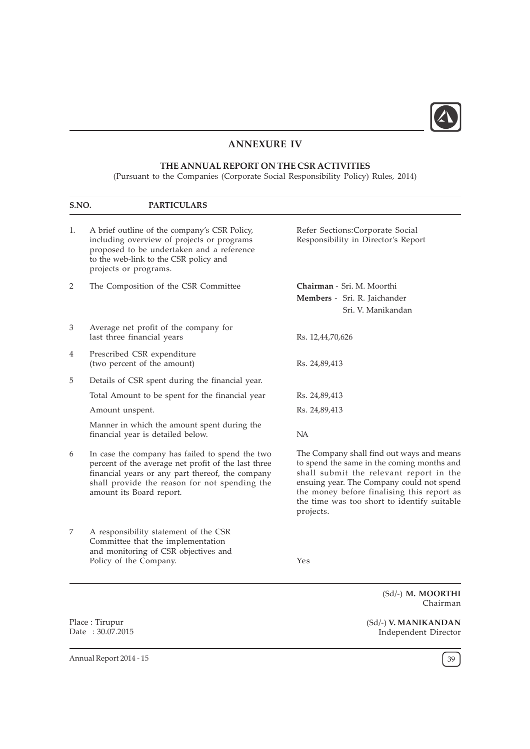

# ANNEXURE IV

# THE ANNUAL REPORT ON THE CSR ACTIVITIES

(Pursuant to the Companies (Corporate Social Responsibility Policy) Rules, 2014)

| S.NO. | <b>PARTICULARS</b>                                                                                                                                                                                                                      |                                                                                                                                                                                                                                                                                           |
|-------|-----------------------------------------------------------------------------------------------------------------------------------------------------------------------------------------------------------------------------------------|-------------------------------------------------------------------------------------------------------------------------------------------------------------------------------------------------------------------------------------------------------------------------------------------|
| 1.    | A brief outline of the company's CSR Policy,<br>including overview of projects or programs<br>proposed to be undertaken and a reference<br>to the web-link to the CSR policy and<br>projects or programs.                               | Refer Sections:Corporate Social<br>Responsibility in Director's Report                                                                                                                                                                                                                    |
| 2     | The Composition of the CSR Committee                                                                                                                                                                                                    | Chairman - Sri. M. Moorthi<br><b>Members</b> - Sri. R. Jaichander<br>Sri. V. Manikandan                                                                                                                                                                                                   |
| 3     | Average net profit of the company for<br>last three financial years                                                                                                                                                                     | Rs. 12,44,70,626                                                                                                                                                                                                                                                                          |
| 4     | Prescribed CSR expenditure<br>(two percent of the amount)                                                                                                                                                                               | Rs. 24,89,413                                                                                                                                                                                                                                                                             |
| 5     | Details of CSR spent during the financial year.                                                                                                                                                                                         |                                                                                                                                                                                                                                                                                           |
|       | Total Amount to be spent for the financial year                                                                                                                                                                                         | Rs. 24,89,413                                                                                                                                                                                                                                                                             |
|       | Amount unspent.                                                                                                                                                                                                                         | Rs. 24,89,413                                                                                                                                                                                                                                                                             |
|       | Manner in which the amount spent during the<br>financial year is detailed below.                                                                                                                                                        | NA                                                                                                                                                                                                                                                                                        |
| 6     | In case the company has failed to spend the two<br>percent of the average net profit of the last three<br>financial years or any part thereof, the company<br>shall provide the reason for not spending the<br>amount its Board report. | The Company shall find out ways and means<br>to spend the same in the coming months and<br>shall submit the relevant report in the<br>ensuing year. The Company could not spend<br>the money before finalising this report as<br>the time was too short to identify suitable<br>projects. |
| 7     | A responsibility statement of the CSR<br>Committee that the implementation<br>and monitoring of CSR objectives and<br>Policy of the Company.                                                                                            | Yes                                                                                                                                                                                                                                                                                       |
|       |                                                                                                                                                                                                                                         | (Sd/-) M. MOORTHI<br>Chairman                                                                                                                                                                                                                                                             |
|       | Place: Tirupur                                                                                                                                                                                                                          | (Sd/-) V. MANIKANDAN                                                                                                                                                                                                                                                                      |

Place : Tirupur Date : 30.07.2015

Annual Report 2014 - 15  $\sqrt{39}$ 

Independent Director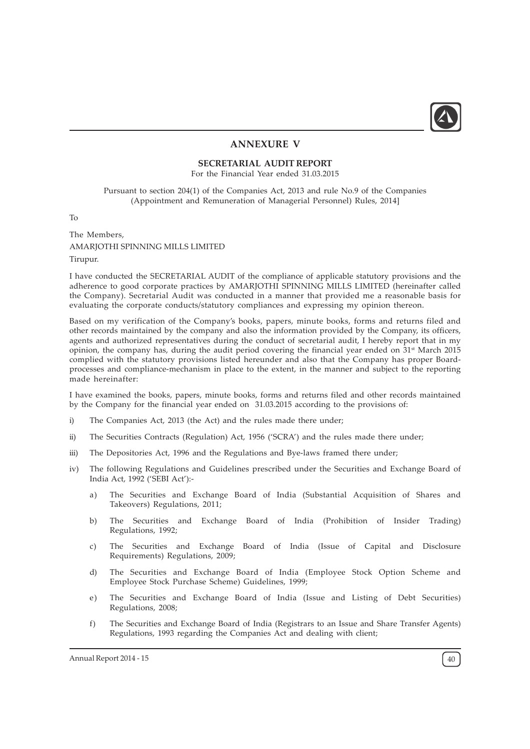

### ANNEXURE V

### SECRETARIAL AUDIT REPORT

For the Financial Year ended 31.03.2015

Pursuant to section 204(1) of the Companies Act, 2013 and rule No.9 of the Companies (Appointment and Remuneration of Managerial Personnel) Rules, 2014]

To

The Members, AMARJOTHI SPINNING MILLS LIMITED Tirupur.

I have conducted the SECRETARIAL AUDIT of the compliance of applicable statutory provisions and the adherence to good corporate practices by AMARJOTHI SPINNING MILLS LIMITED (hereinafter called the Company). Secretarial Audit was conducted in a manner that provided me a reasonable basis for evaluating the corporate conducts/statutory compliances and expressing my opinion thereon.

Based on my verification of the Company's books, papers, minute books, forms and returns filed and other records maintained by the company and also the information provided by the Company, its officers, agents and authorized representatives during the conduct of secretarial audit, I hereby report that in my opinion, the company has, during the audit period covering the financial year ended on 31st March 2015 complied with the statutory provisions listed hereunder and also that the Company has proper Boardprocesses and compliance-mechanism in place to the extent, in the manner and subject to the reporting made hereinafter:

I have examined the books, papers, minute books, forms and returns filed and other records maintained by the Company for the financial year ended on 31.03.2015 according to the provisions of:

- i) The Companies Act, 2013 (the Act) and the rules made there under;
- ii) The Securities Contracts (Regulation) Act, 1956 ('SCRA') and the rules made there under;
- iii) The Depositories Act, 1996 and the Regulations and Bye-laws framed there under;
- iv) The following Regulations and Guidelines prescribed under the Securities and Exchange Board of India Act, 1992 ('SEBI Act'):
	- a) The Securities and Exchange Board of India (Substantial Acquisition of Shares and Takeovers) Regulations, 2011;
	- b) The Securities and Exchange Board of India (Prohibition of Insider Trading) Regulations, 1992;
	- c) The Securities and Exchange Board of India (Issue of Capital and Disclosure Requirements) Regulations, 2009;
	- d) The Securities and Exchange Board of India (Employee Stock Option Scheme and Employee Stock Purchase Scheme) Guidelines, 1999;
	- e) The Securities and Exchange Board of India (Issue and Listing of Debt Securities) Regulations, 2008;
	- f) The Securities and Exchange Board of India (Registrars to an Issue and Share Transfer Agents) Regulations, 1993 regarding the Companies Act and dealing with client;

Annual Report 2014 - 15  $\left(40\right)$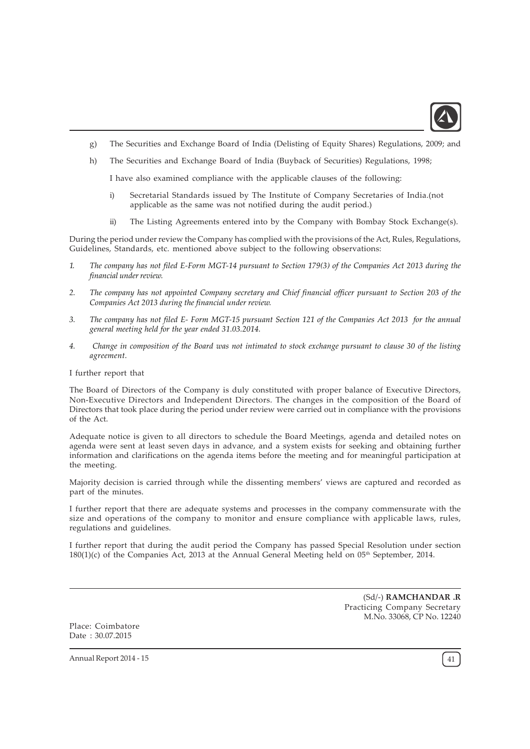

- g) The Securities and Exchange Board of India (Delisting of Equity Shares) Regulations, 2009; and
- h) The Securities and Exchange Board of India (Buyback of Securities) Regulations, 1998;

I have also examined compliance with the applicable clauses of the following:

- i) Secretarial Standards issued by The Institute of Company Secretaries of India.(not applicable as the same was not notified during the audit period.)
- ii) The Listing Agreements entered into by the Company with Bombay Stock Exchange(s).

During the period under review the Company has complied with the provisions of the Act, Rules, Regulations, Guidelines, Standards, etc. mentioned above subject to the following observations:

- 1. The company has not filed E-Form MGT-14 pursuant to Section 179(3) of the Companies Act 2013 during the financial under review.
- 2. The company has not appointed Company secretary and Chief financial officer pursuant to Section 203 of the Companies Act 2013 during the financial under review.
- 3. The company has not filed E- Form MGT-15 pursuant Section 121 of the Companies Act 2013 for the annual general meeting held for the year ended 31.03.2014.
- 4. Change in composition of the Board was not intimated to stock exchange pursuant to clause 30 of the listing agreement.

I further report that

The Board of Directors of the Company is duly constituted with proper balance of Executive Directors, Non-Executive Directors and Independent Directors. The changes in the composition of the Board of Directors that took place during the period under review were carried out in compliance with the provisions of the Act.

Adequate notice is given to all directors to schedule the Board Meetings, agenda and detailed notes on agenda were sent at least seven days in advance, and a system exists for seeking and obtaining further information and clarifications on the agenda items before the meeting and for meaningful participation at the meeting.

Majority decision is carried through while the dissenting members' views are captured and recorded as part of the minutes.

I further report that there are adequate systems and processes in the company commensurate with the size and operations of the company to monitor and ensure compliance with applicable laws, rules, regulations and guidelines.

I further report that during the audit period the Company has passed Special Resolution under section  $180(1)(c)$  of the Companies Act, 2013 at the Annual General Meeting held on 05<sup>th</sup> September, 2014.

> (Sd/-) RAMCHANDAR .R Practicing Company Secretary M.No. 33068, CP No. 12240

Place: Coimbatore Date : 30.07.2015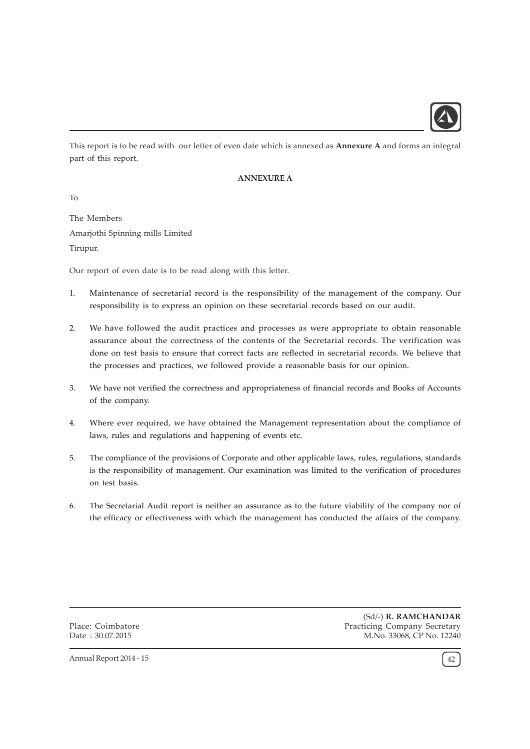

This report is to be read with our letter of even date which is annexed as **Annexure A** and forms an integral part of this report.

## ANNEXURE A

To

The Members Amarjothi Spinning mills Limited Tirupur.

Our report of even date is to be read along with this letter.

- 1. Maintenance of secretarial record is the responsibility of the management of the company. Our responsibility is to express an opinion on these secretarial records based on our audit.
- 2. We have followed the audit practices and processes as were appropriate to obtain reasonable assurance about the correctness of the contents of the Secretarial records. The verification was done on test basis to ensure that correct facts are reflected in secretarial records. We believe that the processes and practices, we followed provide a reasonable basis for our opinion.
- 3. We have not verified the correctness and appropriateness of financial records and Books of Accounts of the company.
- 4. Where ever required, we have obtained the Management representation about the compliance of laws, rules and regulations and happening of events etc.
- 5. The compliance of the provisions of Corporate and other applicable laws, rules, regulations, standards is the responsibility of management. Our examination was limited to the verification of procedures on test basis.
- 6. The Secretarial Audit report is neither an assurance as to the future viability of the company nor of the efficacy or effectiveness with which the management has conducted the affairs of the company.

Place: Coimbatore Date : 30.07.2015

(Sd/-) R. RAMCHANDAR Practicing Company Secretary M.No. 33068, CP No. 12240

Annual Report 2014 - 15  $\left(42\right)$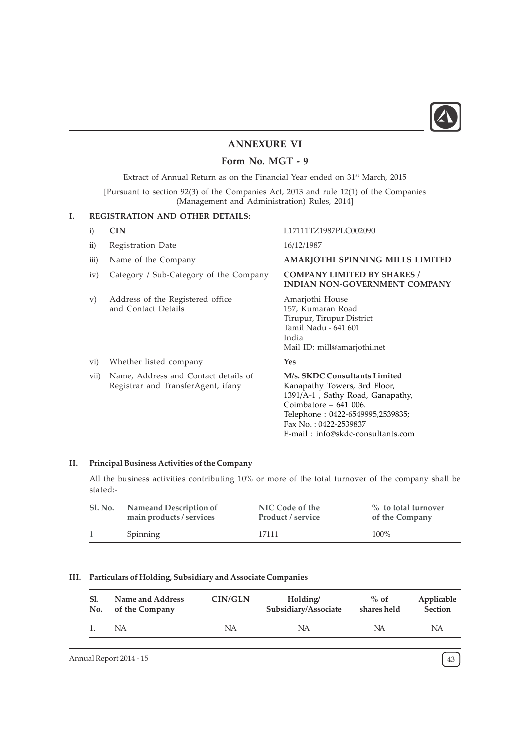

# ANNEXURE VI

# Form No. MGT - 9

Extract of Annual Return as on the Financial Year ended on 31<sup>st</sup> March, 2015 [Pursuant to section 92(3) of the Companies Act, 2013 and rule 12(1) of the Companies

(Management and Administration) Rules, 2014]

### I. REGISTRATION AND OTHER DETAILS:

| $\mathbf{i}$ | <b>CIN</b>                                                                 | L17111TZ1987PLC002090                                                                                                                                                                                                         |
|--------------|----------------------------------------------------------------------------|-------------------------------------------------------------------------------------------------------------------------------------------------------------------------------------------------------------------------------|
| $\rm ii)$    | Registration Date                                                          | 16/12/1987                                                                                                                                                                                                                    |
| iii)         | Name of the Company                                                        | AMARJOTHI SPINNING MILLS LIMITED                                                                                                                                                                                              |
| iv)          | Category / Sub-Category of the Company                                     | <b>COMPANY LIMITED BY SHARES /</b><br><b>INDIAN NON-GOVERNMENT COMPANY</b>                                                                                                                                                    |
| V)           | Address of the Registered office.<br>and Contact Details                   | Amarjothi House<br>157, Kumaran Road<br>Tirupur, Tirupur District<br>Tamil Nadu - 641 601<br>India<br>Mail ID: mill@amarjothi.net                                                                                             |
| vi)          | Whether listed company                                                     | Yes                                                                                                                                                                                                                           |
| vii)         | Name, Address and Contact details of<br>Registrar and TransferAgent, ifany | M/s. SKDC Consultants Limited<br>Kanapathy Towers, 3rd Floor,<br>1391/A-1, Sathy Road, Ganapathy,<br>Coimbatore $-641$ 006.<br>Telephone: 0422-6549995,2539835;<br>Fax No.: 0422-2539837<br>E-mail: info@skdc-consultants.com |

### II. Principal Business Activities of the Company

All the business activities contributing 10% or more of the total turnover of the company shall be stated:-

| SI. No. | <b>Nameand Description of</b> | NIC Code of the   | $\%$ to total turnover |
|---------|-------------------------------|-------------------|------------------------|
|         | main products / services      | Product / service | of the Company         |
|         | Spinning                      | 17111             | $100\%$                |

## III. Particulars of Holding, Subsidiary and Associate Companies

| -Sl. | Name and Address | CIN/GLN | Holding/             | $%$ of      | Applicable     |
|------|------------------|---------|----------------------|-------------|----------------|
| No.  | of the Company   |         | Subsidiary/Associate | shares held | <b>Section</b> |
|      | NA               | NA      | NA                   | NA          | NA             |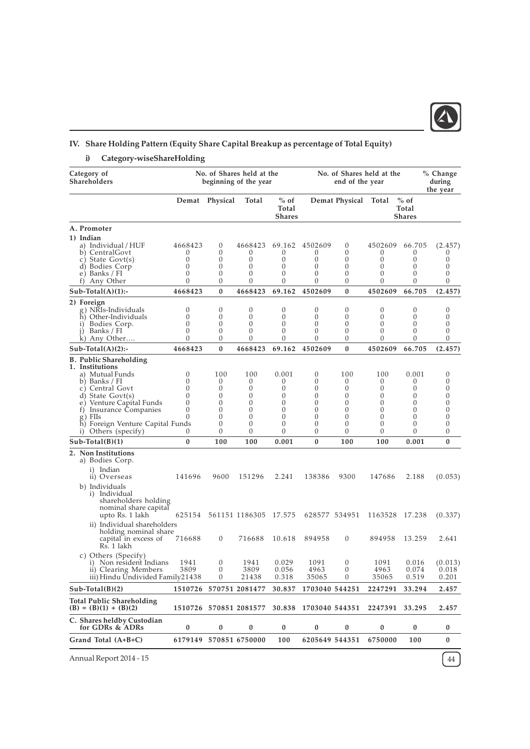

# IV. Share Holding Pattern (Equity Share Capital Breakup as percentage of Total Equity)

i) Category-wiseShareHolding

| Category of<br>Shareholders                                                          |                      |                      | No. of Shares held at the<br>beginning of the year |                                  |                       | No. of Shares held at the<br>end of the year |                          |                                  | % Change<br>during<br>the year |
|--------------------------------------------------------------------------------------|----------------------|----------------------|----------------------------------------------------|----------------------------------|-----------------------|----------------------------------------------|--------------------------|----------------------------------|--------------------------------|
|                                                                                      |                      | Demat Physical       | Total                                              | $%$ of<br>Total<br><b>Shares</b> |                       | Demat Physical Total                         |                          | $%$ of<br>Total<br><b>Shares</b> |                                |
| A. Promoter                                                                          |                      |                      |                                                    |                                  |                       |                                              |                          |                                  |                                |
| 1) Indian                                                                            |                      |                      |                                                    |                                  |                       |                                              |                          |                                  |                                |
| a) Individual / HUF                                                                  | 4668423              | $\theta$             | 4668423                                            | 69.162                           | 4502609               | $\theta$                                     | 4502609                  | 66.705                           | (2.457)                        |
| b) CentralGovt<br>c) State Govt(s)                                                   | $\theta$<br>$\theta$ | $\theta$<br>$\theta$ | 0<br>$\theta$                                      | 0<br>$\theta$                    | 0<br>0                | 0<br>$\theta$                                | $\theta$<br>$\theta$     | $\theta$<br>0                    | $\sigma$<br>0                  |
| d) Bodies Corp                                                                       | $\theta$             | $\theta$             | $\theta$                                           | $\theta$                         | 0                     | $\theta$                                     | $\theta$                 | 0                                | $\theta$                       |
| e) Banks / FI                                                                        | $\theta$             | 0                    | $\theta$                                           | $\theta$                         | 0                     | 0                                            | 0                        | 0                                | 0                              |
| f) Any Other                                                                         | $\theta$             | $\mathbf{0}$         | $\theta$                                           | $\theta$                         | 0                     | $\theta$                                     | $\theta$                 | $\theta$                         | 0                              |
| $Sub-Total(A)(1):$                                                                   | 4668423              | $\bf{0}$             | 4668423                                            | 69.162                           | 4502609               | $\bf{0}$                                     | 4502609                  | 66.705                           | (2.457)                        |
| 2) Foreign                                                                           |                      |                      |                                                    |                                  |                       |                                              |                          |                                  |                                |
| g) NRIs-Individuals                                                                  | 0                    | $\theta$             | 0                                                  | $\theta$                         | 0                     | $\theta$                                     | 0                        | 0                                | 0                              |
| h) Other-Individuals                                                                 | $\theta$<br>$\theta$ | 0<br>$\theta$        | $\theta$<br>$\mathbf{0}$                           | $\theta$<br>$\theta$             | 0<br>0                | $\theta$<br>$\theta$                         | $\theta$<br>$\theta$     | $\theta$<br>0                    | $\theta$<br>0                  |
| i) Bodies Corp.<br>j) Banks / FI                                                     | $\theta$             | $\theta$             | $\boldsymbol{0}$                                   | $\theta$                         | 0                     | $\theta$                                     | 0                        | 0                                | 0                              |
| k) Any Other                                                                         | 0                    | $\theta$             | $\theta$                                           | $\theta$                         | 0                     | $\theta$                                     | 0                        | 0                                | 0                              |
| $Sub-Total(A)(2)$ :-                                                                 | 4668423              | $\bf{0}$             | 4668423                                            | 69.162                           | 4502609               | $\bf{0}$                                     | 4502609                  | 66.705                           | (2.457)                        |
| <b>B.</b> Public Shareholding                                                        |                      |                      |                                                    |                                  |                       |                                              |                          |                                  |                                |
| 1. Institutions                                                                      |                      |                      |                                                    |                                  |                       |                                              |                          |                                  |                                |
| a) Mutual Funds                                                                      | $\theta$             | 100                  | 100                                                | 0.001                            | 0                     | 100                                          | 100                      | 0.001                            | 0                              |
| b) Banks / FI<br>c) Central Govt                                                     | $\theta$<br>$\theta$ | $\theta$<br>$\theta$ | $\theta$<br>0                                      | $\theta$<br>$\theta$             | 0<br>0                | $\theta$<br>$\theta$                         | $\theta$<br>$\mathbf{0}$ | $\sigma$<br>0                    | $\theta$<br>0                  |
| d) State Govt(s)                                                                     | 0                    | $\theta$             | $\theta$                                           | $\theta$                         | 0                     | $\theta$                                     | $\theta$                 | 0                                | 0                              |
| e) Venture Capital Funds                                                             | $\Omega$             | $\theta$             | $\theta$                                           | $\theta$                         | 0                     | $\theta$                                     | $\theta$                 | 0                                | $\theta$                       |
| f) Insurance Companies                                                               | $\theta$             | $\theta$             | $\theta$                                           | $\theta$                         | 0                     | $\theta$                                     | 0                        | 0                                | 0                              |
| g) FIIs                                                                              | $\Omega$             | $\theta$             | $\theta$                                           | $\theta$                         | 0                     | $\theta$                                     | $\theta$                 | $\theta$                         | $\theta$                       |
| h) Foreign Venture Capital Funds<br>Others (specify)<br>$\left( \frac{1}{2} \right)$ | 0                    | 0<br>0               | $\theta$<br>$\theta$                               | $\theta$<br>$\theta$             | $\theta$<br>0         | $\mathbf{0}$<br>0                            | $\theta$<br>0            | $\theta$<br>0                    | $\theta$<br>0                  |
| $Sub-Total(B)(1)$                                                                    | $\bf{0}$             | 100                  | 100                                                | 0.001                            | $\bf{0}$              | 100                                          | 100                      | 0.001                            | 0                              |
| 2. Non Institutions                                                                  |                      |                      |                                                    |                                  |                       |                                              |                          |                                  |                                |
| a) Bodies Corp.                                                                      |                      |                      |                                                    |                                  |                       |                                              |                          |                                  |                                |
| i) Indian                                                                            |                      |                      |                                                    |                                  |                       |                                              |                          |                                  |                                |
| ii) Overseas                                                                         | 141696               | 9600                 | 151296                                             | 2.241                            | 138386                | 9300                                         | 147686                   | 2.188                            | (0.053)                        |
| b) Individuals                                                                       |                      |                      |                                                    |                                  |                       |                                              |                          |                                  |                                |
| i) Individual                                                                        |                      |                      |                                                    |                                  |                       |                                              |                          |                                  |                                |
| shareholders holding                                                                 |                      |                      |                                                    |                                  |                       |                                              |                          |                                  |                                |
| nominal share capital<br>upto Rs. 1 lakh                                             | 625154               |                      | 561151 1186305 17.575                              |                                  | 628577 534951         |                                              | 1163528 17.238           |                                  | (0.337)                        |
|                                                                                      |                      |                      |                                                    |                                  |                       |                                              |                          |                                  |                                |
| ii) Individual shareholders<br>holding nominal share                                 |                      |                      |                                                    |                                  |                       |                                              |                          |                                  |                                |
| capital in excess of                                                                 | 716688               | $\mathbf{0}$         | 716688                                             | 10.618                           | 894958                | $\mathbf{0}$                                 | 894958                   | 13.259                           | 2.641                          |
| Rs. 1 lakh                                                                           |                      |                      |                                                    |                                  |                       |                                              |                          |                                  |                                |
| c) Others (Specify)                                                                  |                      |                      |                                                    |                                  |                       |                                              |                          |                                  |                                |
| i) Non resident Indians 1941                                                         |                      | $\theta$             | 1941                                               | 0.029                            | 1091                  | $\theta$                                     | 1091                     |                                  | $0.016$ $(0.013)$              |
| ii) Clearing Members                                                                 | 3809                 | $\mathbf{0}$         | 3809                                               | 0.056                            | 4963                  | $\boldsymbol{0}$                             | 4963                     | 0.074                            | 0.018                          |
| iii) Hindu Undivided Family21438                                                     |                      | $\theta$             | 21438                                              | 0.318                            | 35065                 | $\theta$                                     | 35065                    | 0.519                            | 0.201                          |
| $Sub-Total(B)(2)$                                                                    | 1510726              |                      | 570751 2081477                                     | 30.837                           | 1703040 544251        |                                              | 2247291                  | 33.294                           | 2.457                          |
| <b>Total Public Shareholding</b><br>$(B) = (B)(1) + (B)(2)$                          |                      |                      | 1510726 570851 2081577                             |                                  | 30.838 1703040 544351 |                                              | 2247391 33.295           |                                  | 2.457                          |
| C. Shares heldby Custodian<br>for GDRs & ADRs                                        | 0                    | $\bf{0}$             | $\bf{0}$                                           | $\bf{0}$                         | 0                     | $\bf{0}$                                     | $\bf{0}$                 | 0                                | 0                              |
| Grand Total (A+B+C)                                                                  |                      |                      | 6179149 570851 6750000                             | 100                              | 6205649 544351        |                                              | 6750000                  | 100                              | $\bf{0}$                       |
|                                                                                      |                      |                      |                                                    |                                  |                       |                                              |                          |                                  |                                |

Annual Report 2014 - 15  $\left(44\right)$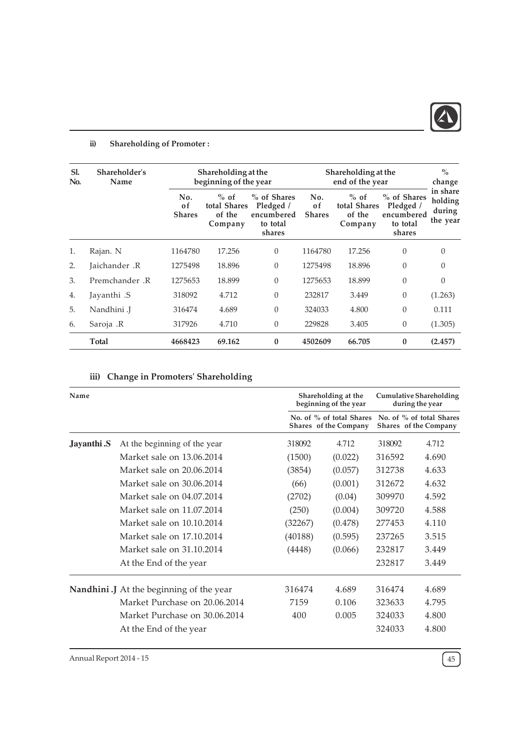

# ii) Shareholding of Promoter :

| Sl.<br>No.     | Shareholder's<br>Name |                            | Shareholding at the<br>beginning of the year |                                                              |                            | Shareholding at the<br>end of the year      |                                                              |                                           |  |
|----------------|-----------------------|----------------------------|----------------------------------------------|--------------------------------------------------------------|----------------------------|---------------------------------------------|--------------------------------------------------------------|-------------------------------------------|--|
|                |                       | No.<br>0f<br><b>Shares</b> | $%$ of<br>total Shares<br>of the<br>Company  | % of Shares<br>Pledged /<br>encumbered<br>to total<br>shares | No.<br>0f<br><b>Shares</b> | $%$ of<br>total Shares<br>of the<br>Company | % of Shares<br>Pledged /<br>encumbered<br>to total<br>shares | in share<br>holding<br>during<br>the year |  |
| $\mathbf{1}$ . | Rajan. N              | 1164780                    | 17.256                                       | $\theta$                                                     | 1164780                    | 17.256                                      | $\theta$                                                     | $\Omega$                                  |  |
| 2.             | Jaichander .R         | 1275498                    | 18.896                                       | $\theta$                                                     | 1275498                    | 18.896                                      | $\Omega$                                                     | $\Omega$                                  |  |
| 3.             | Premchander .R        | 1275653                    | 18.899                                       | $\theta$                                                     | 1275653                    | 18.899                                      | $\theta$                                                     | 0                                         |  |
| 4.             | Jayanthi .S           | 318092                     | 4.712                                        | $\theta$                                                     | 232817                     | 3.449                                       | $\theta$                                                     | (1.263)                                   |  |
| 5.             | Nandhini .J           | 316474                     | 4.689                                        | $\theta$                                                     | 324033                     | 4.800                                       | $\theta$                                                     | 0.111                                     |  |
| 6.             | Saroja .R             | 317926                     | 4.710                                        | $\theta$                                                     | 229828                     | 3.405                                       | $\theta$                                                     | (1.305)                                   |  |
|                | Total                 | 4668423                    | 69.162                                       | $\bf{0}$                                                     | 4502609                    | 66.705                                      | $\bf{0}$                                                     | (2.457)                                   |  |

# iii) Change in Promoters' Shareholding

| Name        |                                                |         | Shareholding at the<br>beginning of the year      | <b>Cumulative Shareholding</b><br>during the year |                                                   |  |
|-------------|------------------------------------------------|---------|---------------------------------------------------|---------------------------------------------------|---------------------------------------------------|--|
|             |                                                |         | No. of % of total Shares<br>Shares of the Company |                                                   | No. of % of total Shares<br>Shares of the Company |  |
| Jayanthi .S | At the beginning of the year                   | 318092  | 4.712                                             | 318092                                            | 4.712                                             |  |
|             | Market sale on 13.06.2014                      | (1500)  | (0.022)                                           | 316592                                            | 4.690                                             |  |
|             | Market sale on 20.06.2014                      | (3854)  | (0.057)                                           | 312738                                            | 4.633                                             |  |
|             | Market sale on 30.06.2014                      | (66)    | (0.001)                                           | 312672                                            | 4.632                                             |  |
|             | Market sale on 04.07.2014                      | (2702)  | (0.04)                                            | 309970                                            | 4.592                                             |  |
|             | Market sale on 11.07.2014                      | (250)   | (0.004)                                           | 309720                                            | 4.588                                             |  |
|             | Market sale on 10.10.2014                      | (32267) | (0.478)                                           | 277453                                            | 4.110                                             |  |
|             | Market sale on 17.10.2014                      | (40188) | (0.595)                                           | 237265                                            | 3.515                                             |  |
|             | Market sale on 31.10.2014                      | (4448)  | (0.066)                                           | 232817                                            | 3.449                                             |  |
|             | At the End of the year                         |         |                                                   | 232817                                            | 3.449                                             |  |
|             | <b>Nandhini</b> J At the beginning of the year | 316474  | 4.689                                             | 316474                                            | 4.689                                             |  |
|             | Market Purchase on 20.06.2014                  | 7159    | 0.106                                             | 323633                                            | 4.795                                             |  |
|             | Market Purchase on 30.06.2014                  | 400     | 0.005                                             | 324033                                            | 4.800                                             |  |
|             | At the End of the year                         |         |                                                   | 324033                                            | 4.800                                             |  |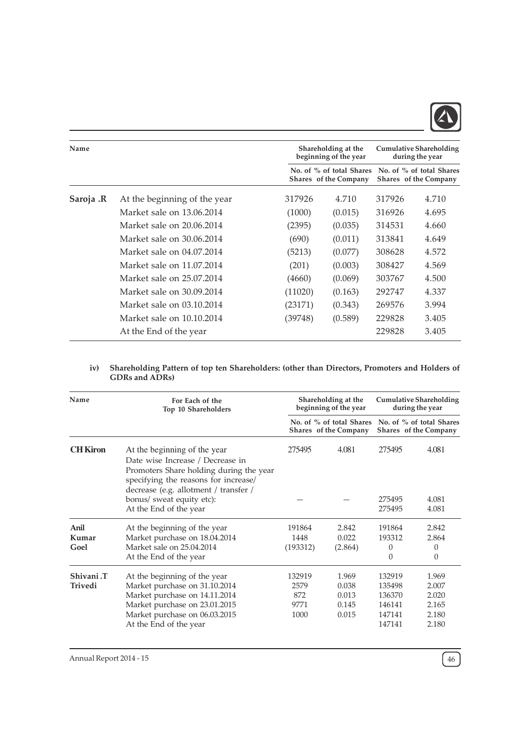

| Name      |                              |         | Shareholding at the<br>beginning of the year      | <b>Cumulative Shareholding</b><br>during the year<br>No. of % of total Shares<br>Shares of the Company |       |
|-----------|------------------------------|---------|---------------------------------------------------|--------------------------------------------------------------------------------------------------------|-------|
|           |                              |         | No. of % of total Shares<br>Shares of the Company |                                                                                                        |       |
| Saroja .R | At the beginning of the year | 317926  | 4.710                                             | 317926                                                                                                 | 4.710 |
|           | Market sale on 13.06.2014    | (1000)  | (0.015)                                           | 316926                                                                                                 | 4.695 |
|           | Market sale on 20.06.2014    | (2395)  | (0.035)                                           | 314531                                                                                                 | 4.660 |
|           | Market sale on 30.06.2014    | (690)   | (0.011)                                           | 313841                                                                                                 | 4.649 |
|           | Market sale on 04.07.2014    | (5213)  | (0.077)                                           | 308628                                                                                                 | 4.572 |
|           | Market sale on 11.07.2014    | (201)   | (0.003)                                           | 308427                                                                                                 | 4.569 |
|           | Market sale on 25.07.2014    | (4660)  | (0.069)                                           | 303767                                                                                                 | 4.500 |
|           | Market sale on 30.09.2014    | (11020) | (0.163)                                           | 292747                                                                                                 | 4.337 |
|           | Market sale on 03.10.2014    | (23171) | (0.343)                                           | 269576                                                                                                 | 3.994 |
|           | Market sale on 10.10.2014    | (39748) | (0.589)                                           | 229828                                                                                                 | 3.405 |
|           | At the End of the year       |         |                                                   | 229828                                                                                                 | 3.405 |

### iv) Shareholding Pattern of top ten Shareholders: (other than Directors, Promoters and Holders of GDRs and ADRs)

| Name                        | For Each of the<br>Top 10 Shareholders                                                                                                                                                       |                                       | Shareholding at the<br>beginning of the year      | <b>Cumulative Shareholding</b><br>during the year        |                                                    |  |  |
|-----------------------------|----------------------------------------------------------------------------------------------------------------------------------------------------------------------------------------------|---------------------------------------|---------------------------------------------------|----------------------------------------------------------|----------------------------------------------------|--|--|
|                             |                                                                                                                                                                                              |                                       | No. of % of total Shares<br>Shares of the Company |                                                          | No. of % of total Shares<br>Shares of the Company  |  |  |
| <b>CH Kiron</b>             | At the beginning of the year<br>Date wise Increase / Decrease in<br>Promoters Share holding during the year<br>specifying the reasons for increase/<br>decrease (e.g. allotment / transfer / | 275495                                | 4.081                                             | 275495                                                   | 4.081                                              |  |  |
|                             | bonus/ sweat equity etc):<br>At the End of the year                                                                                                                                          |                                       |                                                   | 275495<br>275495                                         | 4.081<br>4.081                                     |  |  |
| Anil<br>Kumar<br>Goel       | At the beginning of the year<br>Market purchase on 18.04.2014<br>Market sale on 25.04.2014<br>At the End of the year                                                                         | 191864<br>1448<br>(193312)            | 2.842<br>0.022<br>(2.864)                         | 191864<br>193312<br>$\Omega$<br>$\Omega$                 | 2.842<br>2.864<br>$\theta$<br>0                    |  |  |
| Shivani.T<br><b>Trivedi</b> | At the beginning of the year<br>Market purchase on 31.10.2014<br>Market purchase on 14.11.2014<br>Market purchase on 23.01.2015<br>Market purchase on 06.03.2015<br>At the End of the year   | 132919<br>2579<br>872<br>9771<br>1000 | 1.969<br>0.038<br>0.013<br>0.145<br>0.015         | 132919<br>135498<br>136370<br>146141<br>147141<br>147141 | 1.969<br>2.007<br>2.020<br>2.165<br>2.180<br>2.180 |  |  |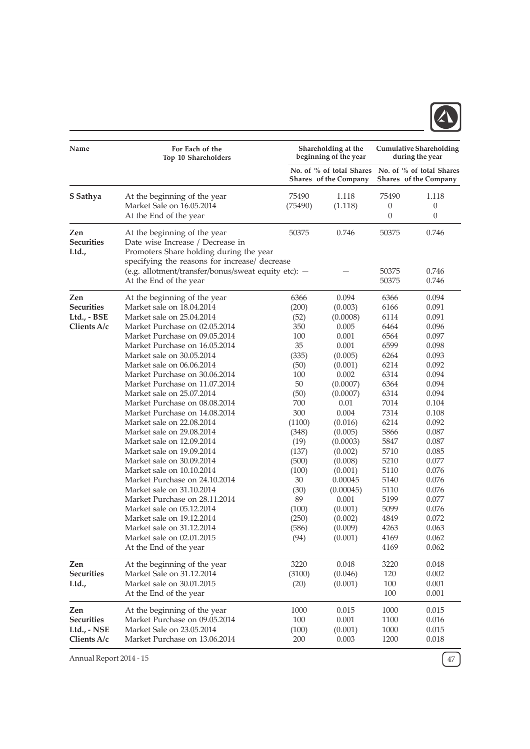

| Name                                                   | For Each of the<br>Top 10 Shareholders                                                                                                                                                                                                                                                                                                                                                                                                                                                                                                                                                                                                                                                                                                                                                                                                          |                                                                                                                                                                                                            | Shareholding at the<br>beginning of the year                                                                                                                                                                                                                                    | <b>Cumulative Shareholding</b><br>during the year                                                                                                                                                                    |                                                                                                                                                                                                                                                 |  |
|--------------------------------------------------------|-------------------------------------------------------------------------------------------------------------------------------------------------------------------------------------------------------------------------------------------------------------------------------------------------------------------------------------------------------------------------------------------------------------------------------------------------------------------------------------------------------------------------------------------------------------------------------------------------------------------------------------------------------------------------------------------------------------------------------------------------------------------------------------------------------------------------------------------------|------------------------------------------------------------------------------------------------------------------------------------------------------------------------------------------------------------|---------------------------------------------------------------------------------------------------------------------------------------------------------------------------------------------------------------------------------------------------------------------------------|----------------------------------------------------------------------------------------------------------------------------------------------------------------------------------------------------------------------|-------------------------------------------------------------------------------------------------------------------------------------------------------------------------------------------------------------------------------------------------|--|
|                                                        |                                                                                                                                                                                                                                                                                                                                                                                                                                                                                                                                                                                                                                                                                                                                                                                                                                                 |                                                                                                                                                                                                            | No. of % of total Shares<br>Shares of the Company                                                                                                                                                                                                                               | No. of % of total Shares<br><b>Shares</b> of the Company                                                                                                                                                             |                                                                                                                                                                                                                                                 |  |
| S Sathya                                               | At the beginning of the year<br>Market Sale on 16.05.2014<br>At the End of the year                                                                                                                                                                                                                                                                                                                                                                                                                                                                                                                                                                                                                                                                                                                                                             | 75490<br>(75490)                                                                                                                                                                                           | 1.118<br>(1.118)                                                                                                                                                                                                                                                                | 75490<br>0<br>0                                                                                                                                                                                                      | 1.118<br>$\theta$<br>0                                                                                                                                                                                                                          |  |
| Zen<br><b>Securities</b><br>Ltd.,                      | At the beginning of the year<br>Date wise Increase / Decrease in<br>Promoters Share holding during the year<br>specifying the reasons for increase/ decrease                                                                                                                                                                                                                                                                                                                                                                                                                                                                                                                                                                                                                                                                                    | 50375                                                                                                                                                                                                      | 0.746                                                                                                                                                                                                                                                                           | 50375                                                                                                                                                                                                                | 0.746                                                                                                                                                                                                                                           |  |
|                                                        | (e.g. allotment/transfer/bonus/sweat equity etc): -<br>At the End of the year                                                                                                                                                                                                                                                                                                                                                                                                                                                                                                                                                                                                                                                                                                                                                                   |                                                                                                                                                                                                            |                                                                                                                                                                                                                                                                                 | 50375<br>50375                                                                                                                                                                                                       | 0.746<br>0.746                                                                                                                                                                                                                                  |  |
| Zen<br><b>Securities</b><br>Ltd., - BSE<br>Clients A/c | At the beginning of the year<br>Market sale on 18.04.2014<br>Market sale on 25.04.2014<br>Market Purchase on 02.05.2014<br>Market Purchase on 09.05.2014<br>Market Purchase on 16.05.2014<br>Market sale on 30.05.2014<br>Market sale on 06.06.2014<br>Market Purchase on 30.06.2014<br>Market Purchase on 11.07.2014<br>Market sale on 25.07.2014<br>Market Purchase on 08.08.2014<br>Market Purchase on 14.08.2014<br>Market sale on 22.08.2014<br>Market sale on 29.08.2014<br>Market sale on 12.09.2014<br>Market sale on 19.09.2014<br>Market sale on 30.09.2014<br>Market sale on 10.10.2014<br>Market Purchase on 24.10.2014<br>Market sale on 31.10.2014<br>Market Purchase on 28.11.2014<br>Market sale on 05.12.2014<br>Market sale on 19.12.2014<br>Market sale on 31.12.2014<br>Market sale on 02.01.2015<br>At the End of the year | 6366<br>(200)<br>(52)<br>350<br>100<br>35<br>(335)<br>(50)<br>100<br>50<br>(50)<br>700<br>300<br>(1100)<br>(348)<br>(19)<br>(137)<br>(500)<br>(100)<br>30<br>(30)<br>89<br>(100)<br>(250)<br>(586)<br>(94) | 0.094<br>(0.003)<br>(0.0008)<br>0.005<br>0.001<br>0.001<br>(0.005)<br>(0.001)<br>0.002<br>(0.0007)<br>(0.0007)<br>0.01<br>0.004<br>(0.016)<br>(0.005)<br>(0.0003)<br>(0.002)<br>(0.008)<br>(0.001)<br>0.00045<br>(0.00045)<br>0.001<br>(0.001)<br>(0.002)<br>(0.009)<br>(0.001) | 6366<br>6166<br>6114<br>6464<br>6564<br>6599<br>6264<br>6214<br>6314<br>6364<br>6314<br>7014<br>7314<br>6214<br>5866<br>5847<br>5710<br>5210<br>5110<br>5140<br>5110<br>5199<br>5099<br>4849<br>4263<br>4169<br>4169 | 0.094<br>0.091<br>0.091<br>0.096<br>0.097<br>0.098<br>0.093<br>0.092<br>0.094<br>0.094<br>0.094<br>0.104<br>0.108<br>0.092<br>0.087<br>0.087<br>0.085<br>0.077<br>0.076<br>0.076<br>0.076<br>0.077<br>0.076<br>0.072<br>0.063<br>0.062<br>0.062 |  |
| Zen<br><b>Securities</b><br>Ltd.,                      | At the beginning of the year<br>Market Sale on 31.12.2014<br>Market sale on 30.01.2015<br>At the End of the year                                                                                                                                                                                                                                                                                                                                                                                                                                                                                                                                                                                                                                                                                                                                | 3220<br>(3100)<br>(20)                                                                                                                                                                                     | 0.048<br>(0.046)<br>(0.001)                                                                                                                                                                                                                                                     | 3220<br>120<br>$100\,$<br>100                                                                                                                                                                                        | 0.048<br>0.002<br>0.001<br>0.001                                                                                                                                                                                                                |  |
| Zen<br><b>Securities</b><br>Ltd., - NSE<br>Clients A/c | At the beginning of the year<br>Market Purchase on 09.05.2014<br>Market Sale on 23.05.2014<br>Market Purchase on 13.06.2014                                                                                                                                                                                                                                                                                                                                                                                                                                                                                                                                                                                                                                                                                                                     | 1000<br>100<br>(100)<br>200                                                                                                                                                                                | 0.015<br>0.001<br>(0.001)<br>0.003                                                                                                                                                                                                                                              | 1000<br>1100<br>1000<br>1200                                                                                                                                                                                         | 0.015<br>0.016<br>0.015<br>0.018                                                                                                                                                                                                                |  |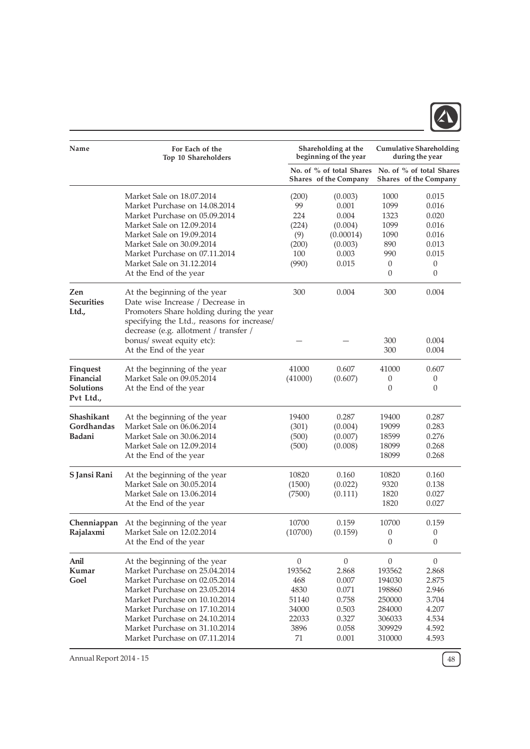

| Name                          | For Each of the<br>Top 10 Shareholders     |                                                   | Shareholding at the<br>beginning of the year |                                                   | <b>Cumulative Shareholding</b><br>during the year |
|-------------------------------|--------------------------------------------|---------------------------------------------------|----------------------------------------------|---------------------------------------------------|---------------------------------------------------|
|                               |                                            | No. of % of total Shares<br>Shares of the Company |                                              | No. of % of total Shares<br>Shares of the Company |                                                   |
|                               | Market Sale on 18.07.2014                  | (200)                                             | (0.003)                                      | 1000                                              | 0.015                                             |
|                               | Market Purchase on 14.08.2014              | 99                                                | 0.001                                        | 1099                                              | 0.016                                             |
|                               | Market Purchase on 05.09.2014              | 224                                               | 0.004                                        | 1323                                              | 0.020                                             |
|                               | Market Sale on 12.09.2014                  | (224)                                             | (0.004)                                      | 1099                                              | 0.016                                             |
|                               | Market Sale on 19.09.2014                  | (9)                                               | (0.00014)                                    | 1090                                              | 0.016                                             |
|                               | Market Sale on 30.09.2014                  | (200)                                             | (0.003)                                      | 890                                               | 0.013                                             |
|                               | Market Purchase on 07.11.2014              | 100                                               | 0.003                                        | 990                                               | 0.015                                             |
|                               | Market Sale on 31.12.2014                  | (990)                                             | 0.015                                        | 0                                                 | $\mathbf{0}$                                      |
|                               | At the End of the year                     |                                                   |                                              | 0                                                 | 0                                                 |
| Zen                           | At the beginning of the year               | 300                                               | 0.004                                        | 300                                               | 0.004                                             |
| <b>Securities</b>             | Date wise Increase / Decrease in           |                                                   |                                              |                                                   |                                                   |
| Ltd.,                         | Promoters Share holding during the year    |                                                   |                                              |                                                   |                                                   |
|                               | specifying the Ltd., reasons for increase/ |                                                   |                                              |                                                   |                                                   |
|                               | decrease (e.g. allotment / transfer /      |                                                   |                                              |                                                   |                                                   |
|                               | bonus/ sweat equity etc):                  |                                                   |                                              | 300                                               | 0.004                                             |
|                               | At the End of the year                     |                                                   |                                              | 300                                               | 0.004                                             |
| <b>Finquest</b>               | At the beginning of the year               | 41000                                             | 0.607                                        | 41000                                             | 0.607                                             |
| Financial                     | Market Sale on 09.05.2014                  | (41000)                                           | (0.607)                                      | 0                                                 | $\theta$                                          |
| <b>Solutions</b><br>Pvt Ltd., | At the End of the year                     |                                                   |                                              | $\overline{0}$                                    | $\theta$                                          |
| Shashikant                    | At the beginning of the year               | 19400                                             | 0.287                                        | 19400                                             | 0.287                                             |
| Gordhandas                    | Market Sale on 06.06.2014                  | (301)                                             | (0.004)                                      | 19099                                             | 0.283                                             |
| Badani                        | Market Sale on 30.06.2014                  | (500)                                             | (0.007)                                      | 18599                                             | 0.276                                             |
|                               | Market Sale on 12.09.2014                  | (500)                                             | (0.008)                                      | 18099                                             | 0.268                                             |
|                               | At the End of the year                     |                                                   |                                              | 18099                                             | 0.268                                             |
| S Jansi Rani                  | At the beginning of the year               | 10820                                             | 0.160                                        | 10820                                             | 0.160                                             |
|                               | Market Sale on 30.05.2014                  | (1500)                                            | (0.022)                                      | 9320                                              | 0.138                                             |
|                               | Market Sale on 13.06.2014                  | (7500)                                            | (0.111)                                      | 1820                                              | 0.027                                             |
|                               | At the End of the year                     |                                                   |                                              | 1820                                              | 0.027                                             |
| Chenniappan                   | At the beginning of the year               | 10700                                             | 0.159                                        | 10700                                             | 0.159                                             |
| Rajalaxmi                     | Market Sale on 12.02.2014                  | (10700)                                           | (0.159)                                      | $\boldsymbol{0}$                                  | $\theta$                                          |
|                               | At the End of the year                     |                                                   |                                              | $\boldsymbol{0}$                                  | $\theta$                                          |
| Anil                          | At the beginning of the year               | $\boldsymbol{0}$                                  | $\boldsymbol{0}$                             | $\boldsymbol{0}$                                  | $\boldsymbol{0}$                                  |
| Kumar                         | Market Purchase on 25.04.2014              | 193562                                            | 2.868                                        | 193562                                            | 2.868                                             |
| Goel                          | Market Purchase on 02.05.2014              | 468                                               | 0.007                                        | 194030                                            | 2.875                                             |
|                               | Market Purchase on 23.05.2014              | 4830                                              | 0.071                                        | 198860                                            | 2.946                                             |
|                               | Market Purchase on 10.10.2014              | 51140                                             | 0.758                                        | 250000                                            | 3.704                                             |
|                               | Market Purchase on 17.10.2014              | 34000                                             | 0.503                                        | 284000                                            | 4.207                                             |
|                               | Market Purchase on 24.10.2014              | 22033                                             | 0.327                                        | 306033                                            | 4.534                                             |
|                               | Market Purchase on 31.10.2014              | 3896                                              | 0.058                                        | 309929                                            | 4.592                                             |
|                               | Market Purchase on 07.11.2014              | 71                                                | 0.001                                        | 310000                                            | 4.593                                             |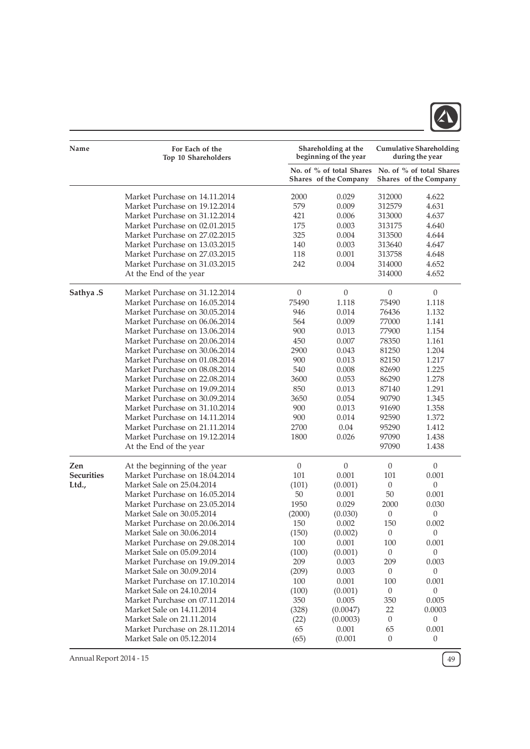

| Name              | For Each of the<br>Top 10 Shareholders |                  | Shareholding at the<br>beginning of the year      | <b>Cumulative Shareholding</b><br>during the year |                                                   |  |
|-------------------|----------------------------------------|------------------|---------------------------------------------------|---------------------------------------------------|---------------------------------------------------|--|
|                   |                                        |                  | No. of % of total Shares<br>Shares of the Company |                                                   | No. of % of total Shares<br>Shares of the Company |  |
|                   | Market Purchase on 14.11.2014          | 2000             | 0.029                                             | 312000                                            | 4.622                                             |  |
|                   | Market Purchase on 19.12.2014          | 579              | 0.009                                             | 312579                                            | 4.631                                             |  |
|                   | Market Purchase on 31.12.2014          | 421              | 0.006                                             | 313000                                            | 4.637                                             |  |
|                   | Market Purchase on 02.01.2015          | 175              | 0.003                                             | 313175                                            | 4.640                                             |  |
|                   | Market Purchase on 27.02.2015          | 325              | 0.004                                             | 313500                                            | 4.644                                             |  |
|                   | Market Purchase on 13.03.2015          | 140              | 0.003                                             | 313640                                            | 4.647                                             |  |
|                   | Market Purchase on 27.03.2015          | 118              | 0.001                                             | 313758                                            | 4.648                                             |  |
|                   | Market Purchase on 31.03.2015          | 242              | 0.004                                             | 314000                                            | 4.652                                             |  |
|                   | At the End of the year                 |                  |                                                   | 314000                                            | 4.652                                             |  |
| Sathya .S         | Market Purchase on 31.12.2014          | $\boldsymbol{0}$ | $\theta$                                          | $\boldsymbol{0}$                                  | $\theta$                                          |  |
|                   | Market Purchase on 16.05.2014          | 75490            | 1.118                                             | 75490                                             | 1.118                                             |  |
|                   | Market Purchase on 30.05.2014          | 946              | 0.014                                             | 76436                                             | 1.132                                             |  |
|                   | Market Purchase on 06.06.2014          | 564              | 0.009                                             | 77000                                             | 1.141                                             |  |
|                   | Market Purchase on 13.06.2014          | 900              | 0.013                                             | 77900                                             | 1.154                                             |  |
|                   | Market Purchase on 20.06.2014          | 450              | 0.007                                             | 78350                                             | 1.161                                             |  |
|                   | Market Purchase on 30.06.2014          | 2900             | 0.043                                             | 81250                                             | 1.204                                             |  |
|                   | Market Purchase on 01.08.2014          | 900              | 0.013                                             | 82150                                             | 1.217                                             |  |
|                   | Market Purchase on 08.08.2014          | 540              | 0.008                                             | 82690                                             | 1.225                                             |  |
|                   | Market Purchase on 22.08.2014          | 3600             | 0.053                                             | 86290                                             | 1.278                                             |  |
|                   | Market Purchase on 19.09.2014          | 850              | 0.013                                             | 87140                                             | 1.291                                             |  |
|                   | Market Purchase on 30.09.2014          | 3650             | 0.054                                             | 90790                                             | 1.345                                             |  |
|                   | Market Purchase on 31.10.2014          | 900              | 0.013                                             | 91690                                             | 1.358                                             |  |
|                   | Market Purchase on 14.11.2014          | 900              | 0.014                                             | 92590                                             | 1.372                                             |  |
|                   | Market Purchase on 21.11.2014          | 2700             | 0.04                                              | 95290                                             | 1.412                                             |  |
|                   | Market Purchase on 19.12.2014          | 1800             | 0.026                                             | 97090                                             | 1.438                                             |  |
|                   | At the End of the year                 |                  |                                                   | 97090                                             | 1.438                                             |  |
| Zen               | At the beginning of the year           | $\boldsymbol{0}$ | $\theta$                                          | $\boldsymbol{0}$                                  | $\theta$                                          |  |
| <b>Securities</b> | Market Purchase on 18.04.2014          | 101              | 0.001                                             | 101                                               | 0.001                                             |  |
| Ltd.,             | Market Sale on 25.04.2014              | (101)            | (0.001)                                           | $\boldsymbol{0}$                                  | $\theta$                                          |  |
|                   | Market Purchase on 16.05.2014          | 50               | 0.001                                             | 50                                                | 0.001                                             |  |
|                   | Market Purchase on 23.05.2014          | 1950             | 0.029                                             | 2000                                              | 0.030                                             |  |
|                   | Market Sale on 30.05.2014              | (2000)           | (0.030)                                           | $\boldsymbol{0}$                                  | $\theta$                                          |  |
|                   | Market Purchase on 20.06.2014          | 150              | 0.002                                             | 150                                               | 0.002                                             |  |
|                   | Market Sale on 30.06.2014              | (150)            | (0.002)                                           | $\overline{0}$                                    | $\theta$                                          |  |
|                   | Market Purchase on 29.08.2014          | 100              | 0.001                                             | 100                                               | 0.001                                             |  |
|                   | Market Sale on 05.09.2014              | (100)            | (0.001)                                           | $\boldsymbol{0}$                                  | $\mathbf{0}$                                      |  |
|                   | Market Purchase on 19.09.2014          | 209              | 0.003                                             | 209                                               | 0.003                                             |  |
|                   | Market Sale on 30.09.2014              | (209)            | 0.003                                             | $\boldsymbol{0}$                                  | $\mathbf{0}$                                      |  |
|                   | Market Purchase on 17.10.2014          | 100              | 0.001                                             | 100                                               | 0.001                                             |  |
|                   | Market Sale on 24.10.2014              | (100)            | (0.001)                                           | $\boldsymbol{0}$                                  | $\theta$                                          |  |
|                   | Market Purchase on 07.11.2014          | 350              | 0.005                                             | 350                                               | 0.005                                             |  |
|                   | Market Sale on 14.11.2014              | (328)            | (0.0047)                                          | 22                                                | 0.0003                                            |  |
|                   | Market Sale on 21.11.2014              | (22)             | (0.0003)                                          | $\theta$                                          | $\mathbf{0}$                                      |  |
|                   | Market Purchase on 28.11.2014          | 65               | 0.001                                             | 65                                                | 0.001                                             |  |
|                   | Market Sale on 05.12.2014              | (65)             | (0.001)                                           | $\boldsymbol{0}$                                  | $\boldsymbol{0}$                                  |  |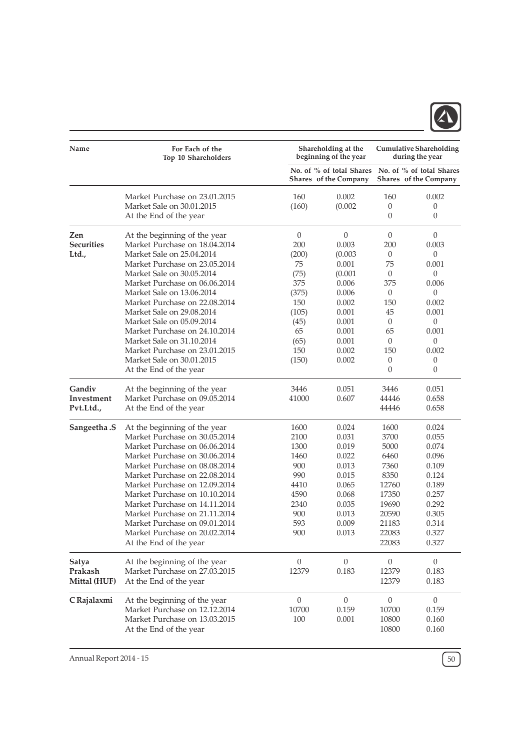

| Name              | For Each of the<br>Top 10 Shareholders |                  | Shareholding at the<br>beginning of the year             |                  | <b>Cumulative Shareholding</b><br>during the year |
|-------------------|----------------------------------------|------------------|----------------------------------------------------------|------------------|---------------------------------------------------|
|                   |                                        |                  | No. of % of total Shares<br><b>Shares</b> of the Company |                  | No. of % of total Shares<br>Shares of the Company |
|                   | Market Purchase on 23.01.2015          | 160              | 0.002                                                    | 160              | 0.002                                             |
|                   | Market Sale on 30.01.2015              | (160)            | (0.002)                                                  | 0                | 0                                                 |
|                   | At the End of the year                 |                  |                                                          | 0                | $\theta$                                          |
| Zen               | At the beginning of the year           | $\mathbf{0}$     | $\boldsymbol{0}$                                         | $\boldsymbol{0}$ | $\theta$                                          |
| <b>Securities</b> | Market Purchase on 18.04.2014          | 200              | 0.003                                                    | 200              | 0.003                                             |
| Ltd.,             | Market Sale on 25.04.2014              | (200)            | (0.003)                                                  | $\boldsymbol{0}$ | 0                                                 |
|                   | Market Purchase on 23.05.2014          | 75               | 0.001                                                    | 75               | 0.001                                             |
|                   | Market Sale on 30.05.2014              | (75)             | (0.001)                                                  | $\boldsymbol{0}$ | 0                                                 |
|                   | Market Purchase on 06.06.2014          | 375              | $0.006\,$                                                | 375              | 0.006                                             |
|                   | Market Sale on 13.06.2014              | (375)            | 0.006                                                    | $\boldsymbol{0}$ | 0                                                 |
|                   | Market Purchase on 22.08.2014          | 150              | 0.002                                                    | 150              | 0.002                                             |
|                   | Market Sale on 29.08.2014              | (105)            | 0.001                                                    | 45               | 0.001                                             |
|                   | Market Sale on 05.09.2014              | (45)             | 0.001                                                    | $\overline{0}$   | $\boldsymbol{0}$                                  |
|                   | Market Purchase on 24.10.2014          | 65               | 0.001                                                    | 65               | 0.001                                             |
|                   | Market Sale on 31.10.2014              | (65)             | 0.001                                                    | $\theta$         | 0                                                 |
|                   | Market Purchase on 23.01.2015          | 150              | 0.002                                                    | 150              | 0.002                                             |
|                   | Market Sale on 30.01.2015              | (150)            | 0.002                                                    | 0                | 0                                                 |
|                   | At the End of the year                 |                  |                                                          | $\overline{0}$   | 0                                                 |
| Gandiv            | At the beginning of the year           | 3446             | 0.051                                                    | 3446             | 0.051                                             |
| Investment        | Market Purchase on 09.05.2014          | 41000            | 0.607                                                    | 44446            | 0.658                                             |
| Pvt.Ltd.,         | At the End of the year                 |                  |                                                          | 44446            | 0.658                                             |
| Sangeetha.S       | At the beginning of the year           | 1600             | 0.024                                                    | 1600             | 0.024                                             |
|                   | Market Purchase on 30.05.2014          | 2100             | 0.031                                                    | 3700             | 0.055                                             |
|                   | Market Purchase on 06.06.2014          | 1300             | 0.019                                                    | 5000             | 0.074                                             |
|                   | Market Purchase on 30.06.2014          | 1460             | 0.022                                                    | 6460             | 0.096                                             |
|                   | Market Purchase on 08.08.2014          | 900              | 0.013                                                    | 7360             | 0.109                                             |
|                   | Market Purchase on 22.08.2014          | 990              | 0.015                                                    | 8350             | 0.124                                             |
|                   | Market Purchase on 12.09.2014          | 4410             | 0.065                                                    | 12760            | 0.189                                             |
|                   | Market Purchase on 10.10.2014          | 4590             | 0.068                                                    | 17350            | 0.257                                             |
|                   | Market Purchase on 14.11.2014          | 2340             | 0.035                                                    | 19690            | 0.292                                             |
|                   | Market Purchase on 21.11.2014          | 900              | 0.013                                                    | 20590            | 0.305                                             |
|                   | Market Purchase on 09.01.2014          | 593              | 0.009                                                    | 21183            | 0.314                                             |
|                   | Market Purchase on 20.02.2014          | 900              | 0.013                                                    | 22083            | 0.327                                             |
|                   | At the End of the year                 |                  |                                                          | 22083            | 0.327                                             |
| <b>Satya</b>      | At the beginning of the year           | $\boldsymbol{0}$ | $\boldsymbol{0}$                                         | $\boldsymbol{0}$ | $\boldsymbol{0}$                                  |
| Prakash           | Market Purchase on 27.03.2015          | 12379            | 0.183                                                    | 12379            | 0.183                                             |
| Mittal (HUF)      | At the End of the year                 |                  |                                                          | 12379            | 0.183                                             |
| C Rajalaxmi       | At the beginning of the year           | $\overline{0}$   | $\boldsymbol{0}$                                         | $\boldsymbol{0}$ | $\mathbf{0}$                                      |
|                   | Market Purchase on 12.12.2014          | 10700            | 0.159                                                    | 10700            | 0.159                                             |
|                   | Market Purchase on 13.03.2015          | 100              | 0.001                                                    | 10800            | 0.160                                             |
|                   | At the End of the year                 |                  |                                                          | 10800            | 0.160                                             |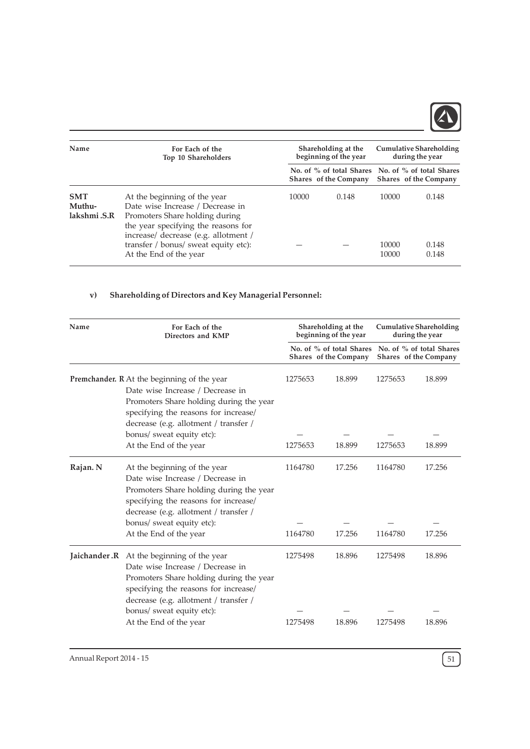

| Name                                 | For Each of the<br>Top 10 Shareholders                                                                                                                                                                                                              |       | Shareholding at the<br>beginning of the year |                         | <b>Cumulative Shareholding</b><br>during the year                          |
|--------------------------------------|-----------------------------------------------------------------------------------------------------------------------------------------------------------------------------------------------------------------------------------------------------|-------|----------------------------------------------|-------------------------|----------------------------------------------------------------------------|
|                                      |                                                                                                                                                                                                                                                     |       | Shares of the Company                        |                         | No. of % of total Shares No. of % of total Shares<br>Shares of the Company |
| <b>SMT</b><br>Muthu-<br>lakshmi .S.R | At the beginning of the year<br>Date wise Increase / Decrease in<br>Promoters Share holding during<br>the year specifying the reasons for<br>increase/ decrease (e.g. allotment /<br>transfer / bonus/ sweat equity etc):<br>At the End of the year | 10000 | 0.148                                        | 10000<br>10000<br>10000 | 0.148<br>0.148<br>0.148                                                    |

# v) Shareholding of Directors and Key Managerial Personnel:

| Name     | For Each of the<br>Directors and KMP                                                                                                                                                                                                                                    |                    | Shareholding at the<br>beginning of the year      |                    | <b>Cumulative Shareholding</b><br>during the year |  |
|----------|-------------------------------------------------------------------------------------------------------------------------------------------------------------------------------------------------------------------------------------------------------------------------|--------------------|---------------------------------------------------|--------------------|---------------------------------------------------|--|
|          |                                                                                                                                                                                                                                                                         |                    | No. of % of total Shares<br>Shares of the Company |                    | No. of % of total Shares<br>Shares of the Company |  |
|          | Premchander. R At the beginning of the year<br>Date wise Increase / Decrease in<br>Promoters Share holding during the year<br>specifying the reasons for increase/<br>decrease (e.g. allotment / transfer /<br>bonus/ sweat equity etc):                                | 1275653            | 18.899                                            | 1275653            | 18.899                                            |  |
|          | At the End of the year                                                                                                                                                                                                                                                  | 1275653            | 18.899                                            | 1275653            | 18.899                                            |  |
| Rajan. N | At the beginning of the year<br>Date wise Increase / Decrease in<br>Promoters Share holding during the year<br>specifying the reasons for increase/<br>decrease (e.g. allotment / transfer /<br>bonus/ sweat equity etc):<br>At the End of the year                     | 1164780<br>1164780 | 17.256<br>17.256                                  | 1164780<br>1164780 | 17.256<br>17.256                                  |  |
|          |                                                                                                                                                                                                                                                                         |                    |                                                   |                    |                                                   |  |
|          | <b>Jaichander.R</b> At the beginning of the year<br>Date wise Increase / Decrease in<br>Promoters Share holding during the year<br>specifying the reasons for increase/<br>decrease (e.g. allotment / transfer /<br>bonus/ sweat equity etc):<br>At the End of the year | 1275498<br>1275498 | 18.896<br>18.896                                  | 1275498<br>1275498 | 18.896<br>18.896                                  |  |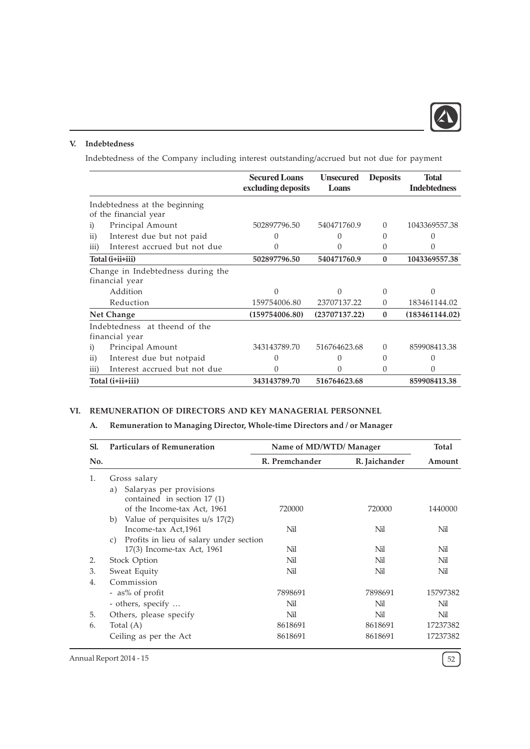

# V. Indebtedness

Indebtedness of the Company including interest outstanding/accrued but not due for payment

|                   |                                                        | <b>Secured Loans</b><br>excluding deposits | <b>Unsecured</b><br>Loans | <b>Deposits</b>  | Total<br><b>Indebtedness</b> |
|-------------------|--------------------------------------------------------|--------------------------------------------|---------------------------|------------------|------------------------------|
|                   | Indebtedness at the beginning<br>of the financial year |                                            |                           |                  |                              |
| $\left( i\right)$ | Principal Amount                                       | 502897796.50                               | 540471760.9               | $\Omega$         | 1043369557.38                |
| $\rm ii)$         | Interest due but not paid                              |                                            |                           | 0                |                              |
| $\overline{iii}$  | Interest accrued but not due                           | 0                                          |                           | 0                | 0                            |
|                   | Total (i+ii+iii)                                       | 502897796.50                               | 540471760.9               | 0                | 1043369557.38                |
|                   | Change in Indebtedness during the<br>financial year    |                                            |                           |                  |                              |
|                   | Addition                                               | 0                                          |                           | $\Omega$         |                              |
|                   | Reduction                                              | 159754006.80                               | 23707137.22               | $\Omega$         | 183461144.02                 |
|                   | <b>Net Change</b>                                      | (159754006.80)                             | (23707137.22)             | $\mathbf{0}$     | (183461144.02)               |
|                   | Indebtedness at theend of the<br>financial year        |                                            |                           |                  |                              |
| $\left( i\right)$ | Principal Amount                                       | 343143789.70                               | 516764623.68              | 0                | 859908413.38                 |
| $\overline{11}$   | Interest due but notpaid                               |                                            |                           | $\left( \right)$ |                              |
| $\overline{iii}$  | Interest accrued but not due                           |                                            |                           | 0                |                              |
|                   | Total (i+ii+iii)                                       | 343143789.70                               | 516764623.68              |                  | 859908413.38                 |

# VI. REMUNERATION OF DIRECTORS AND KEY MANAGERIAL PERSONNEL

# A. Remuneration to Managing Director, Whole-time Directors and / or Manager

| Sl. | <b>Particulars of Remuneration</b>                                                           | Name of MD/WTD/ Manager |               | <b>Total</b> |
|-----|----------------------------------------------------------------------------------------------|-------------------------|---------------|--------------|
| No. |                                                                                              | R. Premchander          | R. Jaichander | Amount       |
| 1.  | Gross salary                                                                                 |                         |               |              |
|     | Salaryas per provisions<br>a)<br>contained in section $17(1)$<br>of the Income-tax Act, 1961 | 720000                  | 720000        | 1440000      |
|     | Value of perquisites $u/s$ 17(2)<br>b)<br>Income-tax Act, 1961                               | Nil                     | Nil           | Nil          |
|     | Profits in lieu of salary under section<br>C)                                                |                         |               |              |
|     | 17(3) Income-tax Act, 1961                                                                   | Nil                     | Nil           | Nil          |
| 2.  | Stock Option                                                                                 | Nil                     | Nil           | Nil          |
| 3.  | Sweat Equity                                                                                 | Nil                     | Nil           | Nil          |
| 4.  | Commission                                                                                   |                         |               |              |
|     | - as% of profit                                                                              | 7898691                 | 7898691       | 15797382     |
|     | - others, specify                                                                            | Nil                     | Nil           | Nil          |
| 5.  | Others, please specify                                                                       | Nil                     | Nil           | Nil          |
| 6.  | Total (A)                                                                                    | 8618691                 | 8618691       | 17237382     |
|     | Ceiling as per the Act                                                                       | 8618691                 | 8618691       | 17237382     |

Annual Report 2014 - 15  $\left(52\right)$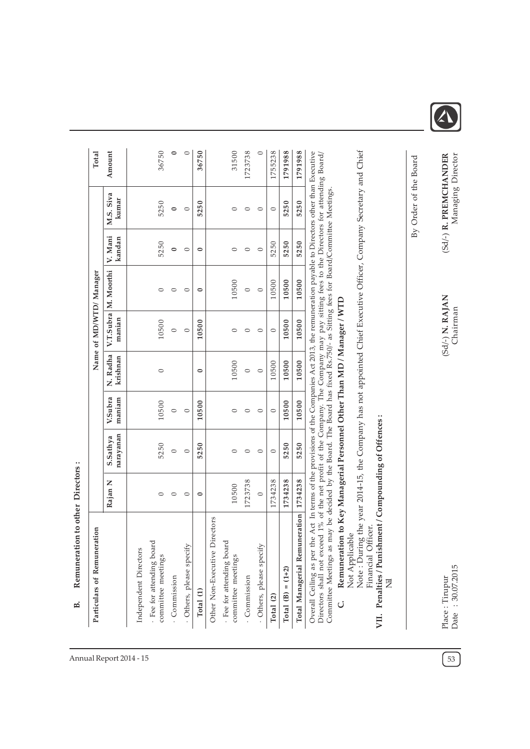| Particulars of Remuneration                                                                                                                                                                                                                                                                                                                                                                                                                                                                                                                                                                                                                      |         |                       |                   |                      |                             | Name of MD/WTD/ Manager |                   |                                            | Total   |
|--------------------------------------------------------------------------------------------------------------------------------------------------------------------------------------------------------------------------------------------------------------------------------------------------------------------------------------------------------------------------------------------------------------------------------------------------------------------------------------------------------------------------------------------------------------------------------------------------------------------------------------------------|---------|-----------------------|-------------------|----------------------|-----------------------------|-------------------------|-------------------|--------------------------------------------|---------|
|                                                                                                                                                                                                                                                                                                                                                                                                                                                                                                                                                                                                                                                  | Rajan N | narayanan<br>S.Sathya | V.Subra<br>maniam | N. Radha<br>krishnan | manian                      | V.T.Subra M. Moorthi    | V. Mani<br>kandan | M.S. Siva<br>kumar                         | Amount  |
| Independent Directors                                                                                                                                                                                                                                                                                                                                                                                                                                                                                                                                                                                                                            |         |                       |                   |                      |                             |                         |                   |                                            |         |
| · Fee for attending board<br>committee meetings                                                                                                                                                                                                                                                                                                                                                                                                                                                                                                                                                                                                  | $\circ$ | 5250                  | 10500             | $\circ$              | 10500                       | $\circ$                 | 5250              | 5250                                       | 36750   |
| Commission                                                                                                                                                                                                                                                                                                                                                                                                                                                                                                                                                                                                                                       | $\circ$ | $\circ$               | $\circ$           |                      | $\circ$                     | $\circ$                 | $\circ$           | $\bullet$                                  | 0       |
| Others, please specify                                                                                                                                                                                                                                                                                                                                                                                                                                                                                                                                                                                                                           | $\circ$ | $\circ$               | $\circ$           |                      | $\circ$                     | $\circ$                 | $\circ$           | $\circ$                                    | $\circ$ |
| Total (1)                                                                                                                                                                                                                                                                                                                                                                                                                                                                                                                                                                                                                                        | $\circ$ | 5250                  | 10500             | $\circ$              | 10500                       | $\circ$                 | $\circ$           | 5250                                       | 36750   |
| Other Non-Executive Directors                                                                                                                                                                                                                                                                                                                                                                                                                                                                                                                                                                                                                    |         |                       |                   |                      |                             |                         |                   |                                            |         |
| . Fee for attending board<br>committee meetings                                                                                                                                                                                                                                                                                                                                                                                                                                                                                                                                                                                                  | 10500   | $\circ$               | $\circ$           | 10500                | $\circ$                     | 10500                   | $\circ$           | $\circ$                                    | 31500   |
| Commission                                                                                                                                                                                                                                                                                                                                                                                                                                                                                                                                                                                                                                       | 1723738 | $\circ$               | $\circ$           | $\circ$              | $\circ$                     | $\circ$                 | $\circ$           | $\circ$                                    | 1723738 |
| Others, please specify                                                                                                                                                                                                                                                                                                                                                                                                                                                                                                                                                                                                                           | $\circ$ | $\circ$               | $\circ$           | $\circ$              | $\circ$                     | $\circ$                 | $\circ$           | $\circ$                                    | $\circ$ |
| Total (2)                                                                                                                                                                                                                                                                                                                                                                                                                                                                                                                                                                                                                                        | 1734238 | $\circ$               | $\circ$           | 10500                | $\circ$                     | 10500                   | 5250              | $\circ$                                    | 1755238 |
| Total (B) = $(1+2)$                                                                                                                                                                                                                                                                                                                                                                                                                                                                                                                                                                                                                              | 1734238 | 5250                  | 10500             | 10500                | 10500                       | 10500                   | 5250              | 5250                                       | 1791988 |
| Total Managerial Remuneration                                                                                                                                                                                                                                                                                                                                                                                                                                                                                                                                                                                                                    | 1734238 | 5250                  | 10500             | 10500                | 10500                       | 10500                   | 5250              | 5250                                       | 1791988 |
| Note: During the year 2014-15, the Company has not appointed Chief Executive Officer, Company Secretary and Chief<br>Overall Ceiling as per the Act In terms of the provisions of the Companies Act 2013, the remuneration payable to Directors other than Executive<br>Directors shall not exceed 1% of the net profit of the Company. The Company may pay sitting fees to the Directors for attending Board/<br>Committee Meetings as may be decided by the Board. The Board has fixed Rs.750/- as Sitting fees for Board/Committee Meetings.<br>Remuneration to Key Managerial Personnel Other Than MD / Manager / WTD<br>Not Applicable<br>Ċ |         |                       |                   |                      |                             |                         |                   |                                            |         |
| Penalties / Punishment / Compounding of Offences:<br>fficer<br>Financial O<br>艺<br>VII.                                                                                                                                                                                                                                                                                                                                                                                                                                                                                                                                                          |         |                       |                   |                      |                             |                         |                   |                                            |         |
|                                                                                                                                                                                                                                                                                                                                                                                                                                                                                                                                                                                                                                                  |         |                       |                   |                      |                             |                         |                   | By Order of the Board                      |         |
| Date: 30.07.2015<br>Place: Tirupur                                                                                                                                                                                                                                                                                                                                                                                                                                                                                                                                                                                                               |         |                       |                   |                      | (Sd/-) N. RAJAN<br>Chairman |                         |                   | (Sd/-) R. PREMCHANDER<br>Managing Director |         |

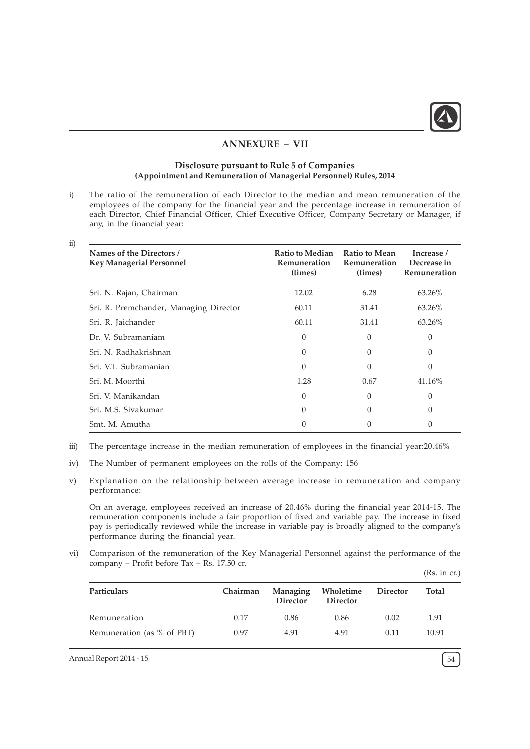

# ANNEXURE – VII

### Disclosure pursuant to Rule 5 of Companies (Appointment and Remuneration of Managerial Personnel) Rules, 2014

i) The ratio of the remuneration of each Director to the median and mean remuneration of the employees of the company for the financial year and the percentage increase in remuneration of each Director, Chief Financial Officer, Chief Executive Officer, Company Secretary or Manager, if any, in the financial year:

ii)

| Names of the Directors /<br><b>Key Managerial Personnel</b> | <b>Ratio to Median</b><br><b>Remuneration</b><br>(times) | <b>Ratio to Mean</b><br>Remuneration<br>(times) | Increase /<br>Decrease in<br>Remuneration |
|-------------------------------------------------------------|----------------------------------------------------------|-------------------------------------------------|-------------------------------------------|
| Sri. N. Rajan, Chairman                                     | 12.02                                                    | 6.28                                            | 63.26%                                    |
| Sri. R. Premchander, Managing Director                      | 60.11                                                    | 31.41                                           | 63.26%                                    |
| Sri. R. Jaichander                                          | 60.11                                                    | 31.41                                           | 63.26%                                    |
| Dr. V. Subramaniam                                          | $\theta$                                                 | $\theta$                                        | $\Omega$                                  |
| Sri. N. Radhakrishnan                                       | 0                                                        | $\Omega$                                        | $\Omega$                                  |
| Sri. V.T. Subramanian                                       | $\Omega$                                                 | $\theta$                                        | $\Omega$                                  |
| Sri. M. Moorthi                                             | 1.28                                                     | 0.67                                            | 41.16%                                    |
| Sri. V. Manikandan                                          | $\Omega$                                                 | $\Omega$                                        | $\Omega$                                  |
| Sri. M.S. Siyakumar                                         | 0                                                        | $\Omega$                                        | $\Omega$                                  |
| Smt. M. Amutha                                              | 0                                                        |                                                 |                                           |

- iii) The percentage increase in the median remuneration of employees in the financial year:20.46%
- iv) The Number of permanent employees on the rolls of the Company: 156
- v) Explanation on the relationship between average increase in remuneration and company performance:

On an average, employees received an increase of 20.46% during the financial year 2014-15. The remuneration components include a fair proportion of fixed and variable pay. The increase in fixed pay is periodically reviewed while the increase in variable pay is broadly aligned to the company's performance during the financial year.

vi) Comparison of the remuneration of the Key Managerial Personnel against the performance of the company – Profit before Tax – Rs. 17.50 cr.

| (Rs. in cr. |  |
|-------------|--|
|             |  |

| <b>Particulars</b>         | Chairman | Managing<br><b>Director</b> | Wholetime<br>Director | Director | Total |
|----------------------------|----------|-----------------------------|-----------------------|----------|-------|
| Remuneration               | 0.17     | 0.86                        | 0.86                  | 0.02     | 1.91  |
| Remuneration (as % of PBT) | 0.97     | 4.91                        | 4.91                  | 0.11     | 10.91 |

Annual Report 2014 - 15  $\left[54\right]$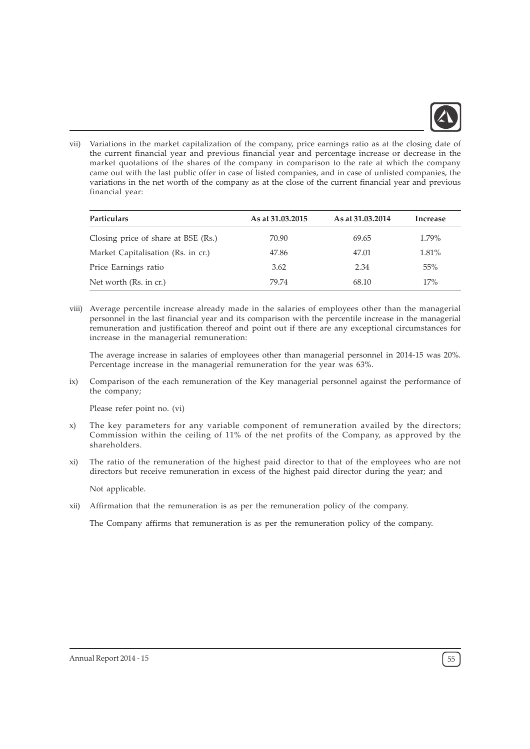

vii) Variations in the market capitalization of the company, price earnings ratio as at the closing date of the current financial year and previous financial year and percentage increase or decrease in the market quotations of the shares of the company in comparison to the rate at which the company came out with the last public offer in case of listed companies, and in case of unlisted companies, the variations in the net worth of the company as at the close of the current financial year and previous financial year:

| <b>Particulars</b>                  | As at 31.03.2015 | As at 31,03,2014 | Increase |
|-------------------------------------|------------------|------------------|----------|
| Closing price of share at BSE (Rs.) | 70.90            | 69.65            | 1.79%    |
| Market Capitalisation (Rs. in cr.)  | 47.86            | 47.01            | 1.81%    |
| Price Earnings ratio                | 3.62             | 2.34             | 55%      |
| Net worth (Rs. in cr.)              | 79.74            | 68.10            | 17%      |

viii) Average percentile increase already made in the salaries of employees other than the managerial personnel in the last financial year and its comparison with the percentile increase in the managerial remuneration and justification thereof and point out if there are any exceptional circumstances for increase in the managerial remuneration:

The average increase in salaries of employees other than managerial personnel in 2014-15 was 20%. Percentage increase in the managerial remuneration for the year was 63%.

ix) Comparison of the each remuneration of the Key managerial personnel against the performance of the company;

Please refer point no. (vi)

- x) The key parameters for any variable component of remuneration availed by the directors; Commission within the ceiling of 11% of the net profits of the Company, as approved by the shareholders.
- xi) The ratio of the remuneration of the highest paid director to that of the employees who are not directors but receive remuneration in excess of the highest paid director during the year; and

Not applicable.

xii) Affirmation that the remuneration is as per the remuneration policy of the company.

The Company affirms that remuneration is as per the remuneration policy of the company.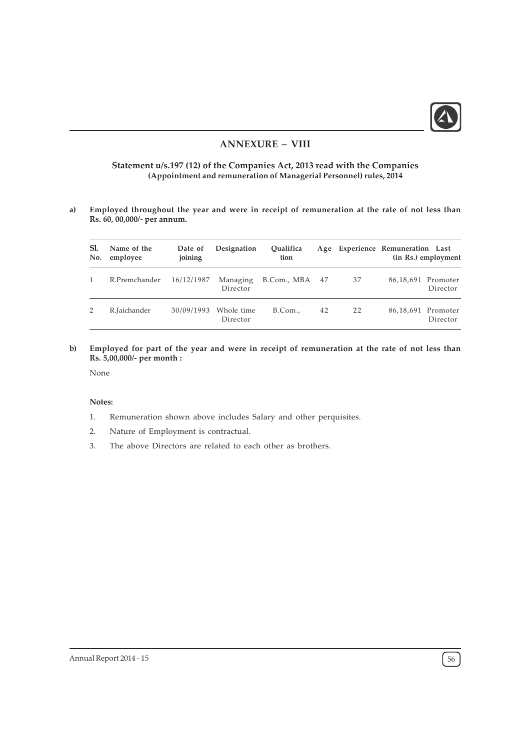

# ANNEXURE – VIII

## Statement u/s.197 (12) of the Companies Act, 2013 read with the Companies (Appointment and remuneration of Managerial Personnel) rules, 2014

a) Employed throughout the year and were in receipt of remuneration at the rate of not less than Rs. 60, 00,000/- per annum.

| Sl.<br>No. | Name of the<br>employee | Date of<br>joining | Designation            | Oualifica<br>tion |    |    | Age Experience Remuneration Last | (in Rs.) employment            |
|------------|-------------------------|--------------------|------------------------|-------------------|----|----|----------------------------------|--------------------------------|
|            | R.Premchander           | 16/12/1987         | Managing<br>Director   | B.Com., MBA 47    |    | 37 |                                  | 86,18,691 Promoter<br>Director |
| 2          | R.Jaichander            | 30/09/1993         | Whole time<br>Director | B. Com.           | 42 | 22 |                                  | 86,18,691 Promoter<br>Director |

b) Employed for part of the year and were in receipt of remuneration at the rate of not less than Rs. 5,00,000/- per month :

None

#### Notes:

- 1. Remuneration shown above includes Salary and other perquisites.
- 2. Nature of Employment is contractual.
- 3. The above Directors are related to each other as brothers.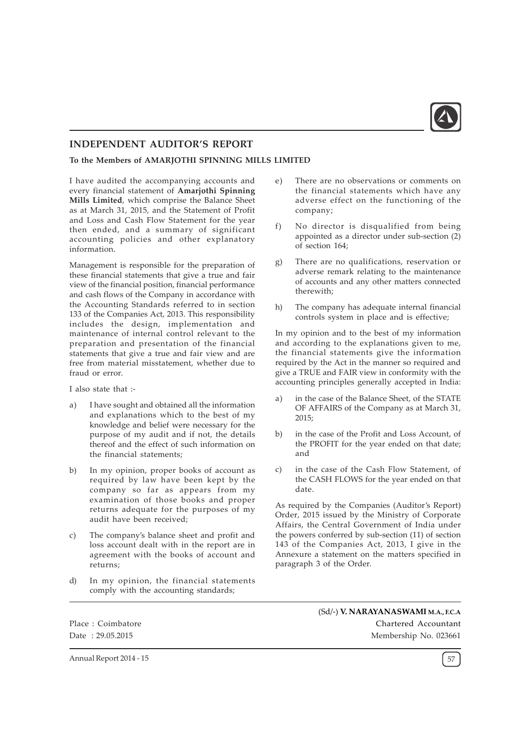

# INDEPENDENT AUDITOR'S REPORT

To the Members of AMARJOTHI SPINNING MILLS LIMITED

I have audited the accompanying accounts and every financial statement of Amarjothi Spinning Mills Limited, which comprise the Balance Sheet as at March 31, 2015, and the Statement of Profit and Loss and Cash Flow Statement for the year then ended, and a summary of significant accounting policies and other explanatory information.

Management is responsible for the preparation of these financial statements that give a true and fair view of the financial position, financial performance and cash flows of the Company in accordance with the Accounting Standards referred to in section 133 of the Companies Act, 2013. This responsibility includes the design, implementation and maintenance of internal control relevant to the preparation and presentation of the financial statements that give a true and fair view and are free from material misstatement, whether due to fraud or error.

I also state that :-

- a) I have sought and obtained all the information and explanations which to the best of my knowledge and belief were necessary for the purpose of my audit and if not, the details thereof and the effect of such information on the financial statements;
- b) In my opinion, proper books of account as required by law have been kept by the company so far as appears from my examination of those books and proper returns adequate for the purposes of my audit have been received;
- c) The company's balance sheet and profit and loss account dealt with in the report are in agreement with the books of account and returns;
- d) In my opinion, the financial statements comply with the accounting standards;
- e) There are no observations or comments on the financial statements which have any adverse effect on the functioning of the company;
- f) No director is disqualified from being appointed as a director under sub-section (2) of section 164;
- g) There are no qualifications, reservation or adverse remark relating to the maintenance of accounts and any other matters connected therewith;
- h) The company has adequate internal financial controls system in place and is effective;

In my opinion and to the best of my information and according to the explanations given to me, the financial statements give the information required by the Act in the manner so required and give a TRUE and FAIR view in conformity with the accounting principles generally accepted in India:

- a) in the case of the Balance Sheet, of the STATE OF AFFAIRS of the Company as at March 31, 2015;
- b) in the case of the Profit and Loss Account, of the PROFIT for the year ended on that date; and
- c) in the case of the Cash Flow Statement, of the CASH FLOWS for the year ended on that date.

As required by the Companies (Auditor's Report) Order, 2015 issued by the Ministry of Corporate Affairs, the Central Government of India under the powers conferred by sub-section (11) of section 143 of the Companies Act, 2013, I give in the Annexure a statement on the matters specified in paragraph 3 of the Order.

Place : Coimbatore Date : 29.05.2015

(Sd/-) V. NARAYANASWAMI M.A., F.C.A Chartered Accountant Membership No. 023661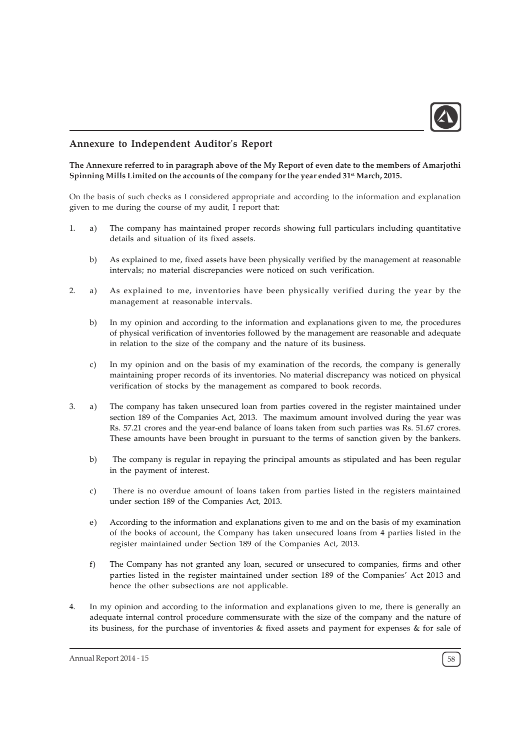

# Annexure to Independent Auditor's Report

### The Annexure referred to in paragraph above of the My Report of even date to the members of Amarjothi Spinning Mills Limited on the accounts of the company for the year ended 31<sup>st</sup> March, 2015.

On the basis of such checks as I considered appropriate and according to the information and explanation given to me during the course of my audit, I report that:

- 1. a) The company has maintained proper records showing full particulars including quantitative details and situation of its fixed assets.
	- b) As explained to me, fixed assets have been physically verified by the management at reasonable intervals; no material discrepancies were noticed on such verification.
- 2. a) As explained to me, inventories have been physically verified during the year by the management at reasonable intervals.
	- b) In my opinion and according to the information and explanations given to me, the procedures of physical verification of inventories followed by the management are reasonable and adequate in relation to the size of the company and the nature of its business.
	- c) In my opinion and on the basis of my examination of the records, the company is generally maintaining proper records of its inventories. No material discrepancy was noticed on physical verification of stocks by the management as compared to book records.
- 3. a) The company has taken unsecured loan from parties covered in the register maintained under section 189 of the Companies Act, 2013. The maximum amount involved during the year was Rs. 57.21 crores and the year-end balance of loans taken from such parties was Rs. 51.67 crores. These amounts have been brought in pursuant to the terms of sanction given by the bankers.
	- b) The company is regular in repaying the principal amounts as stipulated and has been regular in the payment of interest.
	- c) There is no overdue amount of loans taken from parties listed in the registers maintained under section 189 of the Companies Act, 2013.
	- e) According to the information and explanations given to me and on the basis of my examination of the books of account, the Company has taken unsecured loans from 4 parties listed in the register maintained under Section 189 of the Companies Act, 2013.
	- f) The Company has not granted any loan, secured or unsecured to companies, firms and other parties listed in the register maintained under section 189 of the Companies' Act 2013 and hence the other subsections are not applicable.
- 4. In my opinion and according to the information and explanations given to me, there is generally an adequate internal control procedure commensurate with the size of the company and the nature of its business, for the purchase of inventories & fixed assets and payment for expenses & for sale of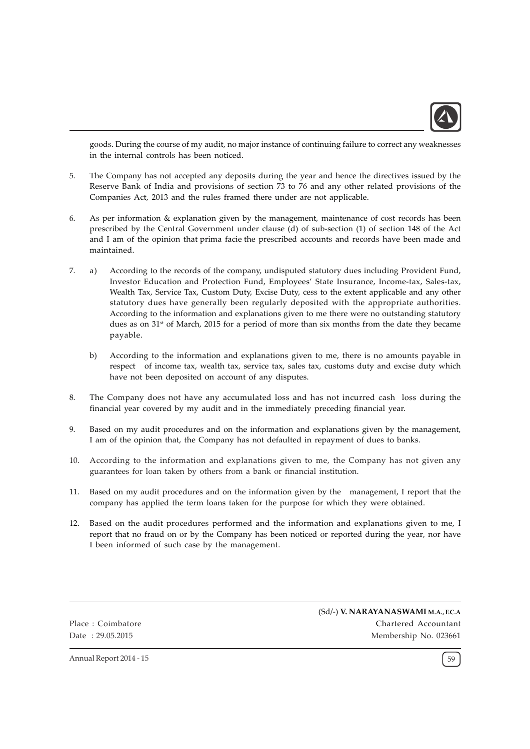

goods. During the course of my audit, no major instance of continuing failure to correct any weaknesses in the internal controls has been noticed.

- 5. The Company has not accepted any deposits during the year and hence the directives issued by the Reserve Bank of India and provisions of section 73 to 76 and any other related provisions of the Companies Act, 2013 and the rules framed there under are not applicable.
- 6. As per information & explanation given by the management, maintenance of cost records has been prescribed by the Central Government under clause (d) of sub-section (1) of section 148 of the Act and I am of the opinion that prima facie the prescribed accounts and records have been made and maintained.
- 7. a) According to the records of the company, undisputed statutory dues including Provident Fund, Investor Education and Protection Fund, Employees' State Insurance, Income-tax, Sales-tax, Wealth Tax, Service Tax, Custom Duty, Excise Duty, cess to the extent applicable and any other statutory dues have generally been regularly deposited with the appropriate authorities. According to the information and explanations given to me there were no outstanding statutory dues as on  $31<sup>st</sup>$  of March, 2015 for a period of more than six months from the date they became payable.
	- b) According to the information and explanations given to me, there is no amounts payable in respect of income tax, wealth tax, service tax, sales tax, customs duty and excise duty which have not been deposited on account of any disputes.
- 8. The Company does not have any accumulated loss and has not incurred cash loss during the financial year covered by my audit and in the immediately preceding financial year.
- 9. Based on my audit procedures and on the information and explanations given by the management, I am of the opinion that, the Company has not defaulted in repayment of dues to banks.
- 10. According to the information and explanations given to me, the Company has not given any guarantees for loan taken by others from a bank or financial institution.
- 11. Based on my audit procedures and on the information given by the management, I report that the company has applied the term loans taken for the purpose for which they were obtained.
- 12. Based on the audit procedures performed and the information and explanations given to me, I report that no fraud on or by the Company has been noticed or reported during the year, nor have I been informed of such case by the management.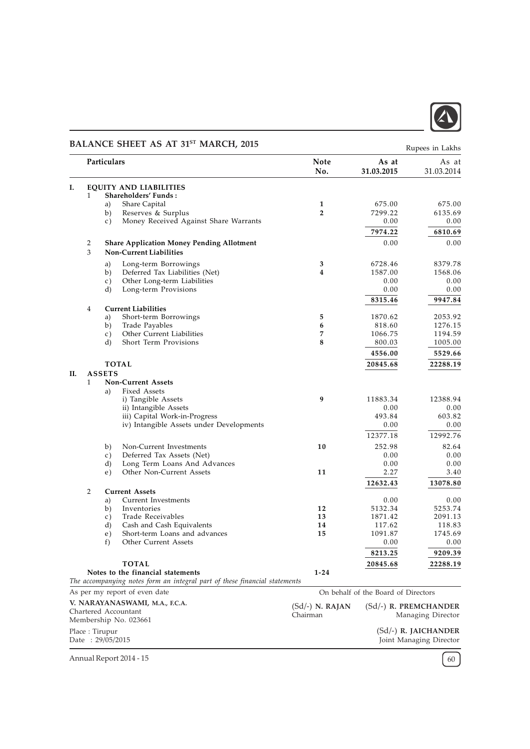

# BALANCE SHEET AS AT 31<sup>ST</sup> MARCH, 2015

|    |                |                | <b>DITERMANEL OFFICER THE ST.</b><br>111111111117172117                    |                    |                                     | Rupees in Lakhs        |
|----|----------------|----------------|----------------------------------------------------------------------------|--------------------|-------------------------------------|------------------------|
|    |                | Particulars    |                                                                            | <b>Note</b><br>No. | As at<br>31.03.2015                 | As at<br>31.03.2014    |
| Ι. |                |                | <b>EQUITY AND LIABILITIES</b>                                              |                    |                                     |                        |
|    | 1              |                | Shareholders' Funds:                                                       |                    |                                     |                        |
|    |                | a)             | Share Capital                                                              | 1                  | 675.00                              | 675.00                 |
|    |                | b)             | Reserves & Surplus                                                         | $\overline{2}$     | 7299.22                             | 6135.69                |
|    |                | C)             | Money Received Against Share Warrants                                      |                    | 0.00                                | 0.00                   |
|    |                |                |                                                                            |                    | 7974.22                             | 6810.69                |
|    | 2              |                | <b>Share Application Money Pending Allotment</b>                           |                    | 0.00                                | 0.00                   |
|    | 3              |                | <b>Non-Current Liabilities</b>                                             |                    |                                     |                        |
|    |                | a)             | Long-term Borrowings                                                       | 3                  | 6728.46                             | 8379.78                |
|    |                | b)             | Deferred Tax Liabilities (Net)                                             | 4                  | 1587.00                             | 1568.06                |
|    |                | c)             | Other Long-term Liabilities                                                |                    | 0.00                                | 0.00                   |
|    |                | d)             | Long-term Provisions                                                       |                    | 0.00                                | 0.00                   |
|    |                |                |                                                                            |                    | 8315.46                             | 9947.84                |
|    | 4              |                | <b>Current Liabilities</b>                                                 |                    |                                     |                        |
|    |                | a)             | Short-term Borrowings                                                      | 5                  | 1870.62                             | 2053.92                |
|    |                | b)             | Trade Payables                                                             | 6                  | 818.60                              | 1276.15                |
|    |                | c)             | Other Current Liabilities                                                  | 7                  | 1066.75                             | 1194.59                |
|    |                | d)             | Short Term Provisions                                                      | 8                  | 800.03                              | 1005.00                |
|    |                |                |                                                                            |                    | 4556.00                             | 5529.66                |
|    |                |                | <b>TOTAL</b>                                                               |                    | 20845.68                            | 22288.19               |
| П. |                | <b>ASSETS</b>  |                                                                            |                    |                                     |                        |
|    | $\mathbf{1}$   |                | <b>Non-Current Assets</b>                                                  |                    |                                     |                        |
|    |                | a)             | Fixed Assets                                                               |                    |                                     |                        |
|    |                |                | i) Tangible Assets                                                         | 9                  | 11883.34                            | 12388.94               |
|    |                |                | ii) Intangible Assets                                                      |                    | 0.00                                | 0.00                   |
|    |                |                | iii) Capital Work-in-Progress                                              |                    | 493.84                              | 603.82                 |
|    |                |                | iv) Intangible Assets under Developments                                   |                    | 0.00                                | 0.00                   |
|    |                |                |                                                                            |                    | 12377.18                            | 12992.76               |
|    |                | b)             | Non-Current Investments                                                    | 10                 | 252.98                              | 82.64                  |
|    |                | c)             | Deferred Tax Assets (Net)                                                  |                    | 0.00                                | 0.00                   |
|    |                | d)             | Long Term Loans And Advances                                               |                    | 0.00                                | 0.00                   |
|    |                | e)             | Other Non-Current Assets                                                   | 11                 | 2.27                                | 3.40                   |
|    |                |                |                                                                            |                    | 12632.43                            | 13078.80               |
|    | $\overline{2}$ |                | <b>Current Assets</b>                                                      |                    |                                     |                        |
|    |                | a)             | Current Investments                                                        |                    | 0.00                                | 0.00                   |
|    |                | b)             | Inventories                                                                | 12                 | 5132.34                             | 5253.74                |
|    |                | c)             | Trade Receivables                                                          | 13                 | 1871.42                             | 2091.13                |
|    |                | d)             | Cash and Cash Equivalents                                                  | 14                 | 117.62                              | 118.83                 |
|    |                | e)             | Short-term Loans and advances                                              | 15                 | 1091.87                             | 1745.69                |
|    |                | f)             | Other Current Assets                                                       |                    | 0.00                                | 0.00                   |
|    |                |                |                                                                            |                    | 8213.25                             | 9209.39                |
|    |                |                | <b>TOTAL</b>                                                               |                    | 20845.68                            | 22288.19               |
|    |                |                | Notes to the financial statements                                          | $1 - 24$           |                                     |                        |
|    |                |                | The accompanying notes form an integral part of these financial statements |                    |                                     |                        |
|    |                |                | As per my report of even date                                              |                    | On behalf of the Board of Directors |                        |
|    |                |                | V. NARAYANASWAMI, M.A., F.C.A.                                             | $(Sd/-)$ N. RAJAN  |                                     | (Sd/-) R. PREMCHANDER  |
|    |                |                | Chartered Accountant                                                       | Chairman           |                                     | Managing Director      |
|    |                |                | Membership No. 023661                                                      |                    |                                     |                        |
|    |                | Place: Tirupur |                                                                            |                    |                                     | $(Sd/-)$ R. JAICHANDER |

Joint Managing Director

Annual Report 2014 - 15  $\sqrt{60}$ 

Date : 29/05/2015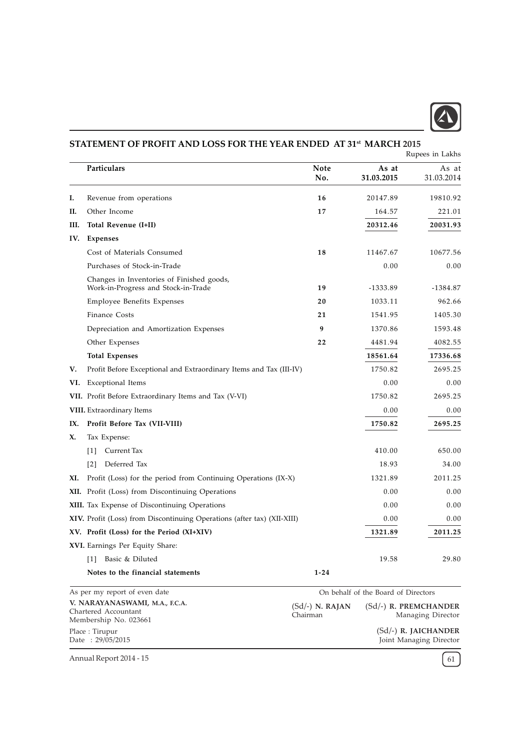

# **I.** Revenue from operations **16** 20147.89 19810.92 **II.** Other Income 221.01 III. Total Revenue (I+II) 20312.46 20031.93 IV. Expenses Cost of Materials Consumed 18 11467.67 10677.56 Purchases of Stock-in-Trade 0.00 0.00 Changes in Inventories of Finished goods, Work-in-Progress and Stock-in-Trade 19 -1333.89 -1384.87 Employee Benefits Expenses 20 20 1033.11 962.66 Finance Costs 21 1541.95 1405.30 Depreciation and Amortization Expenses 9 1370.86 1593.48 Other Expenses 22 4481.94 4082.55 Total Expenses 18561.64 17336.68 V. Profit Before Exceptional and Extraordinary Items and Tax (III-IV) 1750.82 2695.25 VI. Exceptional Items 0.00 0.00 VII. Profit Before Extraordinary Items and Tax (V-VI) 1750.82 2695.25 VIII. Extraordinary Items 0.00 0.00 IX. Profit Before Tax (VII-VIII) 1750.82 2695.25 X. Tax Expense: [1] Current Tax 410.00 650.00 [2] Deferred Tax 18.93 34.00 XI. Profit (Loss) for the period from Continuing Operations (IX-X) 1321.89 2011.25 XII. Profit (Loss) from Discontinuing Operations 0.00 0.00 0.00 0.00 XIII. Tax Expense of Discontinuing Operations 0.00 0.00 0.00 0.00 XIV. Profit (Loss) from Discontinuing Operations (after tax) (XII-XIII) 0.00 0.00 0.00 XV. Profit (Loss) for the Period (XI+XIV) 1321.89 2011.25 XVI. Earnings Per Equity Share: [1] Basic & Diluted 19.58 29.80 Notes to the financial statements 1-24 STATEMENT OF PROFIT AND LOSS FOR THE YEAR ENDED AT 31st MARCH 2015 Particulars and the contract of the contract of the Note and As at As at As at As at As at As at As at As at As No. 31.03.2015 31.03.2014 Rupees in Lakhs As per my report of even date V. NARAYANASWAMI, M.A., F.C.A. Chartered Accountant On behalf of the Board of Directors (Sd/-) R. PREMCHANDER Managing Director (Sd/-) N. RAJAN Chairman

Annual Report 2014 - 15  $\left(61\right)$ 

Membership No. 023661

Place : Tirupur Date : 29/05/2015 (Sd/-) R. JAICHANDER Joint Managing Director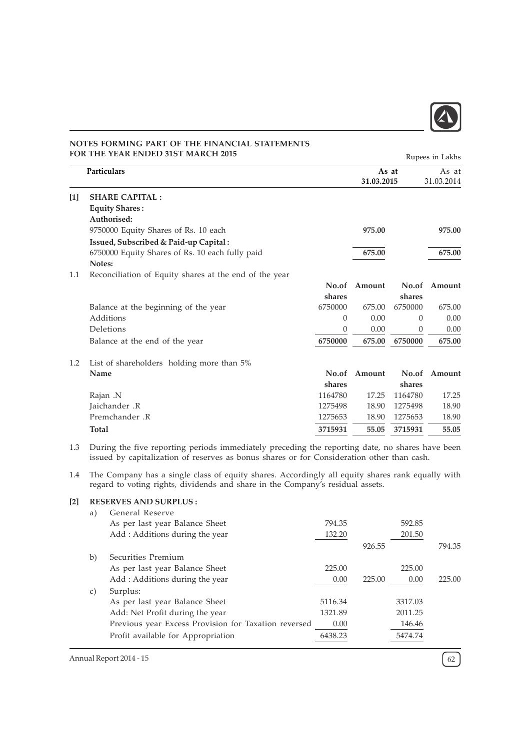

|       | <b>FOR THE YEAR ENDED 31ST MARCH 2015</b>              |          |                     |          | Rupees in Lakhs     |
|-------|--------------------------------------------------------|----------|---------------------|----------|---------------------|
|       | Particulars                                            |          | As at<br>31.03.2015 |          | As at<br>31.03.2014 |
| $[1]$ | <b>SHARE CAPITAL:</b>                                  |          |                     |          |                     |
|       | <b>Equity Shares:</b>                                  |          |                     |          |                     |
|       | Authorised:                                            |          |                     |          |                     |
|       | 9750000 Equity Shares of Rs. 10 each                   |          | 975.00              |          | 975.00              |
|       | Issued, Subscribed & Paid-up Capital:                  |          |                     |          |                     |
|       | 6750000 Equity Shares of Rs. 10 each fully paid        |          | 675.00              |          | 675.00              |
|       | Notes:                                                 |          |                     |          |                     |
| 1.1   | Reconciliation of Equity shares at the end of the year |          |                     |          |                     |
|       |                                                        | No.of    | Amount              | No.of    | Amount              |
|       |                                                        | shares   |                     | shares   |                     |
|       | Balance at the beginning of the year                   | 6750000  | 675.00              | 6750000  | 675.00              |
|       | Additions                                              | 0        | 0.00                | $\theta$ | 0.00                |
|       | Deletions                                              | $\theta$ | 0.00                | $\Omega$ | 0.00                |
|       | Balance at the end of the year                         | 6750000  | 675.00              | 6750000  | 675.00              |
| 1.2   | List of shareholders holding more than 5%              |          |                     |          |                     |
|       | Name                                                   | No.of    | Amount              | No.of    | Amount              |
|       |                                                        | shares   |                     | shares   |                     |
|       | Rajan .N                                               | 1164780  | 17.25               | 1164780  | 17.25               |
|       | Jaichander .R                                          | 1275498  | 18.90               | 1275498  | 18.90               |
|       | Premchander .R                                         | 1275653  | 18.90               | 1275653  | 18.90               |
|       | <b>Total</b>                                           | 3715931  | 55.05               | 3715931  | 55.05               |

1.3 During the five reporting periods immediately preceding the reporting date, no shares have been issued by capitalization of reserves as bonus shares or for Consideration other than cash.

1.4 The Company has a single class of equity shares. Accordingly all equity shares rank equally with regard to voting rights, dividends and share in the Company's residual assets.

# [2] RESERVES AND SURPLUS :

| a) | General Reserve                                      |         |        |         |        |
|----|------------------------------------------------------|---------|--------|---------|--------|
|    | As per last year Balance Sheet                       | 794.35  |        | 592.85  |        |
|    | Add: Additions during the year                       | 132.20  |        | 201.50  |        |
|    |                                                      |         | 926.55 |         | 794.35 |
| b) | Securities Premium                                   |         |        |         |        |
|    | As per last year Balance Sheet                       | 225.00  |        | 225.00  |        |
|    | Add: Additions during the year                       | 0.00    | 225.00 | 0.00    | 225.00 |
| C) | Surplus:                                             |         |        |         |        |
|    | As per last year Balance Sheet                       | 5116.34 |        | 3317.03 |        |
|    | Add: Net Profit during the year                      | 1321.89 |        | 2011.25 |        |
|    | Previous year Excess Provision for Taxation reversed | 0.00    |        | 146.46  |        |
|    | Profit available for Appropriation                   | 6438.23 |        | 5474.74 |        |
|    |                                                      |         |        |         |        |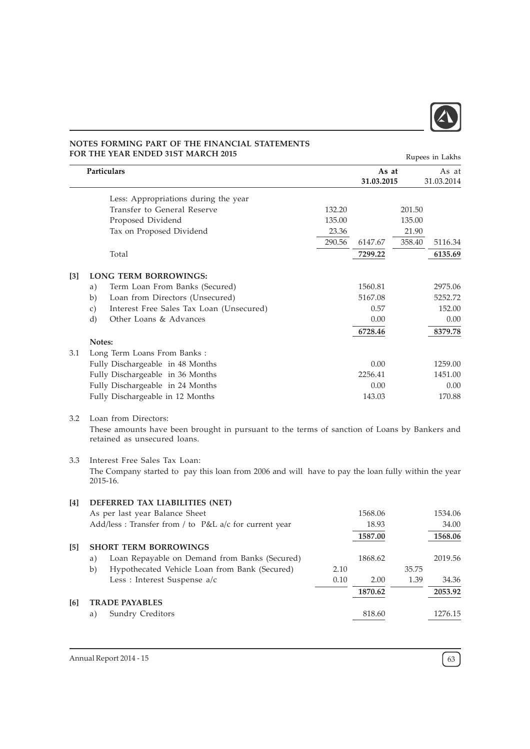

Rupees in Lakhs

|                   | Particulars                                                                                                                                                                           |        | As at<br>31.03.2015 |        | As at<br>31.03.2014 |
|-------------------|---------------------------------------------------------------------------------------------------------------------------------------------------------------------------------------|--------|---------------------|--------|---------------------|
|                   | Less: Appropriations during the year                                                                                                                                                  |        |                     |        |                     |
|                   | Transfer to General Reserve                                                                                                                                                           | 132.20 |                     | 201.50 |                     |
|                   | Proposed Dividend                                                                                                                                                                     | 135.00 |                     | 135.00 |                     |
|                   | Tax on Proposed Dividend                                                                                                                                                              | 23.36  |                     | 21.90  |                     |
|                   |                                                                                                                                                                                       | 290.56 | 6147.67             | 358.40 | 5116.34             |
|                   | Total                                                                                                                                                                                 |        | 7299.22             |        | 6135.69             |
| $\lceil 3 \rceil$ | <b>LONG TERM BORROWINGS:</b>                                                                                                                                                          |        |                     |        |                     |
|                   | Term Loan From Banks (Secured)<br>a)                                                                                                                                                  |        | 1560.81             |        | 2975.06             |
|                   | Loan from Directors (Unsecured)<br>b)                                                                                                                                                 |        | 5167.08             |        | 5252.72             |
|                   | Interest Free Sales Tax Loan (Unsecured)<br>c)                                                                                                                                        |        | 0.57                |        | 152.00              |
|                   | d)<br>Other Loans & Advances                                                                                                                                                          |        | 0.00                |        | 0.00                |
|                   |                                                                                                                                                                                       |        | 6728.46             |        | 8379.78             |
|                   | Notes:                                                                                                                                                                                |        |                     |        |                     |
| 3.1               | Long Term Loans From Banks:                                                                                                                                                           |        |                     |        |                     |
|                   | Fully Dischargeable in 48 Months                                                                                                                                                      |        | 0.00                |        | 1259.00             |
|                   | Fully Dischargeable in 36 Months                                                                                                                                                      |        | 2256.41             |        | 1451.00             |
|                   | Fully Dischargeable in 24 Months                                                                                                                                                      |        | 0.00                |        | 0.00                |
|                   | Fully Dischargeable in 12 Months                                                                                                                                                      |        | 143.03              |        | 170.88              |
| 3.2<br>3.3        | Loan from Directors:<br>These amounts have been brought in pursuant to the terms of sanction of Loans by Bankers and<br>retained as unsecured loans.<br>Interest Free Sales Tax Loan: |        |                     |        |                     |
|                   | The Company started to pay this loan from 2006 and will have to pay the loan fully within the year<br>2015-16.                                                                        |        |                     |        |                     |
| $[4]$             | DEFERRED TAX LIABILITIES (NET)                                                                                                                                                        |        |                     |        |                     |
|                   | As per last year Balance Sheet                                                                                                                                                        |        | 1568.06             |        | 1534.06             |
|                   | Add/less : Transfer from / to P&L a/c for current year                                                                                                                                |        | 18.93               |        | 34.00               |
|                   |                                                                                                                                                                                       |        | 1587.00             |        | 1568.06             |
| [5]               | <b>SHORT TERM BORROWINGS</b>                                                                                                                                                          |        |                     |        |                     |
|                   | Loan Repayable on Demand from Banks (Secured)<br>a)                                                                                                                                   |        | 1868.62             |        | 2019.56             |
|                   | Hypothecated Vehicle Loan from Bank (Secured)<br>b)                                                                                                                                   | 2.10   |                     | 35.75  |                     |
|                   | Less : Interest Suspense a/c                                                                                                                                                          | 0.10   | 2.00                | 1.39   | 34.36               |
|                   |                                                                                                                                                                                       |        | 1870.62             |        | 2053.92             |
| [6]               | <b>TRADE PAYABLES</b>                                                                                                                                                                 |        |                     |        |                     |
|                   | Sundry Creditors<br>a)                                                                                                                                                                |        | 818.60              |        | 1276.15             |
|                   |                                                                                                                                                                                       |        |                     |        |                     |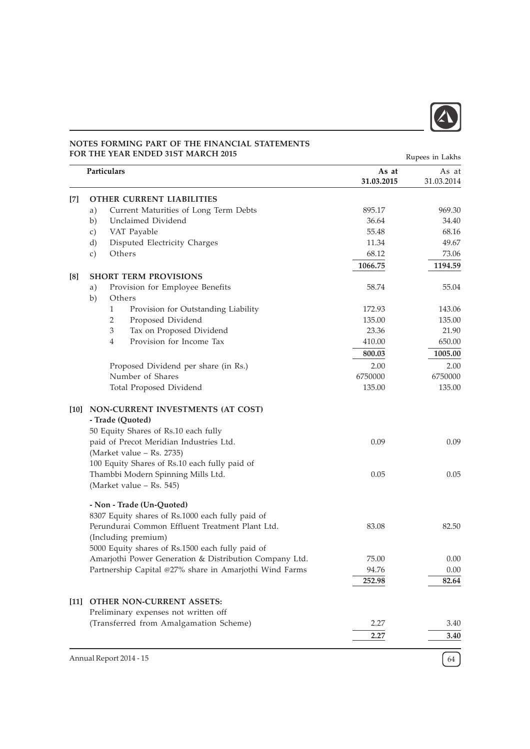

|        | <b>FOR THE YEAR ENDED 31ST MARCH 2015</b>                              |                     | Rupees in Lakhs     |
|--------|------------------------------------------------------------------------|---------------------|---------------------|
|        | Particulars                                                            | As at<br>31.03.2015 | As at<br>31.03.2014 |
|        | <b>OTHER CURRENT LIABILITIES</b>                                       |                     |                     |
|        | Current Maturities of Long Term Debts<br>a)                            | 895.17              | 969.30              |
|        | Unclaimed Dividend<br>b)                                               | 36.64               | 34.40               |
|        | VAT Payable<br>c)                                                      | 55.48               | 68.16               |
|        | Disputed Electricity Charges<br>d)                                     | 11.34               | 49.67               |
|        | Others<br>c)                                                           | 68.12               | 73.06               |
|        |                                                                        | 1066.75             | 1194.59             |
| [8]    | <b>SHORT TERM PROVISIONS</b>                                           |                     |                     |
|        | Provision for Employee Benefits<br>a)<br>b)<br>Others                  | 58.74               | 55.04               |
|        | $\mathbf{1}$<br>Provision for Outstanding Liability                    | 172.93              | 143.06              |
|        | 2<br>Proposed Dividend                                                 | 135.00              | 135.00              |
|        | 3<br>Tax on Proposed Dividend                                          | 23.36               | 21.90               |
|        | Provision for Income Tax<br>$\overline{4}$                             | 410.00              | 650.00              |
|        |                                                                        | 800.03              | 1005.00             |
|        | Proposed Dividend per share (in Rs.)                                   | 2.00                | 2.00                |
|        | Number of Shares                                                       | 6750000             | 6750000             |
|        | Total Proposed Dividend                                                | 135.00              | 135.00              |
|        | [10] NON-CURRENT INVESTMENTS (AT COST)<br>- Trade (Quoted)             |                     |                     |
|        | 50 Equity Shares of Rs.10 each fully                                   |                     |                     |
|        | paid of Precot Meridian Industries Ltd.<br>(Market value - Rs. 2735)   | 0.09                | 0.09                |
|        | 100 Equity Shares of Rs.10 each fully paid of                          |                     |                     |
|        | Thambbi Modern Spinning Mills Ltd.<br>(Market value - Rs. 545)         | 0.05                | 0.05                |
|        | - Non - Trade (Un-Quoted)                                              |                     |                     |
|        | 8307 Equity shares of Rs.1000 each fully paid of                       |                     |                     |
|        | Perundurai Common Effluent Treatment Plant Ltd.<br>(Including premium) | 83.08               | 82.50               |
|        | 5000 Equity shares of Rs.1500 each fully paid of                       |                     |                     |
|        | Amarjothi Power Generation & Distribution Company Ltd.                 | 75.00               | 0.00                |
|        | Partnership Capital @27% share in Amarjothi Wind Farms                 | 94.76               | 0.00                |
|        |                                                                        | 252.98              | 82.64               |
| $[11]$ | <b>OTHER NON-CURRENT ASSETS:</b>                                       |                     |                     |
|        | Preliminary expenses not written off                                   |                     |                     |
|        | (Transferred from Amalgamation Scheme)                                 | 2.27                | 3.40                |
|        |                                                                        | 2.27                | 3.40                |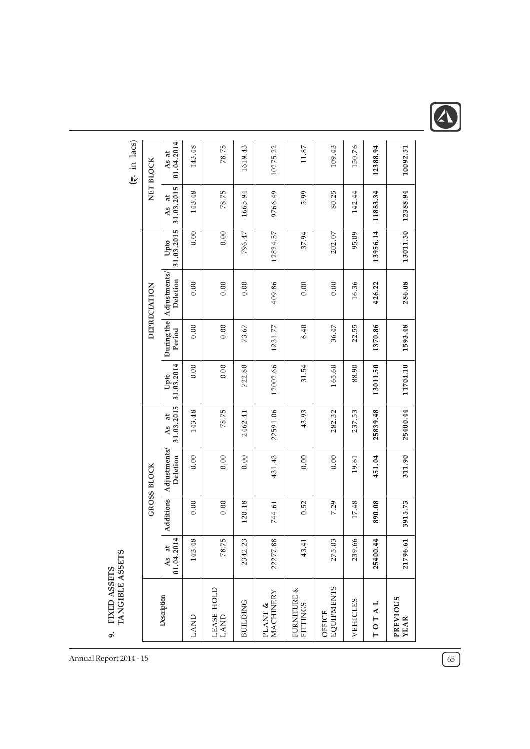

|                                                 | 01.04.2014<br>As at            | 143.48 | 78.75              | 1619.43         | 10275.22                       | 11.87                          | 109.43                      | 150.76   | 12388.94                                                       | 10092.51                |
|-------------------------------------------------|--------------------------------|--------|--------------------|-----------------|--------------------------------|--------------------------------|-----------------------------|----------|----------------------------------------------------------------|-------------------------|
| $(5 \cdot \text{in} \text{ lacs})$<br>NET BLOCK |                                |        |                    |                 |                                |                                |                             |          |                                                                |                         |
|                                                 | 31.03.2015<br>đ<br>As          | 143.48 | 78.75              | 1665.94         | 9766.49                        | 5.99                           | 80.25                       | 142.44   | 11883.34                                                       | 12388.94                |
|                                                 | 31.03.2015<br>Upto             | 0.00   | 0.00               | 796.47          | 12824.57                       | 37.94                          | 202.07                      | 95.09    | 13956.14                                                       | 13011.50                |
| DEPRECIATION                                    | Adjustments/<br>Deletion       | 0.00   | 0.00               | 0.00            | 409.86                         | 0.00                           | $0.00$                      | 16.36    | 426.22                                                         | 286.08                  |
|                                                 | During the<br>Period           | 0.00   | $0.00\,$           | 73.67           | 1231.77                        | 6.40                           | 36.47                       | 22.55    | 1370.86                                                        | 1593.48                 |
|                                                 | 31.03.2014<br>Upto             | 0.00   | 0.00               | 722.80          | 12002.66                       | 31.54                          | 165.60                      | 88.90    | 13011.50                                                       | 11704.10                |
|                                                 | 31.03.2015<br>$\ddot{a}$<br>As | 143.48 | 78.75              | 2462.41         | 22591.06                       | 43.93                          | 282.32                      | 237.53   | 25839.48                                                       | 25400.44                |
| <b>GROSS BLOCK</b>                              | Adjustments/<br>Deletion       | 0.00   | 0.00               | 0.00            | 431.43                         | 0.00                           | 0.00                        | 19.61    | 451.04                                                         | 311.90                  |
|                                                 | Additions                      | 0.00   | 0.00               | 120.18          | 744.61                         | 0.52                           | 7.29                        | 17.48    | 890.08                                                         | 3915.73                 |
|                                                 | 01.04.2014<br>d<br>As          | 143.48 | 78.75              | 2342.23         | 22277.88                       | 43.41                          | 275.03                      | 239.66   | 25400.44                                                       | 21796.61                |
|                                                 | Description                    | LAND   | LEASE HOLD<br>LAND | <b>BUILDING</b> | MACHINERY<br>Y<br><b>PLANT</b> | FURNITURE &<br><b>FITTINGS</b> | <b>EQUIPMENTS</b><br>OFFICE | VEHICLES | ⊣<br>$\blacktriangleleft$<br>$\vdash$<br>$\overline{\Gamma}$ O | <b>PREVIOUS</b><br>YEAR |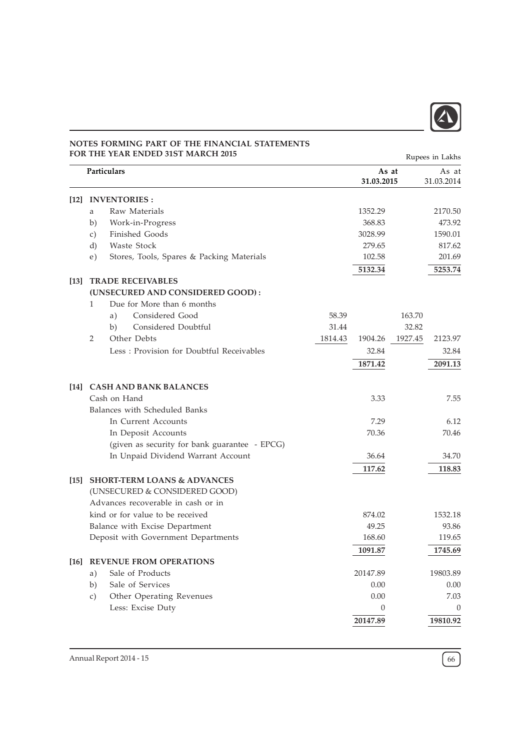

|                    |                 | <b>FOR THE YEAR ENDED 31ST MARCH 2015</b>     |         |                     |         | Rupees in Lakhs     |
|--------------------|-----------------|-----------------------------------------------|---------|---------------------|---------|---------------------|
|                    |                 | Particulars                                   |         | As at<br>31.03.2015 |         | As at<br>31.03.2014 |
| 12                 |                 | <b>INVENTORIES:</b>                           |         |                     |         |                     |
|                    | a               | Raw Materials                                 |         | 1352.29             |         | 2170.50             |
|                    | b)              | Work-in-Progress                              |         | 368.83              |         | 473.92              |
|                    | $\mathcal{C}$ ) | Finished Goods                                |         | 3028.99             |         | 1590.01             |
|                    | d)              | Waste Stock                                   |         | 279.65              |         | 817.62              |
|                    | e)              | Stores, Tools, Spares & Packing Materials     |         | 102.58              |         | 201.69              |
|                    |                 |                                               |         | 5132.34             |         | 5253.74             |
| $\lceil 13 \rceil$ |                 | <b>TRADE RECEIVABLES</b>                      |         |                     |         |                     |
|                    |                 | (UNSECURED AND CONSIDERED GOOD):              |         |                     |         |                     |
|                    | $\mathbf{1}$    | Due for More than 6 months                    |         |                     |         |                     |
|                    |                 | Considered Good<br>a)                         | 58.39   |                     | 163.70  |                     |
|                    |                 | Considered Doubtful<br>b)                     | 31.44   |                     | 32.82   |                     |
|                    | 2               | Other Debts                                   | 1814.43 | 1904.26             | 1927.45 | 2123.97             |
|                    |                 | Less: Provision for Doubtful Receivables      |         | 32.84               |         | 32.84               |
|                    |                 |                                               |         | 1871.42             |         | 2091.13             |
| $[14]$             |                 | <b>CASH AND BANK BALANCES</b>                 |         |                     |         |                     |
|                    |                 | Cash on Hand                                  |         | 3.33                |         | 7.55                |
|                    |                 | Balances with Scheduled Banks                 |         |                     |         |                     |
|                    |                 | In Current Accounts                           |         | 7.29                |         | 6.12                |
|                    |                 | In Deposit Accounts                           |         | 70.36               |         | 70.46               |
|                    |                 | (given as security for bank guarantee - EPCG) |         |                     |         |                     |
|                    |                 | In Unpaid Dividend Warrant Account            |         | 36.64               |         | 34.70               |
|                    |                 |                                               |         | 117.62              |         | 118.83              |
| $\left[15\right]$  |                 | <b>SHORT-TERM LOANS &amp; ADVANCES</b>        |         |                     |         |                     |
|                    |                 | (UNSECURED & CONSIDERED GOOD)                 |         |                     |         |                     |
|                    |                 | Advances recoverable in cash or in            |         |                     |         |                     |
|                    |                 | kind or for value to be received              |         | 874.02              |         | 1532.18             |
|                    |                 | Balance with Excise Department                |         | 49.25               |         | 93.86               |
|                    |                 | Deposit with Government Departments           |         | 168.60              |         | 119.65              |
|                    |                 |                                               |         | 1091.87             |         | 1745.69             |
|                    |                 | [16] REVENUE FROM OPERATIONS                  |         |                     |         |                     |
|                    | a)              | Sale of Products                              |         | 20147.89            |         | 19803.89            |
|                    | b)              | Sale of Services                              |         | 0.00                |         | 0.00                |
|                    | $\mathcal{C}$ ) | Other Operating Revenues                      |         | 0.00                |         | 7.03                |
|                    |                 | Less: Excise Duty                             |         | $\theta$            |         | $\mathbf{0}$        |
|                    |                 |                                               |         | 20147.89            |         | 19810.92            |
|                    |                 |                                               |         |                     |         |                     |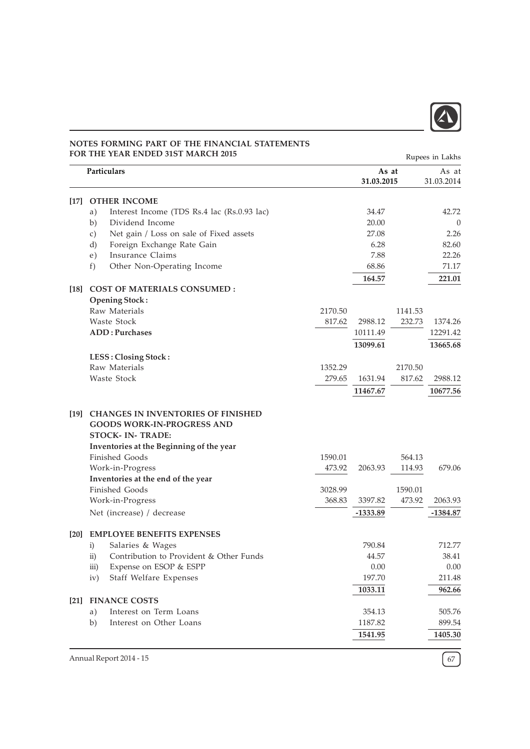

| <b>FOR THE YEAR ENDED 31ST MARCH 2015</b> |                 |                                                                                                                                                        |         |                     |         | Rupees in Lakhs     |
|-------------------------------------------|-----------------|--------------------------------------------------------------------------------------------------------------------------------------------------------|---------|---------------------|---------|---------------------|
|                                           |                 | Particulars                                                                                                                                            |         | As at<br>31.03.2015 |         | As at<br>31.03.2014 |
| [17]                                      |                 | <b>OTHER INCOME</b>                                                                                                                                    |         |                     |         |                     |
|                                           | a)              | Interest Income (TDS Rs.4 lac (Rs.0.93 lac)                                                                                                            |         | 34.47               |         | 42.72               |
|                                           | b)              | Dividend Income                                                                                                                                        |         | 20.00               |         | $\Omega$            |
|                                           | $\mathcal{C}$ ) | Net gain / Loss on sale of Fixed assets                                                                                                                |         | 27.08               |         | 2.26                |
|                                           | d)              | Foreign Exchange Rate Gain                                                                                                                             |         | 6.28                |         | 82.60               |
|                                           | e)              | Insurance Claims                                                                                                                                       |         | 7.88                |         | 22.26               |
|                                           | f)              | Other Non-Operating Income                                                                                                                             |         | 68.86               |         | 71.17               |
|                                           |                 |                                                                                                                                                        |         | 164.57              |         | 221.01              |
| $[18]$                                    |                 | <b>COST OF MATERIALS CONSUMED:</b>                                                                                                                     |         |                     |         |                     |
|                                           |                 | <b>Opening Stock:</b>                                                                                                                                  |         |                     |         |                     |
|                                           |                 | Raw Materials                                                                                                                                          | 2170.50 |                     | 1141.53 |                     |
|                                           |                 | Waste Stock                                                                                                                                            | 817.62  | 2988.12             | 232.73  | 1374.26             |
|                                           |                 | <b>ADD: Purchases</b>                                                                                                                                  |         | 10111.49            |         | 12291.42            |
|                                           |                 |                                                                                                                                                        |         | 13099.61            |         | 13665.68            |
|                                           |                 | LESS: Closing Stock:                                                                                                                                   |         |                     |         |                     |
|                                           |                 | Raw Materials                                                                                                                                          | 1352.29 |                     | 2170.50 |                     |
|                                           |                 | Waste Stock                                                                                                                                            | 279.65  | 1631.94             | 817.62  | 2988.12             |
|                                           |                 |                                                                                                                                                        |         | 11467.67            |         | 10677.56            |
| $\lceil 19 \rceil$                        |                 | <b>CHANGES IN INVENTORIES OF FINISHED</b><br><b>GOODS WORK-IN-PROGRESS AND</b><br><b>STOCK- IN- TRADE:</b><br>Inventories at the Beginning of the year |         |                     |         |                     |
|                                           |                 | <b>Finished Goods</b>                                                                                                                                  | 1590.01 |                     | 564.13  |                     |
|                                           |                 | Work-in-Progress                                                                                                                                       | 473.92  | 2063.93             | 114.93  | 679.06              |
|                                           |                 | Inventories at the end of the year                                                                                                                     |         |                     |         |                     |
|                                           |                 | <b>Finished Goods</b>                                                                                                                                  | 3028.99 |                     | 1590.01 |                     |
|                                           |                 | Work-in-Progress                                                                                                                                       | 368.83  | 3397.82             | 473.92  | 2063.93             |
|                                           |                 | Net (increase) / decrease                                                                                                                              |         | $-1333.89$          |         | -1384.87            |
| [20]                                      |                 | <b>EMPLOYEE BENEFITS EXPENSES</b>                                                                                                                      |         |                     |         |                     |
|                                           | $\mathbf{i}$    | Salaries & Wages                                                                                                                                       |         | 790.84              |         | 712.77              |
|                                           | $\rm ii)$       | Contribution to Provident & Other Funds                                                                                                                |         | 44.57               |         | 38.41               |
|                                           | iii)            | Expense on ESOP & ESPP                                                                                                                                 |         | 0.00                |         | 0.00                |
|                                           | iv)             | Staff Welfare Expenses                                                                                                                                 |         | 197.70              |         | 211.48              |
|                                           |                 |                                                                                                                                                        |         | 1033.11             |         | 962.66              |
| $[21]$                                    |                 | <b>FINANCE COSTS</b>                                                                                                                                   |         |                     |         |                     |
|                                           | a)              | Interest on Term Loans                                                                                                                                 |         | 354.13              |         | 505.76              |
|                                           | b)              | Interest on Other Loans                                                                                                                                |         | 1187.82             |         | 899.54              |
|                                           |                 |                                                                                                                                                        |         | 1541.95             |         | 1405.30             |
|                                           |                 |                                                                                                                                                        |         |                     |         |                     |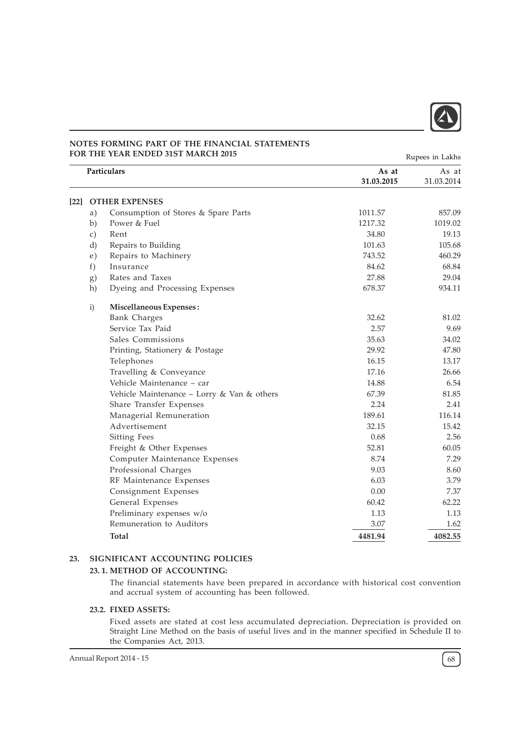

[22] OTHER EXPENSES a) Consumption of Stores & Spare Parts 1011.57 857.09 b) Power & Fuel 1217.32 1019.02 c) Rent 19.13 d) Repairs to Building 101.63 105.68 e) Repairs to Machinery 743.52 460.29 f) Insurance  $84.62$  68.84 g) Rates and Taxes 27.88 29.04 h) Dyeing and Processing Expenses 678.37 934.11 i) Miscellaneous Expenses : Bank Charges 81.02 Service Tax Paid 2.57 9.69 Sales Commissions 35.63 34.02 Printing, Stationery & Postage 29.92 47.80 Telephones 16.15 13.17 Travelling & Conveyance 26.66 Vehicle Maintenance – car 14.88 6.54 Vehicle Maintenance – Lorry & Van & others 67.39 67.39 81.85 Share Transfer Expenses 2.24 2.41 Managerial Remuneration 189.61 116.14 Advertisement 15.42 Sitting Fees 2.56 2.56 Freight & Other Expenses 52.81 60.05 Computer Maintenance Expenses 8.74 7.29 Professional Charges 6.60 and the set of the set of the set of the set of the set of the set of the set of the set of the set of the set of the set of the set of the set of the set of the set of the set of the set of the s RF Maintenance Expenses 6.03 3.79 Consignment Expenses 0.00 7.37 General Expenses 60.42 62.22 Preliminary expenses w/o 1.13 1.13 1.13 1.13 Remuneration to Auditors 3.07 1.62 Total 4481.94 4082.55 Particulars As at As at As at As at As at As at As at As at As at As at As at As at As at As at As at As at As 31.03.2015 31.03.2014 Rupees in Lakhs

### 23. SIGNIFICANT ACCOUNTING POLICIES

### 23. 1. METHOD OF ACCOUNTING:

The financial statements have been prepared in accordance with historical cost convention and accrual system of accounting has been followed.

#### 23.2. FIXED ASSETS:

Fixed assets are stated at cost less accumulated depreciation. Depreciation is provided on Straight Line Method on the basis of useful lives and in the manner specified in Schedule II to the Companies Act, 2013.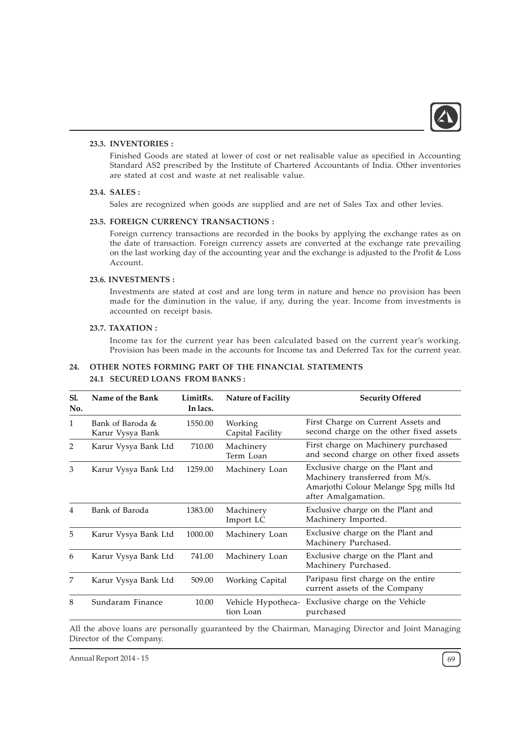

## 23.3. INVENTORIES :

Finished Goods are stated at lower of cost or net realisable value as specified in Accounting Standard AS2 prescribed by the Institute of Chartered Accountants of India. Other inventories are stated at cost and waste at net realisable value.

### 23.4. SALES :

Sales are recognized when goods are supplied and are net of Sales Tax and other levies.

### 23.5. FOREIGN CURRENCY TRANSACTIONS :

Foreign currency transactions are recorded in the books by applying the exchange rates as on the date of transaction. Foreign currency assets are converted at the exchange rate prevailing on the last working day of the accounting year and the exchange is adjusted to the Profit & Loss Account.

### 23.6. INVESTMENTS :

Investments are stated at cost and are long term in nature and hence no provision has been made for the diminution in the value, if any, during the year. Income from investments is accounted on receipt basis.

## 23.7. TAXATION :

Income tax for the current year has been calculated based on the current year's working. Provision has been made in the accounts for Income tax and Deferred Tax for the current year.

### 24. OTHER NOTES FORMING PART OF THE FINANCIAL STATEMENTS

### 24.1 SECURED LOANS FROM BANKS :

| Sl.<br>No.     | Name of the Bank                     | LimitRs.<br>In lacs. | <b>Nature of Facility</b>       | <b>Security Offered</b>                                                                                                               |
|----------------|--------------------------------------|----------------------|---------------------------------|---------------------------------------------------------------------------------------------------------------------------------------|
| 1              | Bank of Baroda &<br>Karur Vysya Bank | 1550.00              | Working<br>Capital Facility     | First Charge on Current Assets and<br>second charge on the other fixed assets                                                         |
| 2              | Karur Vysya Bank Ltd                 | 710.00               | Machinery<br>Term Loan          | First charge on Machinery purchased<br>and second charge on other fixed assets                                                        |
| 3              | Karur Vysya Bank Ltd                 | 1259.00              | Machinery Loan                  | Exclusive charge on the Plant and<br>Machinery transferred from M/s.<br>Amarjothi Colour Melange Spg mills ltd<br>after Amalgamation. |
| $\overline{4}$ | Bank of Baroda                       | 1383.00              | Machinery<br>Import LC          | Exclusive charge on the Plant and<br>Machinery Imported.                                                                              |
| 5              | Karur Vysya Bank Ltd                 | 1000.00              | Machinery Loan                  | Exclusive charge on the Plant and<br>Machinery Purchased.                                                                             |
| 6              | Karur Vysya Bank Ltd                 | 741.00               | Machinery Loan                  | Exclusive charge on the Plant and<br>Machinery Purchased.                                                                             |
| 7              | Karur Vysya Bank Ltd                 | 509.00               | Working Capital                 | Paripasu first charge on the entire<br>current assets of the Company                                                                  |
| 8              | Sundaram Finance                     | 10.00                | Vehicle Hypotheca-<br>tion Loan | Exclusive charge on the Vehicle<br>purchased                                                                                          |

All the above loans are personally guaranteed by the Chairman, Managing Director and Joint Managing Director of the Company.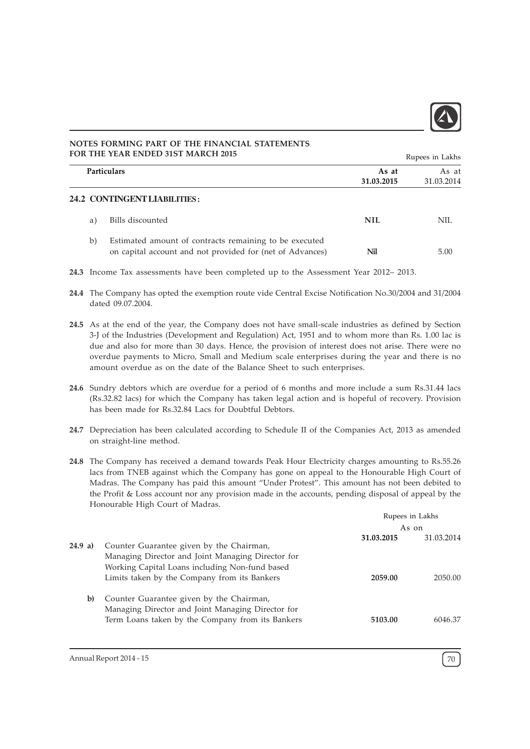

# **24.2 CONTINGENT LIABILITIES :** a) Bills discounted NIL NIL NOTES FORMING PART OF THE FINANCIAL STATEMENTS FOR THE YEAR ENDED 31ST MARCH 2015 Particulars As at As at As at As at As at As at As at As at As at As at As at As at As at As at As at As at As 31.03.2015 31.03.2014 Rupees in Lakhs

- b) Estimated amount of contracts remaining to be executed on capital account and not provided for (net of Advances) Nil 5.00
- 24.3 Income Tax assessments have been completed up to the Assessment Year 2012– 2013.
- 24.4 The Company has opted the exemption route vide Central Excise Notification No.30/2004 and 31/2004 dated 09.07.2004.
- 24.5 As at the end of the year, the Company does not have small-scale industries as defined by Section 3-J of the Industries (Development and Regulation) Act, 1951 and to whom more than Rs. 1.00 lac is due and also for more than 30 days. Hence, the provision of interest does not arise. There were no overdue payments to Micro, Small and Medium scale enterprises during the year and there is no amount overdue as on the date of the Balance Sheet to such enterprises.
- 24.6 Sundry debtors which are overdue for a period of 6 months and more include a sum Rs.31.44 lacs (Rs.32.82 lacs) for which the Company has taken legal action and is hopeful of recovery. Provision has been made for Rs.32.84 Lacs for Doubtful Debtors.
- 24.7 Depreciation has been calculated according to Schedule II of the Companies Act, 2013 as amended on straight-line method.
- 24.8 The Company has received a demand towards Peak Hour Electricity charges amounting to Rs.55.26 lacs from TNEB against which the Company has gone on appeal to the Honourable High Court of Madras. The Company has paid this amount "Under Protest". This amount has not been debited to the Profit & Loss account nor any provision made in the accounts, pending disposal of appeal by the Honourable High Court of Madras.

|         |                                                                                                                                                 | Rupees in Lakhs          |         |  |
|---------|-------------------------------------------------------------------------------------------------------------------------------------------------|--------------------------|---------|--|
|         |                                                                                                                                                 | As on                    |         |  |
| 24.9 a) | Counter Guarantee given by the Chairman,<br>Managing Director and Joint Managing Director for<br>Working Capital Loans including Non-fund based | 31.03.2014<br>31.03.2015 |         |  |
|         | Limits taken by the Company from its Bankers                                                                                                    | 2059.00                  | 2050.00 |  |
| b)      | Counter Guarantee given by the Chairman,<br>Managing Director and Joint Managing Director for                                                   |                          |         |  |
|         | Term Loans taken by the Company from its Bankers                                                                                                | 5103.00                  | 6046.37 |  |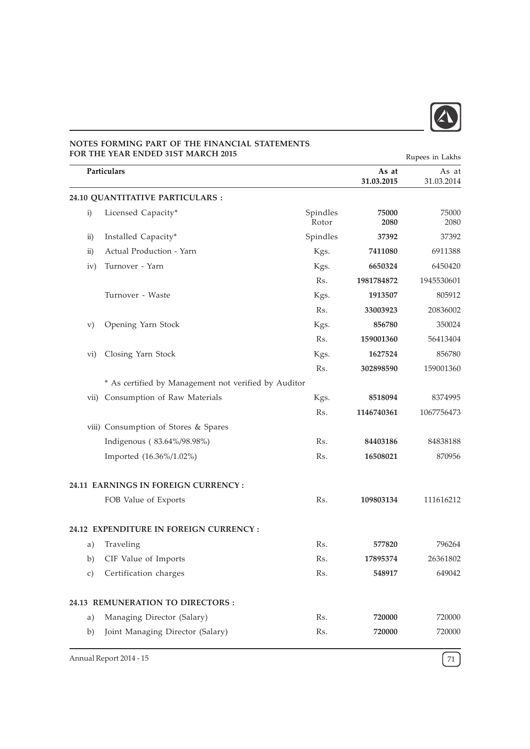

|                   | FOR THE YEAR ENDED 31ST MARCH 2015                   |                   | Rupees in Lakhs     |                     |
|-------------------|------------------------------------------------------|-------------------|---------------------|---------------------|
|                   | Particulars                                          |                   | As at<br>31.03.2015 | As at<br>31.03.2014 |
|                   | 24.10 QUANTITATIVE PARTICULARS :                     |                   |                     |                     |
| i)                | Licensed Capacity*                                   | Spindles<br>Rotor | 75000<br>2080       | 75000<br>2080       |
| $\rm ii)$         | Installed Capacity*                                  | Spindles          | 37392               | 37392               |
| $\overline{ii}$ ) | Actual Production - Yarn                             | Kgs.              | 7411080             | 6911388             |
| iv)               | Turnover - Yarn                                      | Kgs.              | 6650324             | 6450420             |
|                   |                                                      | Rs.               | 1981784872          | 1945530601          |
|                   | Turnover - Waste                                     | Kgs.              | 1913507             | 805912              |
|                   |                                                      | Rs.               | 33003923            | 20836002            |
| $\rm v)$          | Opening Yarn Stock                                   | Kgs.              | 856780              | 350024              |
|                   |                                                      | Rs.               | 159001360           | 56413404            |
| vi)               | Closing Yarn Stock                                   | Kgs.              | 1627524             | 856780              |
|                   |                                                      | Rs.               | 302898590           | 159001360           |
|                   | * As certified by Management not verified by Auditor |                   |                     |                     |
| vii)              | Consumption of Raw Materials                         | Kgs.              | 8518094             | 8374995             |
|                   |                                                      | Rs.               | 1146740361          | 1067756473          |
|                   | viii) Consumption of Stores & Spares                 |                   |                     |                     |
|                   | Indigenous (83.64%/98.98%)                           | Rs.               | 84403186            | 84838188            |
|                   | Imported (16.36%/1.02%)                              | Rs.               | 16508021            | 870956              |
|                   | 24.11 EARNINGS IN FOREIGN CURRENCY:                  |                   |                     |                     |
|                   | FOB Value of Exports                                 | Rs.               | 109803134           | 111616212           |
|                   | 24.12 EXPENDITURE IN FOREIGN CURRENCY:               |                   |                     |                     |
| a)                | Traveling                                            | Rs.               | 577820              | 796264              |
| b)                | CIF Value of Imports                                 | Rs.               | 17895374            | 26361802            |
| c)                | Certification charges                                | Rs.               | 548917              | 649042              |
|                   | 24.13 REMUNERATION TO DIRECTORS :                    |                   |                     |                     |
| a)                | Managing Director (Salary)                           | Rs.               | 720000              | 720000              |
| b)                | Joint Managing Director (Salary)                     | Rs.               | 720000              | 720000              |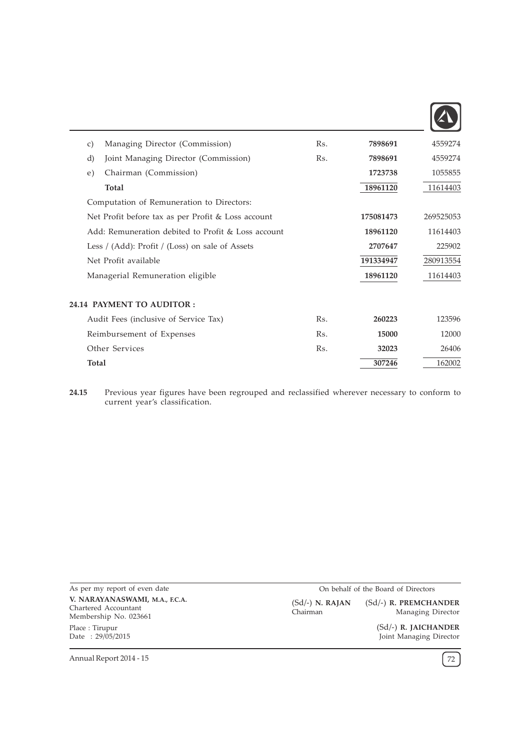

| $\mathcal{C}$ ) | Managing Director (Commission)                     | R <sub>S</sub> . | 7898691   | 4559274   |
|-----------------|----------------------------------------------------|------------------|-----------|-----------|
| d)              | Joint Managing Director (Commission)               | Rs.              | 7898691   | 4559274   |
| e)              | Chairman (Commission)                              |                  | 1723738   | 1055855   |
|                 | Total                                              |                  | 18961120  | 11614403  |
|                 | Computation of Remuneration to Directors:          |                  |           |           |
|                 | Net Profit before tax as per Profit & Loss account |                  | 175081473 | 269525053 |
|                 | Add: Remuneration debited to Profit & Loss account |                  | 18961120  | 11614403  |
|                 | Less / (Add): Profit / (Loss) on sale of Assets    |                  | 2707647   | 225902    |
|                 | Net Profit available                               |                  | 191334947 | 280913554 |
|                 | Managerial Remuneration eligible                   |                  | 18961120  | 11614403  |
|                 |                                                    |                  |           |           |
|                 | <b>24.14 PAYMENT TO AUDITOR :</b>                  |                  |           |           |
|                 | Audit Fees (inclusive of Service Tax)              | Rs.              | 260223    | 123596    |
|                 | Reimbursement of Expenses                          | Rs.              | 15000     | 12000     |
|                 | Other Services                                     | Rs.              | 32023     | 26406     |
| <b>Total</b>    |                                                    |                  | 307246    | 162002    |
|                 |                                                    |                  |           |           |

24.15 Previous year figures have been regrouped and reclassified wherever necessary to conform to current year's classification.

As per my report of even date V. NARAYANASWAMI, M.A., F.C.A. Chartered Accountant Membership No. 023661 Place : Tirupur Date : 29/05/2015

On behalf of the Board of Directors (Sd/-) R. PREMCHANDER (Sd/-) N. RAJAN

Chairman

Managing Director (Sd/-) R. JAICHANDER

Joint Managing Director

Annual Report 2014 - 15  $\left(72\right)$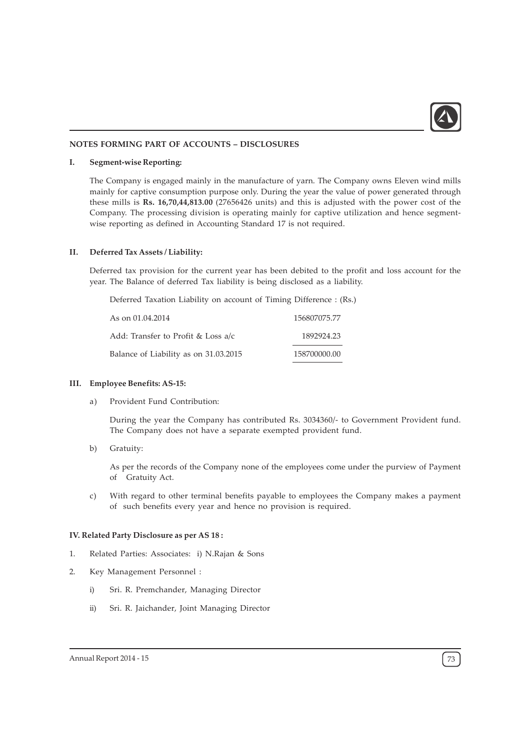

#### NOTES FORMING PART OF ACCOUNTS – DISCLOSURES

#### I. Segment-wise Reporting:

The Company is engaged mainly in the manufacture of yarn. The Company owns Eleven wind mills mainly for captive consumption purpose only. During the year the value of power generated through these mills is Rs. 16,70,44,813.00 (27656426 units) and this is adjusted with the power cost of the Company. The processing division is operating mainly for captive utilization and hence segmentwise reporting as defined in Accounting Standard 17 is not required.

#### II. Deferred Tax Assets / Liability:

Deferred tax provision for the current year has been debited to the profit and loss account for the year. The Balance of deferred Tax liability is being disclosed as a liability.

Deferred Taxation Liability on account of Timing Difference : (Rs.)

| As on 01.04.2014                      | 156807075.77 |
|---------------------------------------|--------------|
| Add: Transfer to Profit & Loss a/c    | 1892924.23   |
| Balance of Liability as on 31.03.2015 | 158700000.00 |

#### III. Employee Benefits: AS-15:

a) Provident Fund Contribution:

During the year the Company has contributed Rs. 3034360/- to Government Provident fund. The Company does not have a separate exempted provident fund.

b) Gratuity:

As per the records of the Company none of the employees come under the purview of Payment of Gratuity Act.

c) With regard to other terminal benefits payable to employees the Company makes a payment of such benefits every year and hence no provision is required.

#### IV. Related Party Disclosure as per AS 18 :

- 1. Related Parties: Associates: i) N.Rajan & Sons
- 2. Key Management Personnel :
	- i) Sri. R. Premchander, Managing Director
	- ii) Sri. R. Jaichander, Joint Managing Director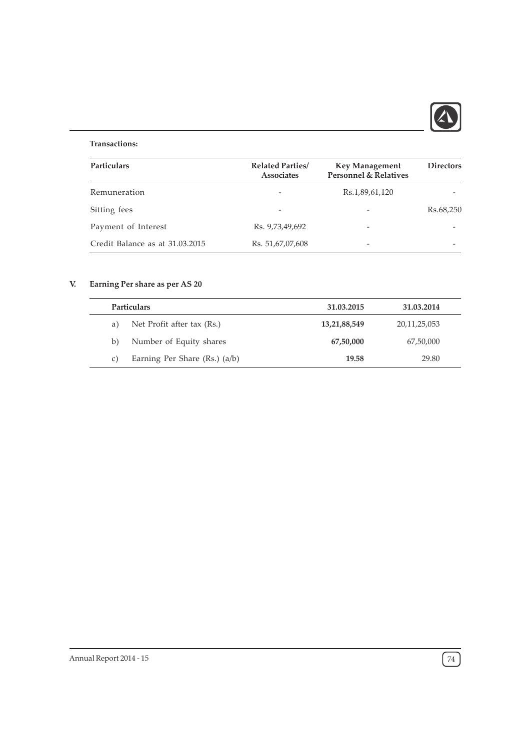

## Transactions:

| <b>Particulars</b>              | <b>Related Parties</b> /<br><b>Associates</b> | <b>Key Management</b><br><b>Personnel &amp; Relatives</b> | <b>Directors</b> |  |
|---------------------------------|-----------------------------------------------|-----------------------------------------------------------|------------------|--|
| Remuneration                    |                                               | Rs.1,89,61,120                                            |                  |  |
|                                 |                                               |                                                           |                  |  |
| Sitting fees                    |                                               |                                                           | Rs.68,250        |  |
| Payment of Interest             | Rs. 9,73,49,692                               | $\overline{\phantom{0}}$                                  |                  |  |
| Credit Balance as at 31.03.2015 | Rs. 51,67,07,608                              |                                                           |                  |  |

# V. Earning Per share as per AS 20

| <b>Particulars</b> |                                   | 31.03.2015   | 31.03.2014   |  |
|--------------------|-----------------------------------|--------------|--------------|--|
| a)                 | Net Profit after tax (Rs.)        | 13,21,88,549 | 20,11,25,053 |  |
| b)                 | Number of Equity shares           | 67,50,000    | 67,50,000    |  |
| C)                 | Earning Per Share $(Rs.)$ $(a/b)$ | 19.58        | 29.80        |  |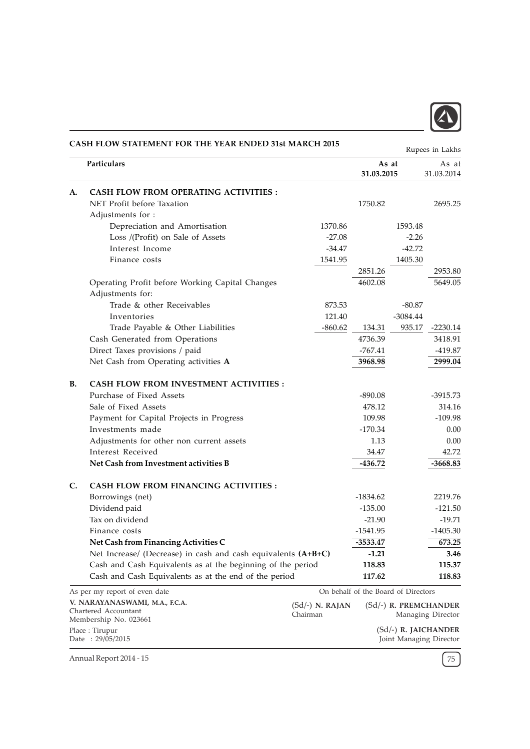

|           | CASH FLOW STATEMENT FOR THE YEAR ENDED 31st MARCH 2015        |                   |                                     |            | Rupees in Lakhs        |
|-----------|---------------------------------------------------------------|-------------------|-------------------------------------|------------|------------------------|
|           | Particulars                                                   |                   | As at<br>31.03.2015                 |            | As at<br>31.03.2014    |
| A.        | <b>CASH FLOW FROM OPERATING ACTIVITIES:</b>                   |                   |                                     |            |                        |
|           | NET Profit before Taxation                                    |                   | 1750.82                             |            | 2695.25                |
|           | Adjustments for :                                             |                   |                                     |            |                        |
|           | Depreciation and Amortisation                                 | 1370.86           |                                     | 1593.48    |                        |
|           | Loss /(Profit) on Sale of Assets                              | $-27.08$          |                                     | $-2.26$    |                        |
|           | Interest Income                                               | -34.47            |                                     | $-42.72$   |                        |
|           | Finance costs                                                 | 1541.95           |                                     | 1405.30    |                        |
|           |                                                               |                   | 2851.26                             |            | 2953.80                |
|           | Operating Profit before Working Capital Changes               |                   | 4602.08                             |            | 5649.05                |
|           | Adjustments for:                                              |                   |                                     |            |                        |
|           | Trade & other Receivables                                     | 873.53            |                                     | $-80.87$   |                        |
|           | Inventories                                                   | 121.40            |                                     | $-3084.44$ |                        |
|           | Trade Payable & Other Liabilities                             | $-860.62$         | 134.31                              | 935.17     | $-2230.14$             |
|           | Cash Generated from Operations                                |                   | 4736.39                             |            | 3418.91                |
|           | Direct Taxes provisions / paid                                |                   | $-767.41$                           |            | $-419.87$              |
|           | Net Cash from Operating activities A                          |                   | 3968.98                             |            | 2999.04                |
| <b>B.</b> | <b>CASH FLOW FROM INVESTMENT ACTIVITIES:</b>                  |                   |                                     |            |                        |
|           | Purchase of Fixed Assets                                      |                   | $-890.08$                           |            | $-3915.73$             |
|           | Sale of Fixed Assets                                          |                   | 478.12                              |            | 314.16                 |
|           | Payment for Capital Projects in Progress                      |                   | 109.98                              |            | $-109.98$              |
|           | Investments made                                              |                   | $-170.34$                           |            | 0.00                   |
|           | Adjustments for other non current assets                      |                   | 1.13                                |            | 0.00                   |
|           | Interest Received                                             |                   | 34.47                               |            | 42.72                  |
|           | Net Cash from Investment activities B                         |                   | $-436.72$                           |            | $-3668.83$             |
| C.        | <b>CASH FLOW FROM FINANCING ACTIVITIES:</b>                   |                   |                                     |            |                        |
|           | Borrowings (net)                                              |                   | $-1834.62$                          |            | 2219.76                |
|           | Dividend paid                                                 |                   | $-135.00$                           |            | $-121.50$              |
|           | Tax on dividend                                               |                   | $-21.90$                            |            | $-19.71$               |
|           | Finance costs                                                 |                   | -1541.95                            |            | $-1405.30$             |
|           | Net Cash from Financing Activities C                          |                   | -3533.47                            |            | 673.25                 |
|           | Net Increase/ (Decrease) in cash and cash equivalents (A+B+C) |                   | $-1.21$                             |            | 3.46                   |
|           | Cash and Cash Equivalents as at the beginning of the period   |                   | 118.83                              |            | 115.37                 |
|           | Cash and Cash Equivalents as at the end of the period         |                   | 117.62                              |            | 118.83                 |
|           | As per my report of even date                                 |                   | On behalf of the Board of Directors |            |                        |
|           | V. NARAYANASWAMI, M.A., F.C.A.                                | $(Sd/-)$ N. RAJAN |                                     |            | (Sd/-) R. PREMCHANDER  |
|           | Chartered Accountant                                          | Chairman          |                                     |            | Managing Director      |
|           | Membership No. 023661                                         |                   |                                     |            |                        |
|           | Place: Tirupur                                                |                   |                                     |            | $(Sd/-)$ R. JAICHANDER |

(Sd/-) R. JAICHANDER Joint Managing Director

Annual Report 2014 - 15  $\sqrt{75}$ 

Date : 29/05/2015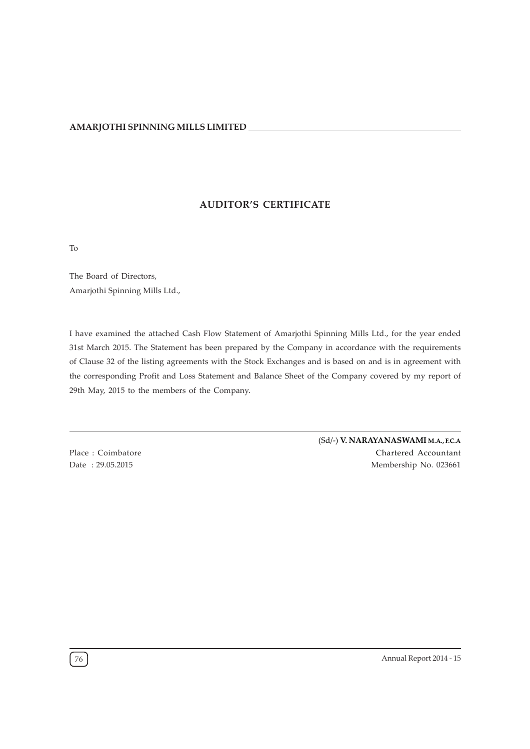## AUDITOR'S CERTIFICATE

To

The Board of Directors, Amarjothi Spinning Mills Ltd.,

I have examined the attached Cash Flow Statement of Amarjothi Spinning Mills Ltd., for the year ended 31st March 2015. The Statement has been prepared by the Company in accordance with the requirements of Clause 32 of the listing agreements with the Stock Exchanges and is based on and is in agreement with the corresponding Profit and Loss Statement and Balance Sheet of the Company covered by my report of 29th May, 2015 to the members of the Company.

Place : Coimbatore Date : 29.05.2015

(Sd/-) V. NARAYANASWAMI M.A., F.C.A Chartered Accountant Membership No. 023661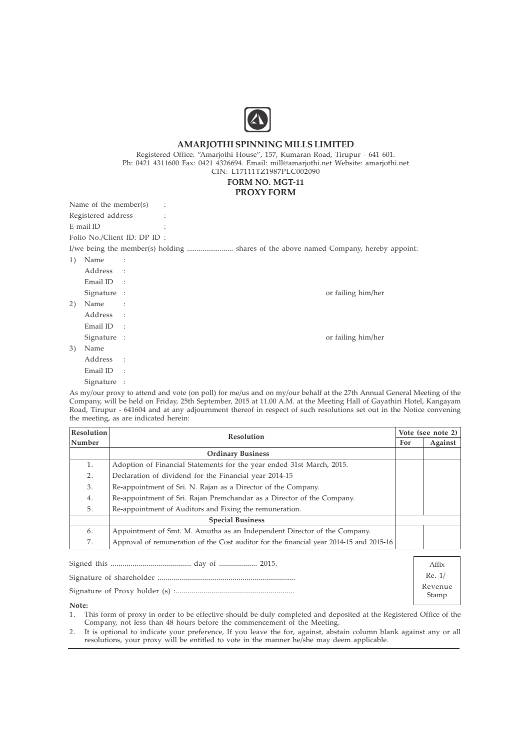

Registered Office: "Amarjothi House", 157, Kumaran Road, Tirupur - 641 601. Ph: 0421 4311600 Fax: 0421 4326694. Email: mill@amarjothi.net Website: amarjothi.net CIN: L17111TZ1987PLC002090

# FORM NO. MGT-11

### PROXY FORM

|    | Name of the member(s) | $\ddot{\cdot}$              |  |                                                                                      |
|----|-----------------------|-----------------------------|--|--------------------------------------------------------------------------------------|
|    | Registered address    |                             |  |                                                                                      |
|    | E-mail ID             |                             |  |                                                                                      |
|    |                       | Folio No./Client ID: DP ID: |  |                                                                                      |
|    |                       |                             |  | I/we being the member(s) holding  shares of the above named Company, hereby appoint: |
| 1) | Name                  | $\sim$ 1.                   |  |                                                                                      |
|    | Address               | $\sim$ 1                    |  |                                                                                      |
|    | Email ID              | $\sim$ :                    |  |                                                                                      |
|    | Signature :           |                             |  | or failing him/her                                                                   |
| 2) | Name                  |                             |  |                                                                                      |
|    | Address :             |                             |  |                                                                                      |
|    | Email ID              | $\overline{\phantom{a}}$    |  |                                                                                      |
|    | Signature :           |                             |  | or failing him/her                                                                   |
| 3) | Name                  |                             |  |                                                                                      |
|    | Address               | $\sim$ 1                    |  |                                                                                      |
|    | Email ID              |                             |  |                                                                                      |

Signature :

As my/our proxy to attend and vote (on poll) for me/us and on my/our behalf at the 27th Annual General Meeting of the Company, will be held on Friday, 25th September, 2015 at 11.00 A.M. at the Meeting Hall of Gayathiri Hotel, Kangayam Road, Tirupur - 641604 and at any adjournment thereof in respect of such resolutions set out in the Notice convening the meeting, as are indicated herein:

| <b>Resolution</b> | <b>Resolution</b>                                                                                                                                                                                                                                                              |  | Vote (see note 2) |  |
|-------------------|--------------------------------------------------------------------------------------------------------------------------------------------------------------------------------------------------------------------------------------------------------------------------------|--|-------------------|--|
| Number            |                                                                                                                                                                                                                                                                                |  | Against           |  |
|                   | <b>Ordinary Business</b>                                                                                                                                                                                                                                                       |  |                   |  |
| 1.                | Adoption of Financial Statements for the year ended 31st March, 2015.                                                                                                                                                                                                          |  |                   |  |
| 2 <sub>1</sub>    | Declaration of dividend for the Financial year 2014-15<br>Re-appointment of Sri. N. Rajan as a Director of the Company.<br>3.<br>Re-appointment of Sri. Rajan Premchandar as a Director of the Company.<br>4.<br>Re-appointment of Auditors and Fixing the remuneration.<br>5. |  |                   |  |
|                   |                                                                                                                                                                                                                                                                                |  |                   |  |
|                   |                                                                                                                                                                                                                                                                                |  |                   |  |
|                   |                                                                                                                                                                                                                                                                                |  |                   |  |
|                   | <b>Special Business</b>                                                                                                                                                                                                                                                        |  |                   |  |
| 6.                | Appointment of Smt. M. Amutha as an Independent Director of the Company.                                                                                                                                                                                                       |  |                   |  |
| 7.                | Approval of remuneration of the Cost auditor for the financial year 2014-15 and 2015-16                                                                                                                                                                                        |  |                   |  |

|       | Affix            |
|-------|------------------|
|       | $Re. 1/-$        |
|       | Revenue<br>Stamp |
| Mata. |                  |

Note:

1. This form of proxy in order to be effective should be duly completed and deposited at the Registered Office of the Company, not less than 48 hours before the commencement of the Meeting.

2. It is optional to indicate your preference, If you leave the for, against, abstain column blank against any or all resolutions, your proxy will be entitled to vote in the manner he/she may deem applicable.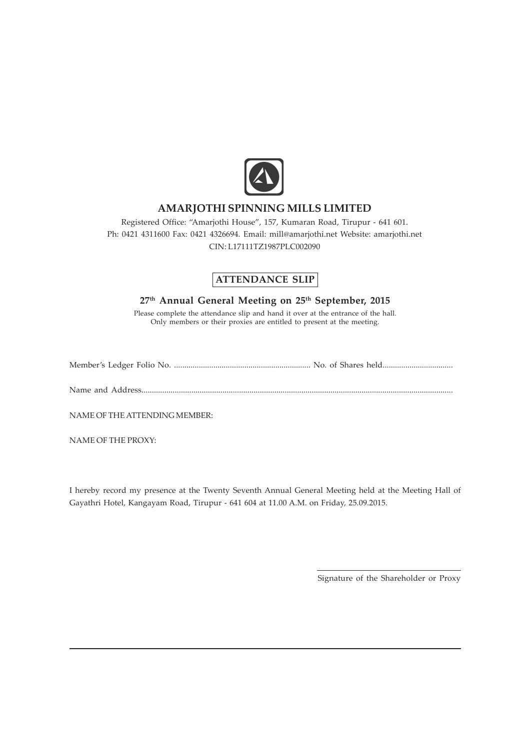

Registered Office: "Amarjothi House", 157, Kumaran Road, Tirupur - 641 601. Ph: 0421 4311600 Fax: 0421 4326694. Email: mill@amarjothi.net Website: amarjothi.net CIN: L17111TZ1987PLC002090

# ATTENDANCE SLIP

## 27<sup>th</sup> Annual General Meeting on 25<sup>th</sup> September, 2015

Please complete the attendance slip and hand it over at the entrance of the hall. Only members or their proxies are entitled to present at the meeting.

Member's Ledger Folio No. .................................................................. No. of Shares held..................................

Name and Address......................................................................................................................................................

NAME OF THE ATTENDING MEMBER:

NAME OF THE PROXY:

I hereby record my presence at the Twenty Seventh Annual General Meeting held at the Meeting Hall of Gayathri Hotel, Kangayam Road, Tirupur - 641 604 at 11.00 A.M. on Friday, 25.09.2015.

Signature of the Shareholder or Proxy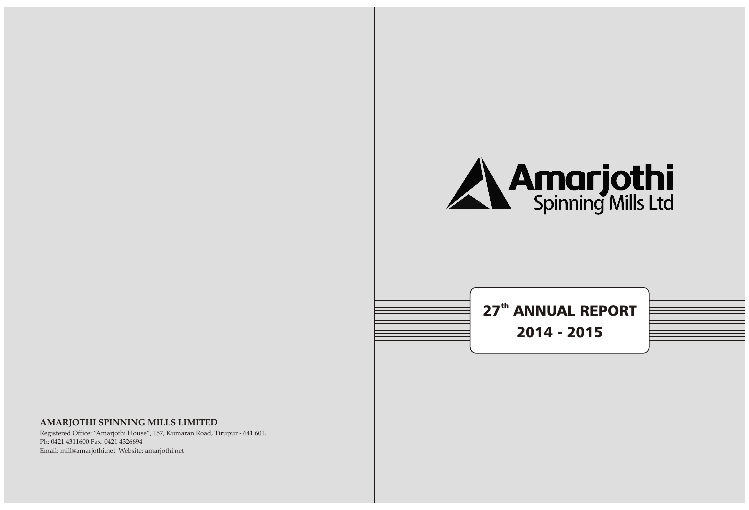



Registered Office: "Amarjothi House", 157, Kumaran Road, Tirupur - 641 601. Ph: 0421 4311600 Fax: 0421 4326694 Email: mill@amarjothi.net Website: amarjothi.net